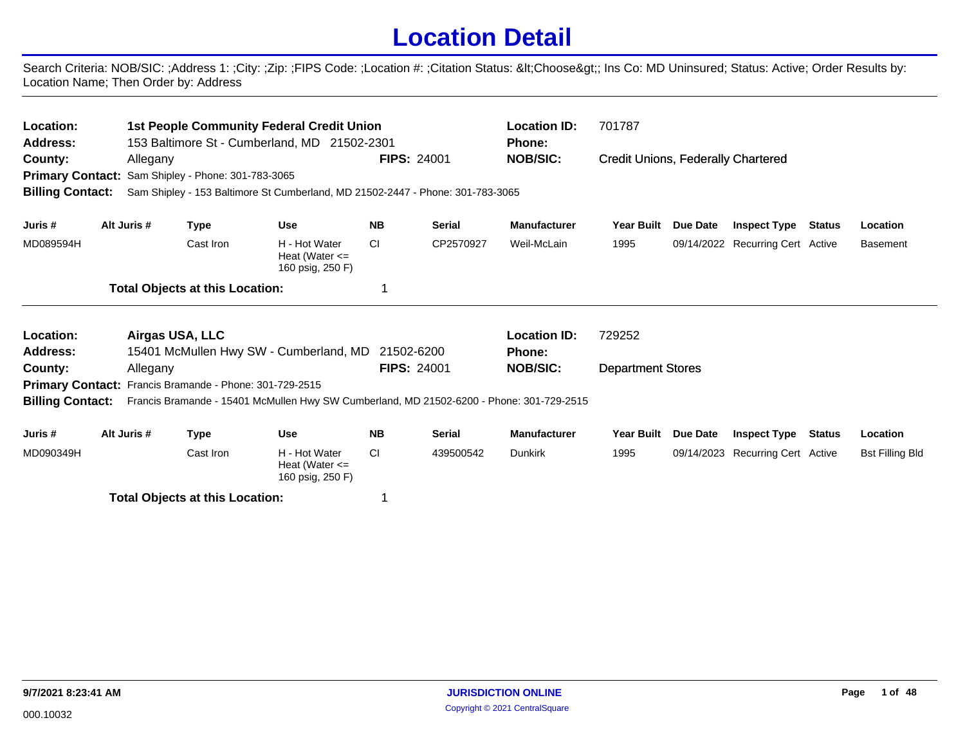## **Location Detail**

Search Criteria: NOB/SIC: ;Address 1: ;City: ;Zip: ;FIPS Code: ;Location #: ;Citation Status: <Choose&gt;; Ins Co: MD Uninsured; Status: Active; Order Results by: Location Name; Then Order by: Address

| Location:<br><b>Address:</b><br>County:<br><b>Primary Contact:</b><br><b>Billing Contact:</b> | Allegany    | Sam Shipley - Phone: 301-783-3065      | <b>1st People Community Federal Credit Union</b><br>153 Baltimore St - Cumberland, MD 21502-2301<br>Sam Shipley - 153 Baltimore St Cumberland, MD 21502-2447 - Phone: 301-783-3065 | <b>FIPS: 24001</b>               |               | <b>Location ID:</b><br><b>Phone:</b><br><b>NOB/SIC:</b> | 701787<br><b>Credit Unions, Federally Chartered</b> |                 |                                  |               |                        |
|-----------------------------------------------------------------------------------------------|-------------|----------------------------------------|------------------------------------------------------------------------------------------------------------------------------------------------------------------------------------|----------------------------------|---------------|---------------------------------------------------------|-----------------------------------------------------|-----------------|----------------------------------|---------------|------------------------|
| Juris #                                                                                       | Alt Juris # | <b>Type</b>                            | <b>Use</b>                                                                                                                                                                         | <b>NB</b>                        | <b>Serial</b> | <b>Manufacturer</b>                                     | <b>Year Built</b>                                   | <b>Due Date</b> | <b>Inspect Type</b>              | <b>Status</b> | Location               |
| MD089594H                                                                                     |             | Cast Iron                              | H - Hot Water<br>Heat (Water $\leq$<br>160 psig, 250 F)                                                                                                                            | <b>CI</b>                        | CP2570927     | Weil-McLain                                             | 1995                                                |                 | 09/14/2022 Recurring Cert Active |               | <b>Basement</b>        |
|                                                                                               |             | <b>Total Objects at this Location:</b> |                                                                                                                                                                                    |                                  |               |                                                         |                                                     |                 |                                  |               |                        |
| Location:                                                                                     |             | Airgas USA, LLC                        |                                                                                                                                                                                    |                                  |               | <b>Location ID:</b>                                     | 729252                                              |                 |                                  |               |                        |
| Address:<br>County:                                                                           | Allegany    |                                        | 15401 McMullen Hwy SW - Cumberland, MD                                                                                                                                             | 21502-6200<br><b>FIPS: 24001</b> |               | <b>Phone:</b><br><b>NOB/SIC:</b>                        | <b>Department Stores</b>                            |                 |                                  |               |                        |
| <b>Primary Contact:</b><br><b>Billing Contact:</b>                                            |             | Francis Bramande - Phone: 301-729-2515 | Francis Bramande - 15401 McMullen Hwy SW Cumberland, MD 21502-6200 - Phone: 301-729-2515                                                                                           |                                  |               |                                                         |                                                     |                 |                                  |               |                        |
| Juris #                                                                                       | Alt Juris # | <b>Type</b>                            | <b>Use</b>                                                                                                                                                                         | <b>NB</b>                        | <b>Serial</b> | <b>Manufacturer</b>                                     | Year Built                                          | Due Date        | <b>Inspect Type</b>              | <b>Status</b> | Location               |
| MD090349H                                                                                     |             | Cast Iron                              | H - Hot Water<br>Heat (Water $\leq$<br>160 psig, 250 F)                                                                                                                            | CI.                              | 439500542     | <b>Dunkirk</b>                                          | 1995                                                |                 | 09/14/2023 Recurring Cert Active |               | <b>Bst Filling Bld</b> |
|                                                                                               |             | <b>Total Objects at this Location:</b> |                                                                                                                                                                                    | 1                                |               |                                                         |                                                     |                 |                                  |               |                        |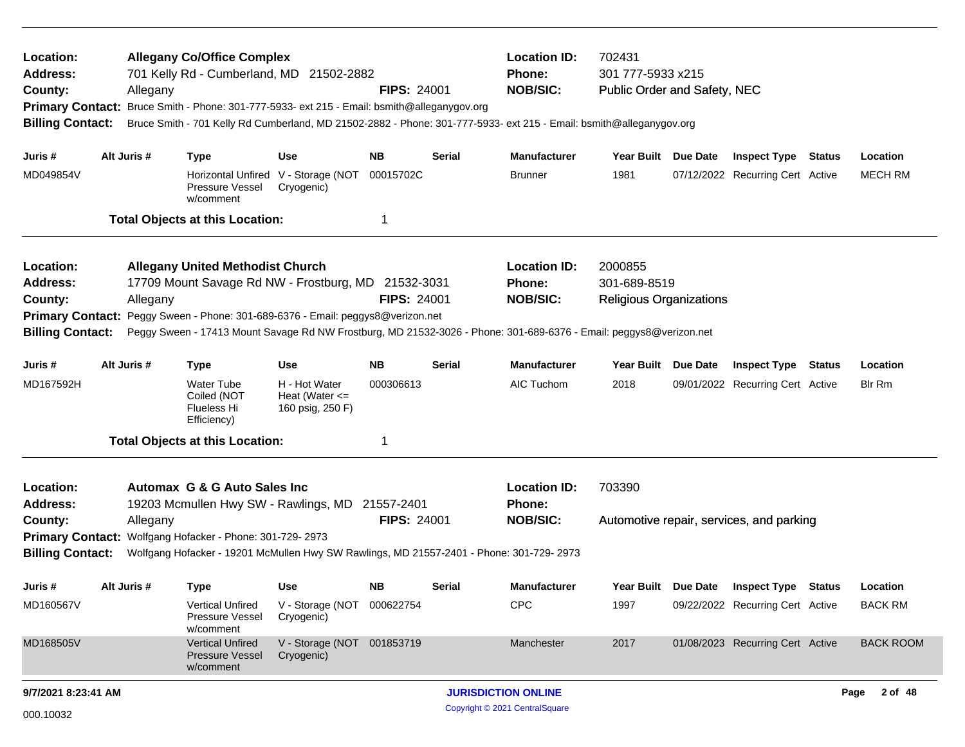| Location:<br><b>Address:</b><br>County:<br><b>Primary Contact:</b><br><b>Billing Contact:</b>                                                                                                                                                                                                                                                                                            | Allegany    | <b>Allegany Co/Office Complex</b><br>701 Kelly Rd - Cumberland, MD 21502-2882<br>Bruce Smith - Phone: 301-777-5933- ext 215 - Email: bsmith@alleganygov.org      |                                                         | <b>FIPS: 24001</b> |               | <b>Location ID:</b><br>Phone:<br><b>NOB/SIC:</b><br>Bruce Smith - 701 Kelly Rd Cumberland, MD 21502-2882 - Phone: 301-777-5933- ext 215 - Email: bsmith@alleganygov.org | 702431<br>301 777-5933 x215<br>Public Order and Safety, NEC |                     |                                          |                  |
|------------------------------------------------------------------------------------------------------------------------------------------------------------------------------------------------------------------------------------------------------------------------------------------------------------------------------------------------------------------------------------------|-------------|------------------------------------------------------------------------------------------------------------------------------------------------------------------|---------------------------------------------------------|--------------------|---------------|-------------------------------------------------------------------------------------------------------------------------------------------------------------------------|-------------------------------------------------------------|---------------------|------------------------------------------|------------------|
| Juris #                                                                                                                                                                                                                                                                                                                                                                                  | Alt Juris # | <b>Type</b>                                                                                                                                                      | <b>Use</b>                                              | NΒ                 | Serial        | <b>Manufacturer</b>                                                                                                                                                     | Year Built Due Date                                         |                     | <b>Inspect Type Status</b>               | Location         |
| MD049854V                                                                                                                                                                                                                                                                                                                                                                                |             | Pressure Vessel<br>w/comment                                                                                                                                     | Horizontal Unfired V - Storage (NOT<br>Cryogenic)       | 00015702C          |               | <b>Brunner</b>                                                                                                                                                          | 1981                                                        |                     | 07/12/2022 Recurring Cert Active         | <b>MECH RM</b>   |
|                                                                                                                                                                                                                                                                                                                                                                                          |             | <b>Total Objects at this Location:</b>                                                                                                                           |                                                         | 1                  |               |                                                                                                                                                                         |                                                             |                     |                                          |                  |
| Location:<br><b>Address:</b><br>County:<br><b>Primary Contact:</b><br><b>Billing Contact:</b>                                                                                                                                                                                                                                                                                            | Allegany    | <b>Allegany United Methodist Church</b><br>17709 Mount Savage Rd NW - Frostburg, MD 21532-3031<br>Peggy Sween - Phone: 301-689-6376 - Email: peggys8@verizon.net |                                                         | <b>FIPS: 24001</b> |               | <b>Location ID:</b><br>Phone:<br><b>NOB/SIC:</b><br>Peggy Sween - 17413 Mount Savage Rd NW Frostburg, MD 21532-3026 - Phone: 301-689-6376 - Email: peggys8@verizon.net  | 2000855<br>301-689-8519<br><b>Religious Organizations</b>   |                     |                                          |                  |
| Juris #                                                                                                                                                                                                                                                                                                                                                                                  | Alt Juris # | <b>Type</b>                                                                                                                                                      | <b>Use</b>                                              | NB.                | Serial        | <b>Manufacturer</b>                                                                                                                                                     | <b>Year Built</b>                                           | Due Date            | <b>Inspect Type Status</b>               | Location         |
| MD167592H                                                                                                                                                                                                                                                                                                                                                                                |             | <b>Water Tube</b><br>Coiled (NOT<br>Flueless Hi<br>Efficiency)                                                                                                   | H - Hot Water<br>Heat (Water $\leq$<br>160 psig, 250 F) | 000306613          |               | AIC Tuchom                                                                                                                                                              | 2018                                                        |                     | 09/01/2022 Recurring Cert Active         | <b>Blr Rm</b>    |
|                                                                                                                                                                                                                                                                                                                                                                                          |             |                                                                                                                                                                  |                                                         |                    |               |                                                                                                                                                                         |                                                             |                     |                                          |                  |
| <b>Total Objects at this Location:</b><br>Automax G & G Auto Sales Inc<br>Location:<br>19203 Mcmullen Hwy SW - Rawlings, MD 21557-2401<br><b>Address:</b><br><b>FIPS: 24001</b><br>County:<br>Allegany<br>Primary Contact: Wolfgang Hofacker - Phone: 301-729-2973<br><b>Billing Contact:</b><br>Wolfgang Hofacker - 19201 McMullen Hwy SW Rawlings, MD 21557-2401 - Phone: 301-729-2973 |             |                                                                                                                                                                  |                                                         |                    |               | <b>Location ID:</b><br>Phone:<br><b>NOB/SIC:</b>                                                                                                                        | 703390                                                      |                     | Automotive repair, services, and parking |                  |
| Juris #                                                                                                                                                                                                                                                                                                                                                                                  | Alt Juris # | <b>Type</b>                                                                                                                                                      | <b>Use</b>                                              | NB                 | <b>Serial</b> | <b>Manufacturer</b>                                                                                                                                                     |                                                             | Year Built Due Date | <b>Inspect Type Status</b>               | Location         |
| MD160567V                                                                                                                                                                                                                                                                                                                                                                                |             | <b>Vertical Unfired</b><br>Pressure Vessel<br>w/comment                                                                                                          | V - Storage (NOT 000622754<br>Cryogenic)                |                    |               | CPC                                                                                                                                                                     | 1997                                                        |                     | 09/22/2022 Recurring Cert Active         | <b>BACK RM</b>   |
| MD168505V                                                                                                                                                                                                                                                                                                                                                                                |             | <b>Vertical Unfired</b><br>Pressure Vessel<br>w/comment                                                                                                          | V - Storage (NOT 001853719<br>Cryogenic)                |                    |               | Manchester                                                                                                                                                              | 2017                                                        |                     | 01/08/2023 Recurring Cert Active         | <b>BACK ROOM</b> |
| 9/7/2021 8:23:41 AM                                                                                                                                                                                                                                                                                                                                                                      |             |                                                                                                                                                                  |                                                         |                    |               | <b>JURISDICTION ONLINE</b>                                                                                                                                              |                                                             |                     |                                          | 2 of 48<br>Page  |
| 000.10032                                                                                                                                                                                                                                                                                                                                                                                |             |                                                                                                                                                                  |                                                         |                    |               | Copyright © 2021 CentralSquare                                                                                                                                          |                                                             |                     |                                          |                  |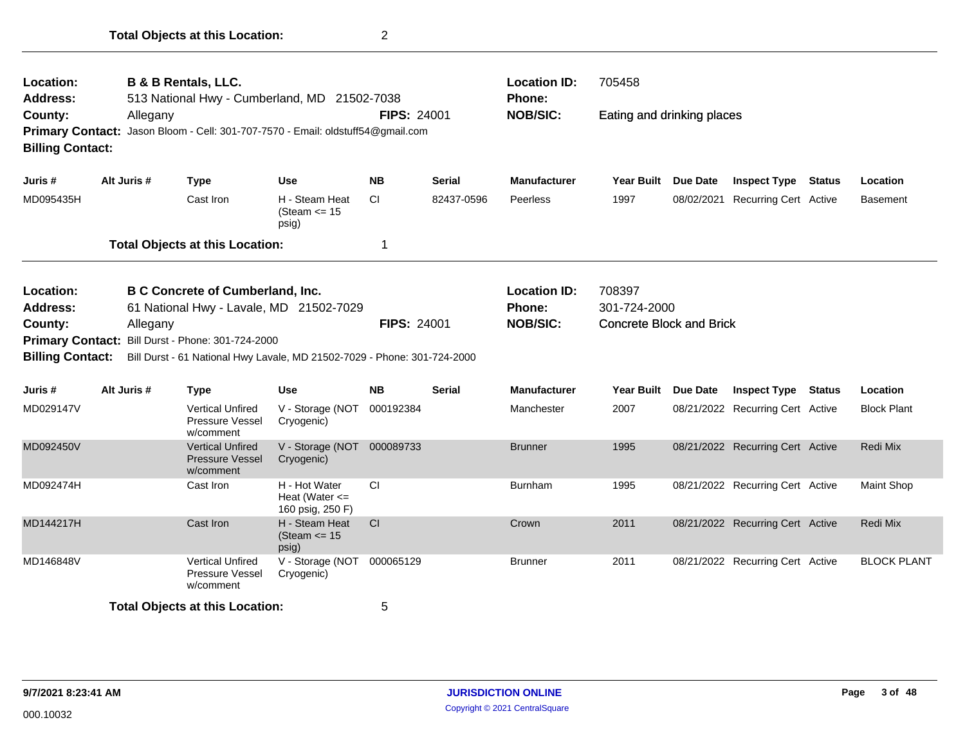| Location:<br>Address:<br>County:<br><b>Primary Contact:</b><br><b>Billing Contact:</b>        | Allegany    | <b>B &amp; B Rentals, LLC.</b><br>513 National Hwy - Cumberland, MD 21502-7038<br>Jason Bloom - Cell: 301-707-7570 - Email: oldstuff54@gmail.com                                                   |                                                         | <b>FIPS: 24001</b> |               | <b>Location ID:</b><br>Phone:<br><b>NOB/SIC:</b>        | 705458<br>Eating and drinking places                      |            |                                  |                    |
|-----------------------------------------------------------------------------------------------|-------------|----------------------------------------------------------------------------------------------------------------------------------------------------------------------------------------------------|---------------------------------------------------------|--------------------|---------------|---------------------------------------------------------|-----------------------------------------------------------|------------|----------------------------------|--------------------|
| Juris #                                                                                       | Alt Juris # | <b>Type</b>                                                                                                                                                                                        | <b>Use</b>                                              | <b>NB</b>          | Serial        | <b>Manufacturer</b>                                     | Year Built                                                | Due Date   | <b>Inspect Type Status</b>       | Location           |
| MD095435H                                                                                     |             | Cast Iron                                                                                                                                                                                          | H - Steam Heat<br>(Steam $\le$ 15<br>psig)              | СI                 | 82437-0596    | Peerless                                                | 1997                                                      | 08/02/2021 | <b>Recurring Cert Active</b>     | Basement           |
|                                                                                               |             | <b>Total Objects at this Location:</b>                                                                                                                                                             |                                                         | 1                  |               |                                                         |                                                           |            |                                  |                    |
| Location:<br><b>Address:</b><br>County:<br><b>Primary Contact:</b><br><b>Billing Contact:</b> | Allegany    | <b>B C Concrete of Cumberland, Inc.</b><br>61 National Hwy - Lavale, MD 21502-7029<br>Bill Durst - Phone: 301-724-2000<br>Bill Durst - 61 National Hwy Lavale, MD 21502-7029 - Phone: 301-724-2000 |                                                         | <b>FIPS: 24001</b> |               | <b>Location ID:</b><br><b>Phone:</b><br><b>NOB/SIC:</b> | 708397<br>301-724-2000<br><b>Concrete Block and Brick</b> |            |                                  |                    |
| Juris #                                                                                       | Alt Juris # | <b>Type</b>                                                                                                                                                                                        | Use                                                     | <b>NB</b>          | <b>Serial</b> | <b>Manufacturer</b>                                     | Year Built Due Date                                       |            | <b>Inspect Type Status</b>       | Location           |
| MD029147V                                                                                     |             | <b>Vertical Unfired</b><br>Pressure Vessel<br>w/comment                                                                                                                                            | V - Storage (NOT<br>Cryogenic)                          | 000192384          |               | Manchester                                              | 2007                                                      |            | 08/21/2022 Recurring Cert Active | <b>Block Plant</b> |
| MD092450V                                                                                     |             | <b>Vertical Unfired</b><br><b>Pressure Vessel</b><br>w/comment                                                                                                                                     | V - Storage (NOT 000089733<br>Cryogenic)                |                    |               | <b>Brunner</b>                                          | 1995                                                      |            | 08/21/2022 Recurring Cert Active | Redi Mix           |
| MD092474H                                                                                     |             | Cast Iron                                                                                                                                                                                          | H - Hot Water<br>Heat (Water $\leq$<br>160 psig, 250 F) | <b>CI</b>          |               | <b>Burnham</b>                                          | 1995                                                      |            | 08/21/2022 Recurring Cert Active | <b>Maint Shop</b>  |
| MD144217H                                                                                     |             | Cast Iron                                                                                                                                                                                          | H - Steam Heat<br>(Steam $\le$ 15<br>psig)              | CI                 |               | Crown                                                   | 2011                                                      |            | 08/21/2022 Recurring Cert Active | Redi Mix           |
| MD146848V                                                                                     |             | <b>Vertical Unfired</b><br>Pressure Vessel<br>w/comment                                                                                                                                            | V - Storage (NOT<br>Cryogenic)                          | 000065129          |               | <b>Brunner</b>                                          | 2011                                                      |            | 08/21/2022 Recurring Cert Active | <b>BLOCK PLANT</b> |
|                                                                                               |             | <b>Total Objects at this Location:</b>                                                                                                                                                             |                                                         | 5                  |               |                                                         |                                                           |            |                                  |                    |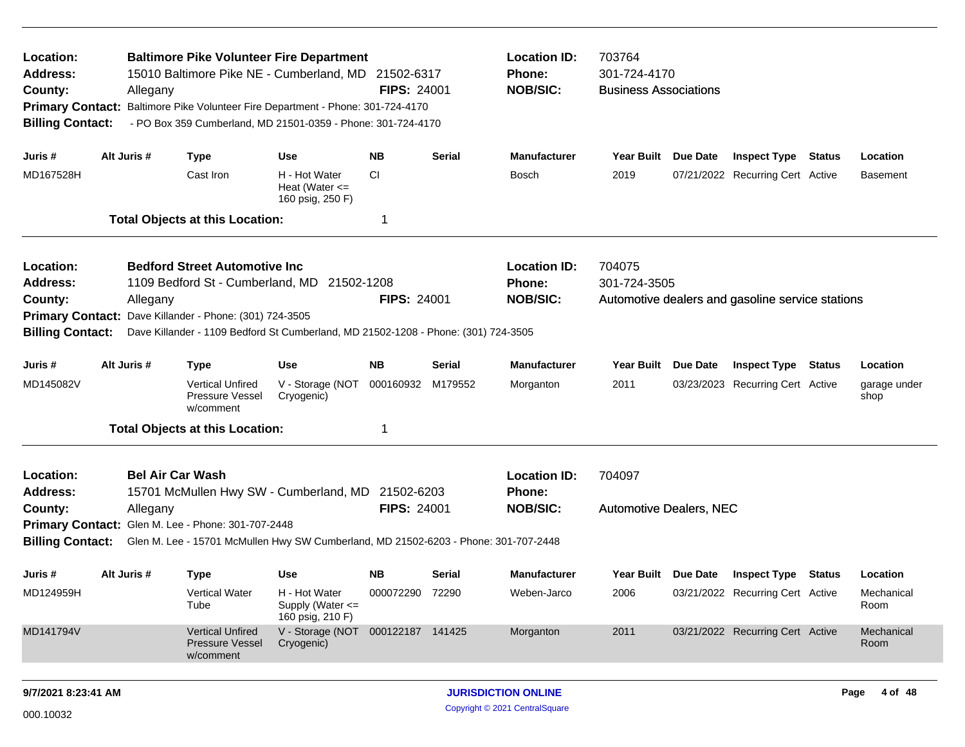| Location:<br>Address:<br>County:<br><b>Primary Contact:</b><br><b>Billing Contact:</b>                                                                                                                                                                                                                                                          |                                                                                                                                                                      | Allegany                                                                                                                                              | <b>Baltimore Pike Volunteer Fire Department</b><br>15010 Baltimore Pike NE - Cumberland, MD 21502-6317<br>Baltimore Pike Volunteer Fire Department - Phone: 301-724-4170<br>- PO Box 359 Cumberland, MD 21501-0359 - Phone: 301-724-4170 |                                                              | <b>FIPS: 24001</b>           |               | <b>Location ID:</b><br>Phone:<br><b>NOB/SIC:</b>                                                                                        | 703764<br>301-724-4170<br><b>Business Associations</b> |  |                                                  |               |                                |
|-------------------------------------------------------------------------------------------------------------------------------------------------------------------------------------------------------------------------------------------------------------------------------------------------------------------------------------------------|----------------------------------------------------------------------------------------------------------------------------------------------------------------------|-------------------------------------------------------------------------------------------------------------------------------------------------------|------------------------------------------------------------------------------------------------------------------------------------------------------------------------------------------------------------------------------------------|--------------------------------------------------------------|------------------------------|---------------|-----------------------------------------------------------------------------------------------------------------------------------------|--------------------------------------------------------|--|--------------------------------------------------|---------------|--------------------------------|
| Juris #                                                                                                                                                                                                                                                                                                                                         |                                                                                                                                                                      | Alt Juris #                                                                                                                                           | <b>Type</b>                                                                                                                                                                                                                              | <b>Use</b>                                                   | <b>NB</b>                    | <b>Serial</b> | <b>Manufacturer</b>                                                                                                                     | Year Built Due Date                                    |  | <b>Inspect Type Status</b>                       |               | Location                       |
| MD167528H                                                                                                                                                                                                                                                                                                                                       |                                                                                                                                                                      |                                                                                                                                                       | Cast Iron                                                                                                                                                                                                                                | H - Hot Water<br>Heat (Water $\leq$<br>160 psig, 250 F)      | <b>CI</b>                    |               | Bosch                                                                                                                                   | 2019                                                   |  | 07/21/2022 Recurring Cert Active                 |               | <b>Basement</b>                |
|                                                                                                                                                                                                                                                                                                                                                 |                                                                                                                                                                      |                                                                                                                                                       | <b>Total Objects at this Location:</b>                                                                                                                                                                                                   |                                                              | 1                            |               |                                                                                                                                         |                                                        |  |                                                  |               |                                |
| <b>Bedford Street Automotive Inc</b><br>Location:<br>1109 Bedford St - Cumberland, MD 21502-1208<br>Address:<br><b>FIPS: 24001</b><br>County:<br>Allegany<br><b>Primary Contact:</b><br>Dave Killander - Phone: (301) 724-3505<br><b>Billing Contact:</b><br>Dave Killander - 1109 Bedford St Cumberland, MD 21502-1208 - Phone: (301) 724-3505 |                                                                                                                                                                      |                                                                                                                                                       |                                                                                                                                                                                                                                          |                                                              |                              |               | <b>Location ID:</b><br><b>Phone:</b><br><b>NOB/SIC:</b>                                                                                 | 704075<br>301-724-3505                                 |  | Automotive dealers and gasoline service stations |               |                                |
| Juris #                                                                                                                                                                                                                                                                                                                                         |                                                                                                                                                                      | Alt Juris #<br><b>NB</b><br><b>Manufacturer</b><br><b>Year Built</b><br><b>Type</b><br><b>Use</b><br><b>Serial</b><br>Due Date<br><b>Inspect Type</b> |                                                                                                                                                                                                                                          |                                                              |                              |               |                                                                                                                                         |                                                        |  |                                                  | <b>Status</b> | Location                       |
| MD145082V                                                                                                                                                                                                                                                                                                                                       |                                                                                                                                                                      |                                                                                                                                                       | <b>Vertical Unfired</b><br>Pressure Vessel<br>w/comment                                                                                                                                                                                  | V - Storage (NOT<br>Cryogenic)                               | 000160932                    | M179552       | Morganton                                                                                                                               | 2011                                                   |  | 03/23/2023 Recurring Cert Active                 |               | garage under<br>shop           |
|                                                                                                                                                                                                                                                                                                                                                 |                                                                                                                                                                      |                                                                                                                                                       | <b>Total Objects at this Location:</b>                                                                                                                                                                                                   |                                                              | 1                            |               |                                                                                                                                         |                                                        |  |                                                  |               |                                |
| Location:<br><b>Address:</b><br>County:<br><b>Billing Contact:</b>                                                                                                                                                                                                                                                                              | <b>Bel Air Car Wash</b><br>15701 McMullen Hwy SW - Cumberland, MD 21502-6203<br><b>FIPS: 24001</b><br>Allegany<br>Primary Contact: Glen M. Lee - Phone: 301-707-2448 |                                                                                                                                                       |                                                                                                                                                                                                                                          |                                                              |                              |               | <b>Location ID:</b><br>Phone:<br><b>NOB/SIC:</b><br>Glen M. Lee - 15701 McMullen Hwy SW Cumberland, MD 21502-6203 - Phone: 301-707-2448 | 704097<br><b>Automotive Dealers, NEC</b>               |  |                                                  |               |                                |
|                                                                                                                                                                                                                                                                                                                                                 |                                                                                                                                                                      |                                                                                                                                                       |                                                                                                                                                                                                                                          |                                                              |                              |               |                                                                                                                                         |                                                        |  |                                                  |               |                                |
| Juris #<br>MD124959H                                                                                                                                                                                                                                                                                                                            |                                                                                                                                                                      | Alt Juris #                                                                                                                                           | <b>Type</b><br>Vertical Water<br>Tube                                                                                                                                                                                                    | Use<br>H - Hot Water<br>Supply (Water <=<br>160 psig, 210 F) | <b>NB</b><br>000072290 72290 | Serial        | <b>Manufacturer</b><br>Weben-Jarco                                                                                                      | Year Built Due Date<br>2006                            |  | Inspect Type<br>03/21/2022 Recurring Cert Active | Status        | Location<br>Mechanical<br>Room |
| MD141794V                                                                                                                                                                                                                                                                                                                                       |                                                                                                                                                                      |                                                                                                                                                       | <b>Vertical Unfired</b><br><b>Pressure Vessel</b><br>w/comment                                                                                                                                                                           | V - Storage (NOT 000122187 141425<br>Cryogenic)              |                              |               | Morganton                                                                                                                               | 2011                                                   |  | 03/21/2022 Recurring Cert Active                 |               | Mechanical<br>Room             |
| 9/7/2021 8:23:41 AM                                                                                                                                                                                                                                                                                                                             |                                                                                                                                                                      |                                                                                                                                                       |                                                                                                                                                                                                                                          |                                                              |                              |               | <b>JURISDICTION ONLINE</b>                                                                                                              |                                                        |  |                                                  |               | Page 4 of 48                   |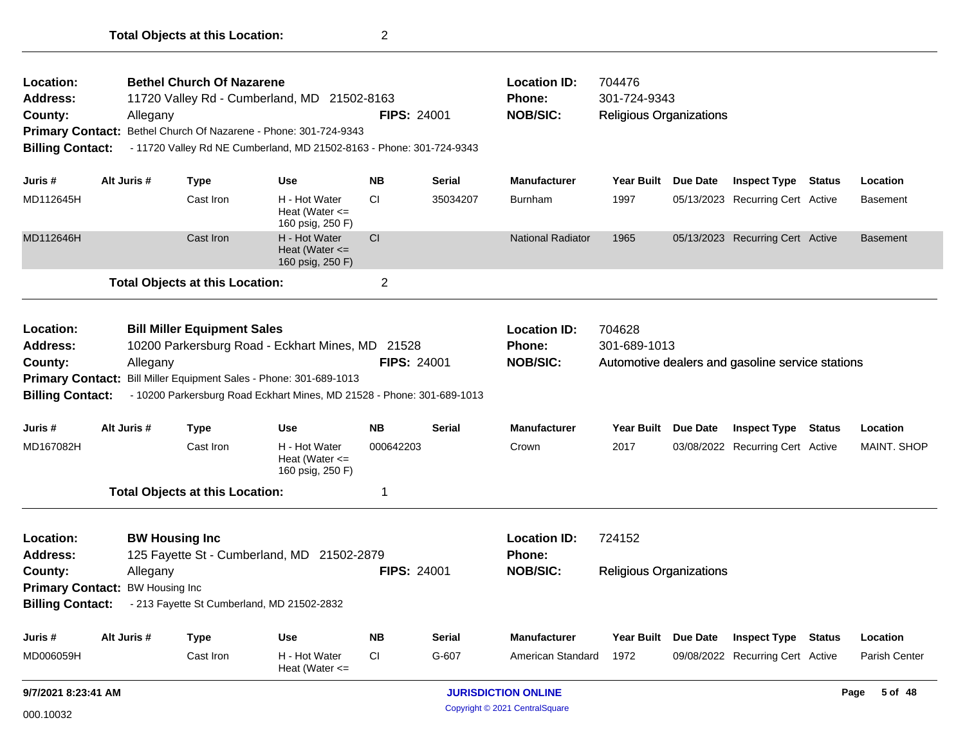| Location:<br><b>Address:</b><br>County:<br><b>Primary Contact:</b><br><b>Billing Contact:</b>                                                                                                                                                                                                                                           | Allegany                                                                                                                                                                                | <b>Bethel Church Of Nazarene</b>       | 11720 Valley Rd - Cumberland, MD 21502-8163<br>Bethel Church Of Nazarene - Phone: 301-724-9343<br>- 11720 Valley Rd NE Cumberland, MD 21502-8163 - Phone: 301-724-9343 | <b>FIPS: 24001</b>         |               | <b>Location ID:</b><br>Phone:<br><b>NOB/SIC:</b>        | 704476<br>301-724-9343<br><b>Religious Organizations</b> |                     |                                                  |        |                      |
|-----------------------------------------------------------------------------------------------------------------------------------------------------------------------------------------------------------------------------------------------------------------------------------------------------------------------------------------|-----------------------------------------------------------------------------------------------------------------------------------------------------------------------------------------|----------------------------------------|------------------------------------------------------------------------------------------------------------------------------------------------------------------------|----------------------------|---------------|---------------------------------------------------------|----------------------------------------------------------|---------------------|--------------------------------------------------|--------|----------------------|
| Juris #                                                                                                                                                                                                                                                                                                                                 | Alt Juris #                                                                                                                                                                             | Type                                   | <b>Use</b>                                                                                                                                                             | <b>NB</b>                  | <b>Serial</b> | <b>Manufacturer</b>                                     |                                                          | Year Built Due Date | <b>Inspect Type Status</b>                       |        | Location             |
| MD112645H                                                                                                                                                                                                                                                                                                                               |                                                                                                                                                                                         | Cast Iron                              | H - Hot Water<br>Heat (Water $\leq$<br>160 psig, 250 F)                                                                                                                | СI                         | 35034207      | Burnham                                                 | 1997                                                     |                     | 05/13/2023 Recurring Cert Active                 |        | <b>Basement</b>      |
| MD112646H                                                                                                                                                                                                                                                                                                                               |                                                                                                                                                                                         | Cast Iron                              | H - Hot Water<br>Heat (Water $\leq$<br>160 psig, 250 F)                                                                                                                | <b>CI</b>                  |               | <b>National Radiator</b>                                | 1965                                                     |                     | 05/13/2023 Recurring Cert Active                 |        | <b>Basement</b>      |
|                                                                                                                                                                                                                                                                                                                                         |                                                                                                                                                                                         | <b>Total Objects at this Location:</b> |                                                                                                                                                                        | $\overline{2}$             |               |                                                         |                                                          |                     |                                                  |        |                      |
| Location:<br><b>Bill Miller Equipment Sales</b><br>10200 Parkersburg Road - Eckhart Mines, MD 21528<br>Address:<br><b>FIPS: 24001</b><br>Allegany<br>County:<br>Primary Contact: Bill Miller Equipment Sales - Phone: 301-689-1013<br><b>Billing Contact:</b><br>- 10200 Parkersburg Road Eckhart Mines, MD 21528 - Phone: 301-689-1013 |                                                                                                                                                                                         |                                        |                                                                                                                                                                        |                            |               | <b>Location ID:</b><br><b>Phone:</b><br><b>NOB/SIC:</b> | 704628<br>301-689-1013                                   |                     | Automotive dealers and gasoline service stations |        |                      |
| Juris #                                                                                                                                                                                                                                                                                                                                 | Alt Juris #                                                                                                                                                                             | Type                                   | <b>Use</b>                                                                                                                                                             | <b>NB</b>                  | <b>Serial</b> | <b>Manufacturer</b>                                     | Year Built Due Date                                      |                     | <b>Inspect Type Status</b>                       |        | Location             |
| MD167082H                                                                                                                                                                                                                                                                                                                               |                                                                                                                                                                                         | Cast Iron                              | H - Hot Water<br>Heat (Water $\leq$<br>160 psig, 250 F)                                                                                                                | 000642203                  |               | Crown                                                   | 2017                                                     |                     | 03/08/2022 Recurring Cert Active                 |        | <b>MAINT. SHOP</b>   |
|                                                                                                                                                                                                                                                                                                                                         |                                                                                                                                                                                         | <b>Total Objects at this Location:</b> |                                                                                                                                                                        | 1                          |               |                                                         |                                                          |                     |                                                  |        |                      |
| Location:<br><b>Address:</b><br>County:<br><b>Billing Contact:</b>                                                                                                                                                                                                                                                                      | <b>BW Housing Inc.</b><br>125 Fayette St - Cumberland, MD 21502-2879<br><b>FIPS: 24001</b><br>Allegany<br>Primary Contact: BW Housing Inc<br>- 213 Fayette St Cumberland, MD 21502-2832 |                                        |                                                                                                                                                                        |                            |               | <b>Location ID:</b><br>Phone:<br><b>NOB/SIC:</b>        | 724152<br><b>Religious Organizations</b>                 |                     |                                                  |        |                      |
| Juris #                                                                                                                                                                                                                                                                                                                                 | Alt Juris #                                                                                                                                                                             | Type                                   | <b>Use</b>                                                                                                                                                             | <b>NB</b>                  | Serial        | <b>Manufacturer</b>                                     | Year Built Due Date                                      |                     | <b>Inspect Type</b>                              | Status | Location             |
| MD006059H                                                                                                                                                                                                                                                                                                                               |                                                                                                                                                                                         | Cast Iron                              | H - Hot Water<br>Heat (Water $\leq$                                                                                                                                    | СI                         | G-607         | American Standard                                       | 1972                                                     |                     | 09/08/2022 Recurring Cert Active                 |        | <b>Parish Center</b> |
| 9/7/2021 8:23:41 AM                                                                                                                                                                                                                                                                                                                     |                                                                                                                                                                                         |                                        |                                                                                                                                                                        | <b>JURISDICTION ONLINE</b> |               |                                                         |                                                          |                     | 5 of 48<br>Page                                  |        |                      |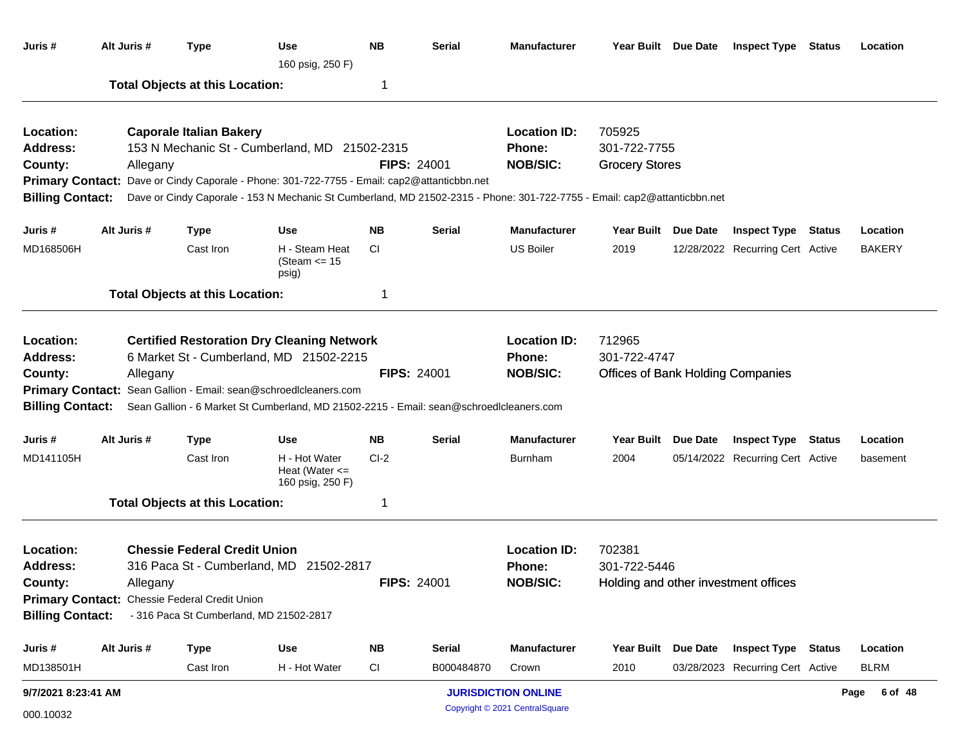| Juris #                                                            | Alt Juris #                                               | <b>Type</b>                                                                    | <b>Use</b><br>160 psig, 250 F)                                                                                                                                                                                                                                           | <b>NB</b>          | <b>Serial</b>                                           | <b>Manufacturer</b>                                     |                                                                    | Year Built Due Date                  | <b>Inspect Type</b>              | <b>Status</b> | Location        |
|--------------------------------------------------------------------|-----------------------------------------------------------|--------------------------------------------------------------------------------|--------------------------------------------------------------------------------------------------------------------------------------------------------------------------------------------------------------------------------------------------------------------------|--------------------|---------------------------------------------------------|---------------------------------------------------------|--------------------------------------------------------------------|--------------------------------------|----------------------------------|---------------|-----------------|
|                                                                    |                                                           | <b>Total Objects at this Location:</b>                                         |                                                                                                                                                                                                                                                                          | 1                  |                                                         |                                                         |                                                                    |                                      |                                  |               |                 |
| Location:<br><b>Address:</b><br>County:<br><b>Billing Contact:</b> | Allegany                                                  | <b>Caporale Italian Bakery</b>                                                 | 153 N Mechanic St - Cumberland, MD 21502-2315<br>Primary Contact: Dave or Cindy Caporale - Phone: 301-722-7755 - Email: cap2@attanticbbn.net<br>Dave or Cindy Caporale - 153 N Mechanic St Cumberland, MD 21502-2315 - Phone: 301-722-7755 - Email: cap2@attanticbbn.net |                    | <b>FIPS: 24001</b>                                      | <b>Location ID:</b><br><b>Phone:</b><br><b>NOB/SIC:</b> | 705925<br>301-722-7755<br><b>Grocery Stores</b>                    |                                      |                                  |               |                 |
| Juris #                                                            | Alt Juris #                                               | <b>Type</b>                                                                    | <b>Use</b>                                                                                                                                                                                                                                                               | <b>NB</b>          | <b>Serial</b>                                           | <b>Manufacturer</b>                                     | <b>Year Built</b>                                                  | <b>Due Date</b>                      | <b>Inspect Type Status</b>       |               | Location        |
| MD168506H                                                          |                                                           | Cast Iron                                                                      | H - Steam Heat<br>(Steam $\le$ 15<br>psig)                                                                                                                                                                                                                               | CI.                |                                                         | <b>US Boiler</b>                                        | 2019                                                               |                                      | 12/28/2022 Recurring Cert Active |               | <b>BAKERY</b>   |
|                                                                    |                                                           | <b>Total Objects at this Location:</b>                                         |                                                                                                                                                                                                                                                                          | 1                  |                                                         |                                                         |                                                                    |                                      |                                  |               |                 |
| Location:<br><b>Address:</b><br>County:<br><b>Billing Contact:</b> | Allegany                                                  |                                                                                | <b>Certified Restoration Dry Cleaning Network</b><br>6 Market St - Cumberland, MD 21502-2215<br>Primary Contact: Sean Gallion - Email: sean@schroedIcleaners.com<br>Sean Gallion - 6 Market St Cumberland, MD 21502-2215 - Email: sean@schroedlcleaners.com              |                    | <b>FIPS: 24001</b>                                      | <b>Location ID:</b><br>Phone:<br><b>NOB/SIC:</b>        | 712965<br>301-722-4747<br><b>Offices of Bank Holding Companies</b> |                                      |                                  |               |                 |
| Juris #                                                            | Alt Juris #                                               | <b>Type</b>                                                                    | Use                                                                                                                                                                                                                                                                      | <b>NB</b>          | <b>Serial</b>                                           | <b>Manufacturer</b>                                     | <b>Year Built</b>                                                  | <b>Due Date</b>                      | <b>Inspect Type Status</b>       |               | Location        |
| MD141105H                                                          |                                                           | Cast Iron                                                                      | H - Hot Water<br>Heat (Water $\leq$<br>160 psig, 250 F)                                                                                                                                                                                                                  | $Cl-2$             |                                                         | <b>Burnham</b>                                          | 2004                                                               |                                      | 05/14/2022 Recurring Cert Active |               | basement        |
|                                                                    |                                                           | <b>Total Objects at this Location:</b>                                         |                                                                                                                                                                                                                                                                          |                    |                                                         |                                                         |                                                                    |                                      |                                  |               |                 |
| Location:<br><b>Address:</b><br>County:<br><b>Billing Contact:</b> | Allegany<br>Primary Contact: Chessie Federal Credit Union | <b>Chessie Federal Credit Union</b><br>- 316 Paca St Cumberland, MD 21502-2817 | 316 Paca St - Cumberland, MD 21502-2817                                                                                                                                                                                                                                  | <b>FIPS: 24001</b> | <b>Location ID:</b><br><b>Phone:</b><br><b>NOB/SIC:</b> | 702381<br>301-722-5446                                  |                                                                    | Holding and other investment offices |                                  |               |                 |
| Juris#                                                             | Alt Juris #                                               | <b>Type</b>                                                                    | <b>Use</b>                                                                                                                                                                                                                                                               | <b>NB</b>          | <b>Serial</b>                                           | Manufacturer                                            | Year Built Due Date                                                |                                      | <b>Inspect Type Status</b>       |               | Location        |
| MD138501H                                                          |                                                           | Cast Iron                                                                      | H - Hot Water                                                                                                                                                                                                                                                            | <b>CI</b>          | B000484870                                              | Crown                                                   | 2010                                                               |                                      | 03/28/2023 Recurring Cert Active |               | <b>BLRM</b>     |
| 9/7/2021 8:23:41 AM                                                |                                                           |                                                                                |                                                                                                                                                                                                                                                                          |                    |                                                         | <b>JURISDICTION ONLINE</b>                              |                                                                    |                                      |                                  |               | 6 of 48<br>Page |

Copyright © 2021 CentralSquare 000.10032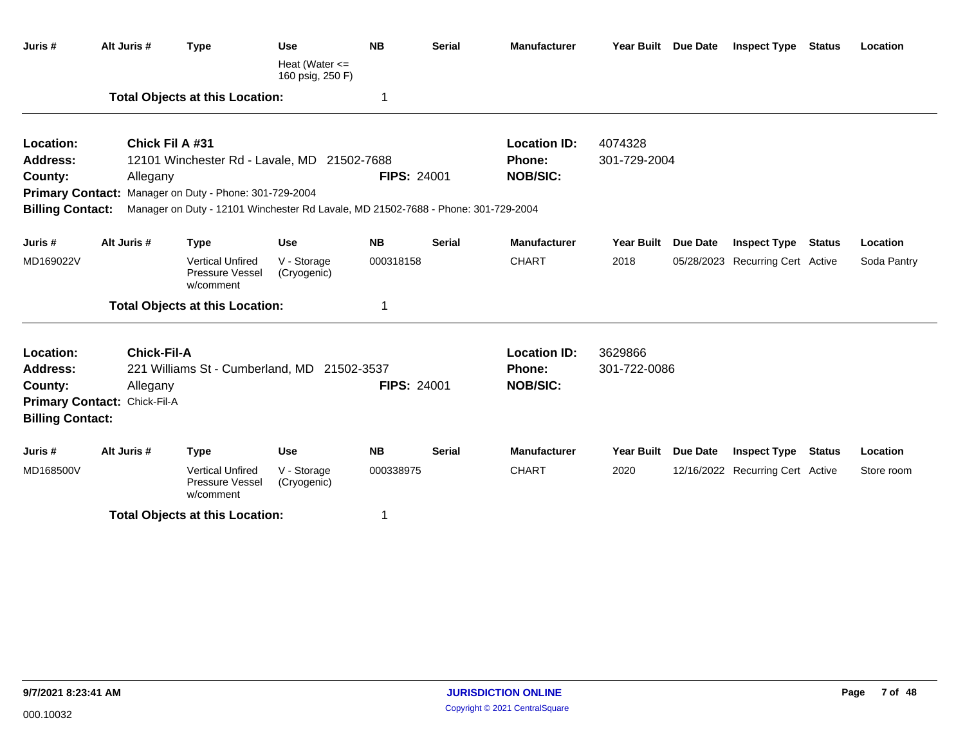| Juris #                 | Alt Juris #                  | <b>Type</b>                                                                       | <b>Use</b>                           | <b>NB</b>          | <b>Serial</b> | <b>Manufacturer</b> |                     | Year Built Due Date | <b>Inspect Type Status</b>       |               | Location    |
|-------------------------|------------------------------|-----------------------------------------------------------------------------------|--------------------------------------|--------------------|---------------|---------------------|---------------------|---------------------|----------------------------------|---------------|-------------|
|                         |                              |                                                                                   | Heat (Water $<=$<br>160 psig, 250 F) |                    |               |                     |                     |                     |                                  |               |             |
|                         |                              | <b>Total Objects at this Location:</b>                                            |                                      | -1                 |               |                     |                     |                     |                                  |               |             |
| Location:               |                              | <b>Chick Fil A #31</b>                                                            |                                      |                    |               | <b>Location ID:</b> | 4074328             |                     |                                  |               |             |
| Address:                |                              | 12101 Winchester Rd - Lavale, MD 21502-7688                                       |                                      |                    |               | <b>Phone:</b>       | 301-729-2004        |                     |                                  |               |             |
| County:                 | Allegany                     |                                                                                   |                                      | <b>FIPS: 24001</b> |               | <b>NOB/SIC:</b>     |                     |                     |                                  |               |             |
|                         |                              | Primary Contact: Manager on Duty - Phone: 301-729-2004                            |                                      |                    |               |                     |                     |                     |                                  |               |             |
| <b>Billing Contact:</b> |                              | Manager on Duty - 12101 Winchester Rd Lavale, MD 21502-7688 - Phone: 301-729-2004 |                                      |                    |               |                     |                     |                     |                                  |               |             |
| Juris #                 | Alt Juris #                  | <b>Type</b>                                                                       | <b>Use</b>                           | <b>NB</b>          | <b>Serial</b> | <b>Manufacturer</b> | <b>Year Built</b>   | <b>Due Date</b>     | <b>Inspect Type Status</b>       |               | Location    |
| MD169022V               |                              | <b>Vertical Unfired</b><br>Pressure Vessel<br>w/comment                           | V - Storage<br>(Cryogenic)           | 000318158          |               | <b>CHART</b>        | 2018                |                     | 05/28/2023 Recurring Cert Active |               | Soda Pantry |
|                         |                              | <b>Total Objects at this Location:</b>                                            |                                      | 1                  |               |                     |                     |                     |                                  |               |             |
| Location:               | <b>Chick-Fil-A</b>           |                                                                                   |                                      |                    |               | <b>Location ID:</b> | 3629866             |                     |                                  |               |             |
| Address:                |                              | 221 Williams St - Cumberland, MD 21502-3537                                       |                                      |                    |               | <b>Phone:</b>       | 301-722-0086        |                     |                                  |               |             |
| County:                 | Allegany                     |                                                                                   |                                      | <b>FIPS: 24001</b> |               | <b>NOB/SIC:</b>     |                     |                     |                                  |               |             |
|                         | Primary Contact: Chick-Fil-A |                                                                                   |                                      |                    |               |                     |                     |                     |                                  |               |             |
| <b>Billing Contact:</b> |                              |                                                                                   |                                      |                    |               |                     |                     |                     |                                  |               |             |
| Juris #                 | Alt Juris #                  | <b>Type</b>                                                                       | <b>Use</b>                           | <b>NB</b>          | <b>Serial</b> | <b>Manufacturer</b> | Year Built Due Date |                     | <b>Inspect Type</b>              | <b>Status</b> | Location    |
| MD168500V               |                              | <b>Vertical Unfired</b><br>Pressure Vessel<br>w/comment                           | V - Storage<br>(Cryogenic)           | 000338975          |               | <b>CHART</b>        | 2020                |                     | 12/16/2022 Recurring Cert Active |               | Store room  |
|                         |                              | <b>Total Objects at this Location:</b>                                            |                                      | -1                 |               |                     |                     |                     |                                  |               |             |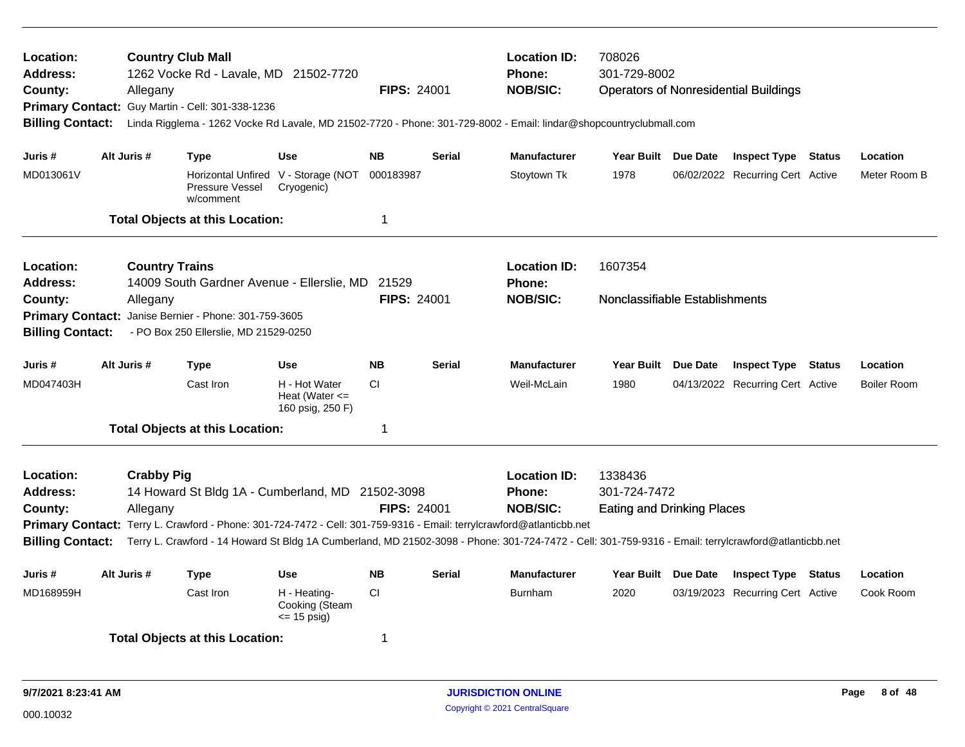| Location:<br><b>Address:</b><br>County:<br><b>Billing Contact:</b>                            | Allegany                      | <b>Country Club Mall</b><br>1262 Vocke Rd - Lavale, MD 21502-7720<br>Primary Contact: Guy Martin - Cell: 301-338-1236<br>Linda Rigglema - 1262 Vocke Rd Lavale, MD 21502-7720 - Phone: 301-729-8002 - Email: lindar@shopcountryclubmall.com                                                                                      | <b>FIPS: 24001</b>                                                    | <b>Location ID:</b><br>Phone:<br><b>NOB/SIC:</b> | 708026<br>301-729-8002 |                                                  | <b>Operators of Nonresidential Buildings</b>                 |                 |                                                                |        |                                |
|-----------------------------------------------------------------------------------------------|-------------------------------|----------------------------------------------------------------------------------------------------------------------------------------------------------------------------------------------------------------------------------------------------------------------------------------------------------------------------------|-----------------------------------------------------------------------|--------------------------------------------------|------------------------|--------------------------------------------------|--------------------------------------------------------------|-----------------|----------------------------------------------------------------|--------|--------------------------------|
| Juris #<br>MD013061V                                                                          | Alt Juris #                   | <b>Type</b><br>Pressure Vessel                                                                                                                                                                                                                                                                                                   | <b>Use</b><br>Horizontal Unfired V - Storage (NOT<br>Cryogenic)       | <b>NB</b><br>000183987                           | <b>Serial</b>          | <b>Manufacturer</b><br>Stoytown Tk               | Year Built Due Date<br>1978                                  |                 | <b>Inspect Type Status</b><br>06/02/2022 Recurring Cert Active |        | Location<br>Meter Room B       |
|                                                                                               |                               | w/comment<br><b>Total Objects at this Location:</b>                                                                                                                                                                                                                                                                              |                                                                       | -1                                               |                        |                                                  |                                                              |                 |                                                                |        |                                |
| Location:<br><b>Address:</b><br>County:<br><b>Primary Contact:</b><br><b>Billing Contact:</b> | Allegany                      | <b>Country Trains</b><br>14009 South Gardner Avenue - Ellerslie, MD 21529<br>Janise Bernier - Phone: 301-759-3605<br>- PO Box 250 Ellerslie, MD 21529-0250                                                                                                                                                                       |                                                                       | <b>FIPS: 24001</b>                               |                        | <b>Location ID:</b><br>Phone:<br><b>NOB/SIC:</b> | 1607354<br>Nonclassifiable Establishments                    |                 |                                                                |        |                                |
| Juris#<br>MD047403H                                                                           | Alt Juris #                   | <b>Type</b><br>Cast Iron<br><b>Total Objects at this Location:</b>                                                                                                                                                                                                                                                               | <b>Use</b><br>H - Hot Water<br>Heat (Water $\leq$<br>160 psig, 250 F) | <b>NB</b><br>CI.<br>-1                           | <b>Serial</b>          | <b>Manufacturer</b><br>Weil-McLain               | <b>Year Built</b><br>1980                                    | Due Date        | <b>Inspect Type</b><br>04/13/2022 Recurring Cert Active        | Status | Location<br><b>Boiler Room</b> |
| <b>Location:</b><br><b>Address:</b><br>County:<br><b>Billing Contact:</b>                     | <b>Crabby Pig</b><br>Allegany | 14 Howard St Bldg 1A - Cumberland, MD 21502-3098<br>Primary Contact: Terry L. Crawford - Phone: 301-724-7472 - Cell: 301-759-9316 - Email: terrylcrawford@atlanticbb.net<br>Terry L. Crawford - 14 Howard St Bldg 1A Cumberland, MD 21502-3098 - Phone: 301-724-7472 - Cell: 301-759-9316 - Email: terrylcrawford@atlanticbb.net |                                                                       | <b>FIPS: 24001</b>                               |                        | <b>Location ID:</b><br>Phone:<br><b>NOB/SIC:</b> | 1338436<br>301-724-7472<br><b>Eating and Drinking Places</b> |                 |                                                                |        |                                |
| Juris #<br>MD168959H                                                                          | Alt Juris #                   | <b>Type</b><br>Cast Iron                                                                                                                                                                                                                                                                                                         | <b>Use</b><br>H - Heating-<br>Cooking (Steam                          | <b>NB</b><br>CI                                  | <b>Serial</b>          | <b>Manufacturer</b><br><b>Burnham</b>            | <b>Year Built</b><br>2020                                    | <b>Due Date</b> | <b>Inspect Type Status</b><br>03/19/2023 Recurring Cert Active |        | Location<br>Cook Room          |
|                                                                                               |                               | <b>Total Objects at this Location:</b>                                                                                                                                                                                                                                                                                           | $= 15$ psig)                                                          | $\mathbf 1$                                      |                        |                                                  |                                                              |                 |                                                                |        |                                |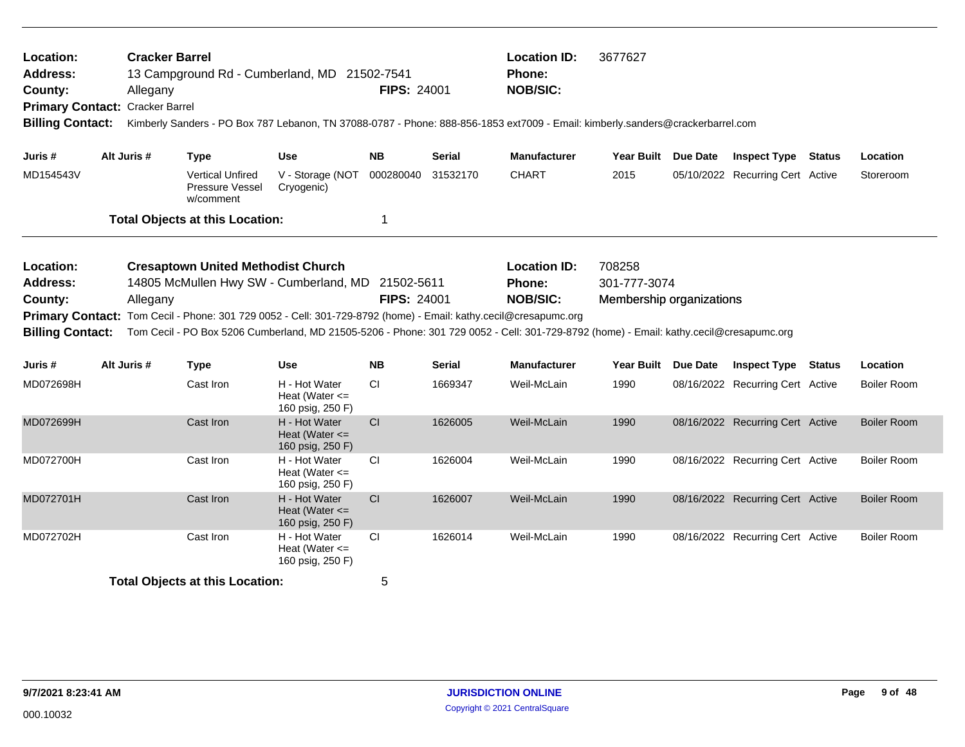| <b>Cracker Barrel</b><br>Location:<br><b>Address:</b><br>13 Campground Rd - Cumberland, MD 21502-7541<br>County:<br>Allegany<br>Primary Contact: Cracker Barrel<br><b>Billing Contact:</b><br>Kimberly Sanders - PO Box 787 Lebanon, TN 37088-0787 - Phone: 888-856-1853 ext7009 - Email: kimberly.sanders@crackerbarrel.com<br>Alt Juris #<br><b>Use</b><br><b>Type</b> |                                        |             |                                                                                                                                                                                                  |                                                         | <b>FIPS: 24001</b> |               | <b>Location ID:</b><br>Phone:<br><b>NOB/SIC:</b>                                                                                                                                           | 3677627                                            |                                  |                    |
|--------------------------------------------------------------------------------------------------------------------------------------------------------------------------------------------------------------------------------------------------------------------------------------------------------------------------------------------------------------------------|----------------------------------------|-------------|--------------------------------------------------------------------------------------------------------------------------------------------------------------------------------------------------|---------------------------------------------------------|--------------------|---------------|--------------------------------------------------------------------------------------------------------------------------------------------------------------------------------------------|----------------------------------------------------|----------------------------------|--------------------|
| Juris #                                                                                                                                                                                                                                                                                                                                                                  |                                        |             |                                                                                                                                                                                                  |                                                         | <b>NB</b>          | <b>Serial</b> | <b>Manufacturer</b>                                                                                                                                                                        | Year Built Due Date                                | <b>Inspect Type Status</b>       | Location           |
| MD154543V                                                                                                                                                                                                                                                                                                                                                                |                                        |             | <b>Vertical Unfired</b><br>Pressure Vessel<br>w/comment                                                                                                                                          | V - Storage (NOT<br>Cryogenic)                          | 000280040          | 31532170      | <b>CHART</b>                                                                                                                                                                               | 2015                                               | 05/10/2022 Recurring Cert Active | Storeroom          |
|                                                                                                                                                                                                                                                                                                                                                                          |                                        |             | <b>Total Objects at this Location:</b>                                                                                                                                                           |                                                         | 1                  |               |                                                                                                                                                                                            |                                                    |                                  |                    |
| Location:<br><b>Address:</b><br>County:<br><b>Primary Contact:</b><br><b>Billing Contact:</b>                                                                                                                                                                                                                                                                            |                                        | Allegany    | <b>Cresaptown United Methodist Church</b><br>14805 McMullen Hwy SW - Cumberland, MD 21502-5611<br>Tom Cecil - Phone: 301 729 0052 - Cell: 301-729-8792 (home) - Email: kathy.cecil@cresapumc.org |                                                         | <b>FIPS: 24001</b> |               | <b>Location ID:</b><br>Phone:<br><b>NOB/SIC:</b><br>Tom Cecil - PO Box 5206 Cumberland, MD 21505-5206 - Phone: 301 729 0052 - Cell: 301-729-8792 (home) - Email: kathy.cecil@cresapumc.org | 708258<br>301-777-3074<br>Membership organizations |                                  |                    |
| Juris #                                                                                                                                                                                                                                                                                                                                                                  |                                        | Alt Juris # | <b>Type</b>                                                                                                                                                                                      | <b>Use</b>                                              | <b>NB</b>          | <b>Serial</b> | <b>Manufacturer</b>                                                                                                                                                                        | Year Built Due Date                                | <b>Inspect Type Status</b>       | Location           |
| MD072698H                                                                                                                                                                                                                                                                                                                                                                |                                        |             | Cast Iron                                                                                                                                                                                        | H - Hot Water<br>Heat (Water $\leq$<br>160 psig, 250 F) | <b>CI</b>          | 1669347       | Weil-McLain                                                                                                                                                                                | 1990                                               | 08/16/2022 Recurring Cert Active | <b>Boiler Room</b> |
| MD072699H                                                                                                                                                                                                                                                                                                                                                                |                                        |             | Cast Iron                                                                                                                                                                                        | H - Hot Water<br>Heat (Water $\leq$<br>160 psig, 250 F) | CI                 | 1626005       | Weil-McLain                                                                                                                                                                                | 1990                                               | 08/16/2022 Recurring Cert Active | <b>Boiler Room</b> |
| MD072700H                                                                                                                                                                                                                                                                                                                                                                |                                        |             | Cast Iron                                                                                                                                                                                        | H - Hot Water<br>Heat (Water $\leq$<br>160 psig, 250 F) | CI                 | 1626004       | Weil-McLain                                                                                                                                                                                | 1990                                               | 08/16/2022 Recurring Cert Active | <b>Boiler Room</b> |
| MD072701H                                                                                                                                                                                                                                                                                                                                                                |                                        |             | Cast Iron                                                                                                                                                                                        | H - Hot Water<br>Heat (Water $\leq$<br>160 psig, 250 F) | CI                 | 1626007       | Weil-McLain                                                                                                                                                                                | 1990                                               | 08/16/2022 Recurring Cert Active | <b>Boiler Room</b> |
| MD072702H                                                                                                                                                                                                                                                                                                                                                                |                                        |             | Cast Iron                                                                                                                                                                                        | H - Hot Water<br>Heat (Water $\leq$<br>160 psig, 250 F) | CI                 | 1626014       | Weil-McLain                                                                                                                                                                                | 1990                                               | 08/16/2022 Recurring Cert Active | <b>Boiler Room</b> |
|                                                                                                                                                                                                                                                                                                                                                                          | <b>Total Objects at this Location:</b> |             |                                                                                                                                                                                                  |                                                         |                    |               |                                                                                                                                                                                            |                                                    |                                  |                    |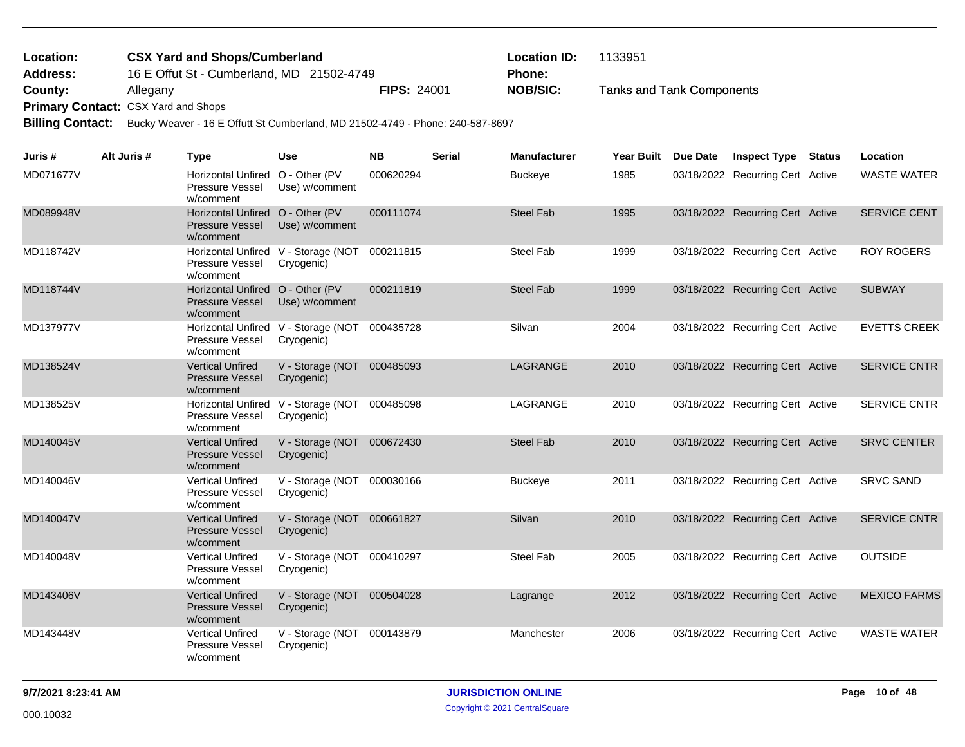Tanks and Tank Components 16 E Offut St - Cumberland, MD 21502-4749 **County:** Allegany **Nobel Allegany Nobel Allegany NOB/SIC: NOB/SIC: CSX Yard and Shops/Cumberland Location ID:** 1133951 **Address: Location: Phone:**

Primary Contact: CSX Yard and Shops

**Billing Contact:** Bucky Weaver - 16 E Offutt St Cumberland, MD 21502-4749 - Phone: 240-587-8697

| Juris #   | Alt Juris # | <b>Type</b>                                                             | <b>Use</b>                                                  | <b>NB</b> | <b>Serial</b> | <b>Manufacturer</b> | <b>Year Built</b> | <b>Due Date</b> | <b>Inspect Type</b>              | Status | Location            |
|-----------|-------------|-------------------------------------------------------------------------|-------------------------------------------------------------|-----------|---------------|---------------------|-------------------|-----------------|----------------------------------|--------|---------------------|
| MD071677V |             | Horizontal Unfired O - Other (PV<br>Pressure Vessel<br>w/comment        | Use) w/comment                                              | 000620294 |               | <b>Buckeye</b>      | 1985              |                 | 03/18/2022 Recurring Cert Active |        | <b>WASTE WATER</b>  |
| MD089948V |             | Horizontal Unfired O - Other (PV<br><b>Pressure Vessel</b><br>w/comment | Use) w/comment                                              | 000111074 |               | <b>Steel Fab</b>    | 1995              |                 | 03/18/2022 Recurring Cert Active |        | <b>SERVICE CENT</b> |
| MD118742V |             | Pressure Vessel<br>w/comment                                            | Horizontal Unfired V - Storage (NOT<br>Cryogenic)           | 000211815 |               | <b>Steel Fab</b>    | 1999              |                 | 03/18/2022 Recurring Cert Active |        | <b>ROY ROGERS</b>   |
| MD118744V |             | Horizontal Unfired O - Other (PV<br><b>Pressure Vessel</b><br>w/comment | Use) w/comment                                              | 000211819 |               | <b>Steel Fab</b>    | 1999              |                 | 03/18/2022 Recurring Cert Active |        | <b>SUBWAY</b>       |
| MD137977V |             | Pressure Vessel<br>w/comment                                            | Horizontal Unfired V - Storage (NOT 000435728<br>Cryogenic) |           |               | Silvan              | 2004              |                 | 03/18/2022 Recurring Cert Active |        | <b>EVETTS CREEK</b> |
| MD138524V |             | <b>Vertical Unfired</b><br><b>Pressure Vessel</b><br>w/comment          | V - Storage (NOT 000485093<br>Cryogenic)                    |           |               | LAGRANGE            | 2010              |                 | 03/18/2022 Recurring Cert Active |        | <b>SERVICE CNTR</b> |
| MD138525V |             | Pressure Vessel<br>w/comment                                            | Horizontal Unfired V - Storage (NOT 000485098<br>Cryogenic) |           |               | LAGRANGE            | 2010              |                 | 03/18/2022 Recurring Cert Active |        | SERVICE CNTR        |
| MD140045V |             | <b>Vertical Unfired</b><br><b>Pressure Vessel</b><br>w/comment          | V - Storage (NOT 000672430<br>Cryogenic)                    |           |               | <b>Steel Fab</b>    | 2010              |                 | 03/18/2022 Recurring Cert Active |        | <b>SRVC CENTER</b>  |
| MD140046V |             | <b>Vertical Unfired</b><br>Pressure Vessel<br>w/comment                 | V - Storage (NOT 000030166<br>Cryogenic)                    |           |               | <b>Buckeye</b>      | 2011              |                 | 03/18/2022 Recurring Cert Active |        | <b>SRVC SAND</b>    |
| MD140047V |             | <b>Vertical Unfired</b><br><b>Pressure Vessel</b><br>w/comment          | V - Storage (NOT 000661827<br>Cryogenic)                    |           |               | Silvan              | 2010              |                 | 03/18/2022 Recurring Cert Active |        | <b>SERVICE CNTR</b> |
| MD140048V |             | <b>Vertical Unfired</b><br>Pressure Vessel<br>w/comment                 | V - Storage (NOT 000410297<br>Cryogenic)                    |           |               | <b>Steel Fab</b>    | 2005              |                 | 03/18/2022 Recurring Cert Active |        | <b>OUTSIDE</b>      |
| MD143406V |             | <b>Vertical Unfired</b><br><b>Pressure Vessel</b><br>w/comment          | V - Storage (NOT 000504028<br>Cryogenic)                    |           |               | Lagrange            | 2012              |                 | 03/18/2022 Recurring Cert Active |        | <b>MEXICO FARMS</b> |
| MD143448V |             | <b>Vertical Unfired</b><br>Pressure Vessel<br>w/comment                 | V - Storage (NOT 000143879<br>Cryogenic)                    |           |               | Manchester          | 2006              |                 | 03/18/2022 Recurring Cert Active |        | <b>WASTE WATER</b>  |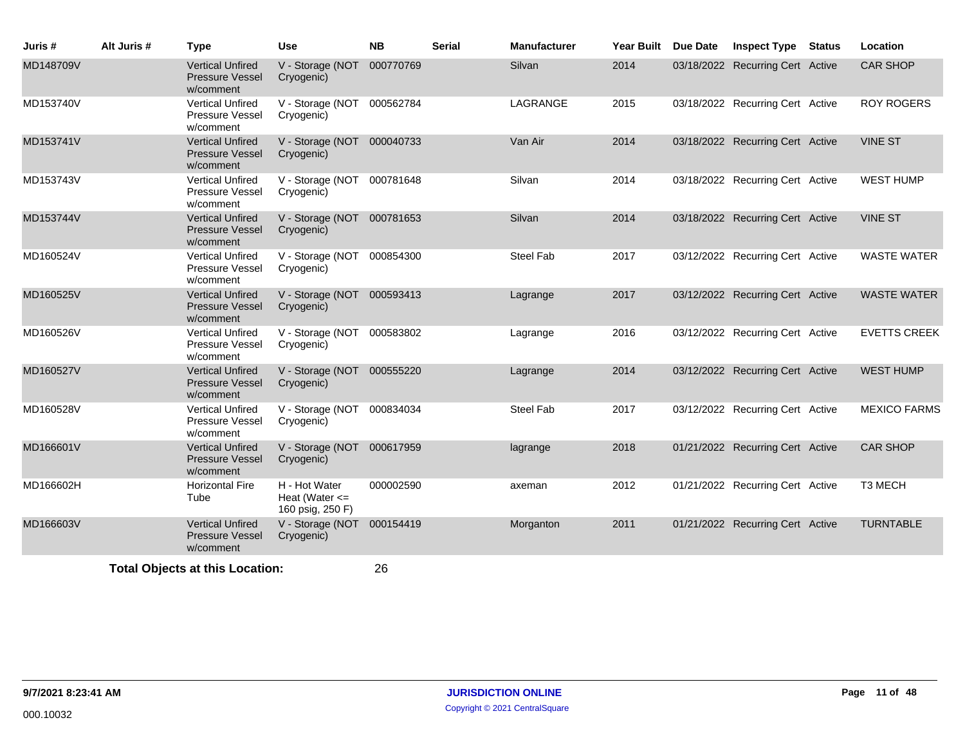| Juris #   | Alt Juris # | <b>Type</b>                                                    | <b>Use</b>                                              | <b>NB</b> | <b>Serial</b> | <b>Manufacturer</b> | Year Built | <b>Due Date</b> | <b>Inspect Type Status</b>       | Location            |
|-----------|-------------|----------------------------------------------------------------|---------------------------------------------------------|-----------|---------------|---------------------|------------|-----------------|----------------------------------|---------------------|
| MD148709V |             | <b>Vertical Unfired</b><br><b>Pressure Vessel</b><br>w/comment | V - Storage (NOT 000770769<br>Cryogenic)                |           |               | Silvan              | 2014       |                 | 03/18/2022 Recurring Cert Active | <b>CAR SHOP</b>     |
| MD153740V |             | <b>Vertical Unfired</b><br>Pressure Vessel<br>w/comment        | V - Storage (NOT 000562784<br>Cryogenic)                |           |               | LAGRANGE            | 2015       |                 | 03/18/2022 Recurring Cert Active | <b>ROY ROGERS</b>   |
| MD153741V |             | <b>Vertical Unfired</b><br><b>Pressure Vessel</b><br>w/comment | V - Storage (NOT 000040733<br>Cryogenic)                |           |               | Van Air             | 2014       |                 | 03/18/2022 Recurring Cert Active | <b>VINE ST</b>      |
| MD153743V |             | <b>Vertical Unfired</b><br>Pressure Vessel<br>w/comment        | V - Storage (NOT 000781648<br>Cryogenic)                |           |               | Silvan              | 2014       |                 | 03/18/2022 Recurring Cert Active | <b>WEST HUMP</b>    |
| MD153744V |             | <b>Vertical Unfired</b><br><b>Pressure Vessel</b><br>w/comment | V - Storage (NOT 000781653<br>Cryogenic)                |           |               | Silvan              | 2014       |                 | 03/18/2022 Recurring Cert Active | <b>VINE ST</b>      |
| MD160524V |             | <b>Vertical Unfired</b><br>Pressure Vessel<br>w/comment        | V - Storage (NOT 000854300<br>Cryogenic)                |           |               | <b>Steel Fab</b>    | 2017       |                 | 03/12/2022 Recurring Cert Active | <b>WASTE WATER</b>  |
| MD160525V |             | <b>Vertical Unfired</b><br><b>Pressure Vessel</b><br>w/comment | V - Storage (NOT 000593413<br>Cryogenic)                |           |               | Lagrange            | 2017       |                 | 03/12/2022 Recurring Cert Active | <b>WASTE WATER</b>  |
| MD160526V |             | <b>Vertical Unfired</b><br>Pressure Vessel<br>w/comment        | V - Storage (NOT 000583802<br>Cryogenic)                |           |               | Lagrange            | 2016       |                 | 03/12/2022 Recurring Cert Active | <b>EVETTS CREEK</b> |
| MD160527V |             | <b>Vertical Unfired</b><br>Pressure Vessel<br>w/comment        | V - Storage (NOT 000555220<br>Cryogenic)                |           |               | Lagrange            | 2014       |                 | 03/12/2022 Recurring Cert Active | <b>WEST HUMP</b>    |
| MD160528V |             | <b>Vertical Unfired</b><br>Pressure Vessel<br>w/comment        | V - Storage (NOT 000834034<br>Cryogenic)                |           |               | Steel Fab           | 2017       |                 | 03/12/2022 Recurring Cert Active | <b>MEXICO FARMS</b> |
| MD166601V |             | <b>Vertical Unfired</b><br><b>Pressure Vessel</b><br>w/comment | V - Storage (NOT 000617959<br>Cryogenic)                |           |               | lagrange            | 2018       |                 | 01/21/2022 Recurring Cert Active | <b>CAR SHOP</b>     |
| MD166602H |             | <b>Horizontal Fire</b><br>Tube                                 | H - Hot Water<br>Heat (Water $\leq$<br>160 psig, 250 F) | 000002590 |               | axeman              | 2012       |                 | 01/21/2022 Recurring Cert Active | <b>T3 MECH</b>      |
| MD166603V |             | <b>Vertical Unfired</b><br><b>Pressure Vessel</b><br>w/comment | V - Storage (NOT 000154419<br>Cryogenic)                |           |               | Morganton           | 2011       |                 | 01/21/2022 Recurring Cert Active | <b>TURNTABLE</b>    |
|           |             | Total Ohiects at this Location:                                |                                                         | 26        |               |                     |            |                 |                                  |                     |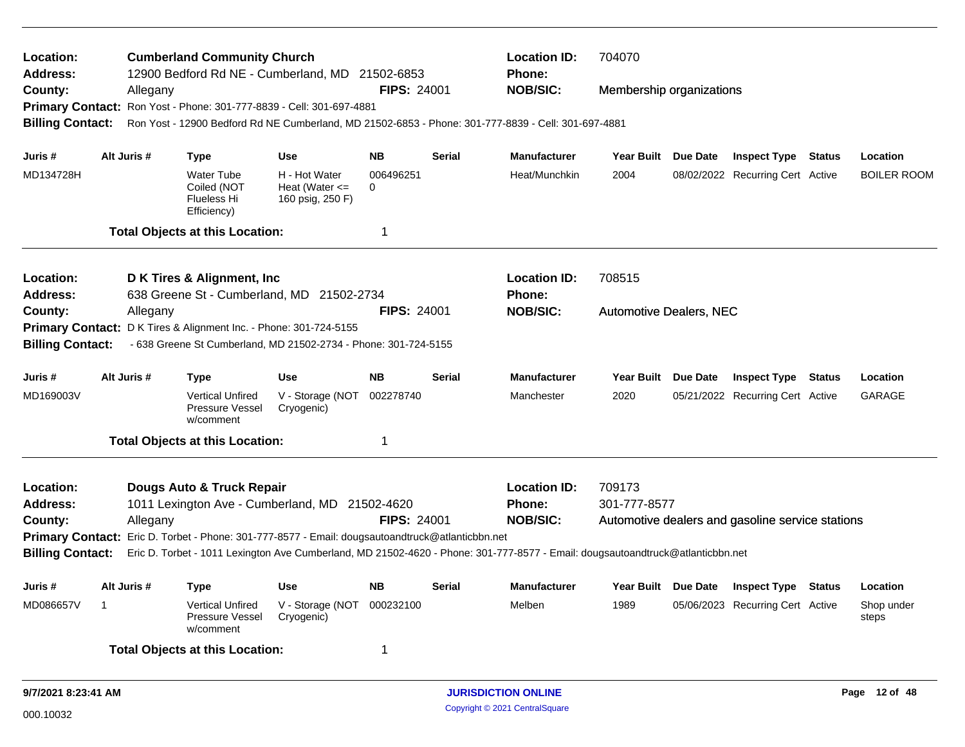| Location:<br><b>Address:</b><br>County: |    | Allegany    | <b>Cumberland Community Church</b>                                    | 12900 Bedford Rd NE - Cumberland, MD 21502-6853                                                  | <b>FIPS: 24001</b>    |               | <b>Location ID:</b><br><b>Phone:</b><br><b>NOB/SIC:</b>                                                                        | 704070<br>Membership organizations |                 |                                                  |               |                     |
|-----------------------------------------|----|-------------|-----------------------------------------------------------------------|--------------------------------------------------------------------------------------------------|-----------------------|---------------|--------------------------------------------------------------------------------------------------------------------------------|------------------------------------|-----------------|--------------------------------------------------|---------------|---------------------|
|                                         |    |             |                                                                       | Primary Contact: Ron Yost - Phone: 301-777-8839 - Cell: 301-697-4881                             |                       |               |                                                                                                                                |                                    |                 |                                                  |               |                     |
| <b>Billing Contact:</b>                 |    |             |                                                                       |                                                                                                  |                       |               | Ron Yost - 12900 Bedford Rd NE Cumberland, MD 21502-6853 - Phone: 301-777-8839 - Cell: 301-697-4881                            |                                    |                 |                                                  |               |                     |
|                                         |    |             |                                                                       |                                                                                                  |                       |               |                                                                                                                                |                                    |                 |                                                  |               |                     |
| Juris #                                 |    | Alt Juris # | <b>Type</b>                                                           | <b>Use</b>                                                                                       | <b>NB</b>             | Serial        | <b>Manufacturer</b>                                                                                                            | Year Built Due Date                |                 | <b>Inspect Type Status</b>                       |               | Location            |
| MD134728H                               |    |             | <b>Water Tube</b><br>Coiled (NOT<br><b>Flueless Hi</b><br>Efficiency) | H - Hot Water<br>Heat (Water $\leq$<br>160 psig, 250 F)                                          | 006496251<br>$\Omega$ |               | Heat/Munchkin                                                                                                                  | 2004                               |                 | 08/02/2022 Recurring Cert Active                 |               | BOILER ROOM         |
|                                         |    |             | <b>Total Objects at this Location:</b>                                |                                                                                                  | 1                     |               |                                                                                                                                |                                    |                 |                                                  |               |                     |
| Location:                               |    |             | D K Tires & Alignment, Inc.                                           |                                                                                                  |                       |               | <b>Location ID:</b>                                                                                                            | 708515                             |                 |                                                  |               |                     |
| <b>Address:</b>                         |    |             |                                                                       | 638 Greene St - Cumberland, MD 21502-2734                                                        |                       |               | <b>Phone:</b>                                                                                                                  |                                    |                 |                                                  |               |                     |
| County:                                 |    | Allegany    |                                                                       |                                                                                                  | <b>FIPS: 24001</b>    |               | <b>NOB/SIC:</b>                                                                                                                | <b>Automotive Dealers, NEC</b>     |                 |                                                  |               |                     |
|                                         |    |             | Primary Contact: D K Tires & Alignment Inc. - Phone: 301-724-5155     |                                                                                                  |                       |               |                                                                                                                                |                                    |                 |                                                  |               |                     |
| <b>Billing Contact:</b>                 |    |             |                                                                       | - 638 Greene St Cumberland, MD 21502-2734 - Phone: 301-724-5155                                  |                       |               |                                                                                                                                |                                    |                 |                                                  |               |                     |
| Juris #                                 |    | Alt Juris # | <b>Type</b>                                                           | <b>Use</b>                                                                                       | <b>NB</b>             | <b>Serial</b> | <b>Manufacturer</b>                                                                                                            | Year Built Due Date                |                 | <b>Inspect Type Status</b>                       |               | Location            |
| MD169003V                               |    |             | <b>Vertical Unfired</b><br><b>Pressure Vessel</b><br>w/comment        | V - Storage (NOT<br>Cryogenic)                                                                   | 002278740             |               | Manchester                                                                                                                     | 2020                               |                 | 05/21/2022 Recurring Cert Active                 |               | <b>GARAGE</b>       |
|                                         |    |             | <b>Total Objects at this Location:</b>                                |                                                                                                  | 1                     |               |                                                                                                                                |                                    |                 |                                                  |               |                     |
| Location:                               |    |             | Dougs Auto & Truck Repair                                             |                                                                                                  |                       |               | <b>Location ID:</b>                                                                                                            | 709173                             |                 |                                                  |               |                     |
| <b>Address:</b>                         |    |             |                                                                       | 1011 Lexington Ave - Cumberland, MD 21502-4620                                                   |                       |               | Phone:                                                                                                                         | 301-777-8577                       |                 |                                                  |               |                     |
| County:                                 |    | Allegany    |                                                                       |                                                                                                  | <b>FIPS: 24001</b>    |               | <b>NOB/SIC:</b>                                                                                                                |                                    |                 | Automotive dealers and gasoline service stations |               |                     |
|                                         |    |             |                                                                       | Primary Contact: Eric D. Torbet - Phone: 301-777-8577 - Email: dougsautoandtruck@atlanticbbn.net |                       |               |                                                                                                                                |                                    |                 |                                                  |               |                     |
| <b>Billing Contact:</b>                 |    |             |                                                                       |                                                                                                  |                       |               | Eric D. Torbet - 1011 Lexington Ave Cumberland, MD 21502-4620 - Phone: 301-777-8577 - Email: dougsautoandtruck@atlanticbbn.net |                                    |                 |                                                  |               |                     |
| Juris #                                 |    | Alt Juris # | <b>Type</b>                                                           | <b>Use</b>                                                                                       | <b>NB</b>             | Serial        | <b>Manufacturer</b>                                                                                                            | <b>Year Built</b>                  | <b>Due Date</b> | <b>Inspect Type</b>                              | <b>Status</b> | Location            |
| MD086657V                               | -1 |             | <b>Vertical Unfired</b><br>Pressure Vessel<br>w/comment               | V - Storage (NOT<br>Cryogenic)                                                                   | 000232100             |               | Melben                                                                                                                         | 1989                               |                 | 05/06/2023 Recurring Cert Active                 |               | Shop under<br>steps |
|                                         |    |             | <b>Total Objects at this Location:</b>                                |                                                                                                  | 1                     |               |                                                                                                                                |                                    |                 |                                                  |               |                     |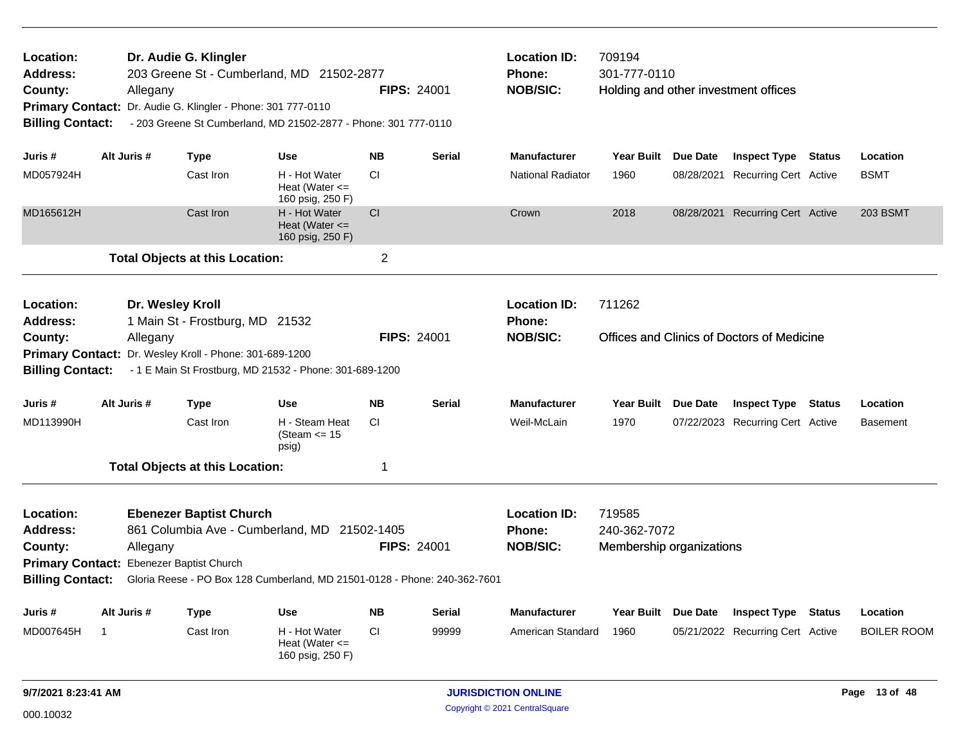| Location:<br><b>Address:</b><br>County:<br><b>Billing Contact:</b> | Allegany       | Dr. Audie G. Klingler<br>Primary Contact: Dr. Audie G. Klingler - Phone: 301 777-0110 | 203 Greene St - Cumberland, MD 21502-2877<br>- 203 Greene St Cumberland, MD 21502-2877 - Phone: 301 777-0110 |                | <b>FIPS: 24001</b> | <b>Location ID:</b><br><b>Phone:</b><br><b>NOB/SIC:</b> | 709194<br>301-777-0110                             |                     | Holding and other investment offices       |               |                    |
|--------------------------------------------------------------------|----------------|---------------------------------------------------------------------------------------|--------------------------------------------------------------------------------------------------------------|----------------|--------------------|---------------------------------------------------------|----------------------------------------------------|---------------------|--------------------------------------------|---------------|--------------------|
|                                                                    |                |                                                                                       |                                                                                                              |                |                    |                                                         |                                                    |                     |                                            |               |                    |
| Juris #                                                            | Alt Juris #    | <b>Type</b>                                                                           | <b>Use</b>                                                                                                   | <b>NB</b>      | <b>Serial</b>      | <b>Manufacturer</b>                                     |                                                    | Year Built Due Date | <b>Inspect Type Status</b>                 |               | Location           |
| MD057924H                                                          |                | Cast Iron                                                                             | H - Hot Water<br>Heat (Water $\leq$<br>160 psig, 250 F)                                                      | CI.            |                    | <b>National Radiator</b>                                | 1960                                               | 08/28/2021          | <b>Recurring Cert Active</b>               |               | <b>BSMT</b>        |
| MD165612H                                                          |                | Cast Iron                                                                             | H - Hot Water<br>Heat (Water $\leq$<br>160 psig, 250 F)                                                      | CI             |                    | Crown                                                   | 2018                                               |                     | 08/28/2021 Recurring Cert Active           |               | <b>203 BSMT</b>    |
|                                                                    |                | <b>Total Objects at this Location:</b>                                                |                                                                                                              | $\overline{2}$ |                    |                                                         |                                                    |                     |                                            |               |                    |
| Location:<br><b>Address:</b>                                       |                | Dr. Wesley Kroll<br>1 Main St - Frostburg, MD 21532                                   |                                                                                                              |                |                    | <b>Location ID:</b><br>Phone:                           | 711262                                             |                     |                                            |               |                    |
| County:                                                            | Allegany       |                                                                                       |                                                                                                              |                | <b>FIPS: 24001</b> | <b>NOB/SIC:</b>                                         |                                                    |                     | Offices and Clinics of Doctors of Medicine |               |                    |
|                                                                    |                | Primary Contact: Dr. Wesley Kroll - Phone: 301-689-1200                               |                                                                                                              |                |                    |                                                         |                                                    |                     |                                            |               |                    |
| <b>Billing Contact:</b>                                            |                |                                                                                       | - 1 E Main St Frostburg, MD 21532 - Phone: 301-689-1200                                                      |                |                    |                                                         |                                                    |                     |                                            |               |                    |
| Juris #                                                            | Alt Juris #    | <b>Type</b>                                                                           | Use                                                                                                          | <b>NB</b>      | <b>Serial</b>      | <b>Manufacturer</b>                                     | Year Built Due Date                                |                     | <b>Inspect Type</b>                        | <b>Status</b> | Location           |
| MD113990H                                                          |                | Cast Iron                                                                             | H - Steam Heat<br>(Steam $\le$ 15<br>psig)                                                                   | СI             |                    | Weil-McLain                                             | 1970                                               |                     | 07/22/2023 Recurring Cert Active           |               | <b>Basement</b>    |
|                                                                    |                | <b>Total Objects at this Location:</b>                                                |                                                                                                              | 1              |                    |                                                         |                                                    |                     |                                            |               |                    |
| Location:<br><b>Address:</b><br>County:                            | Allegany       | <b>Ebenezer Baptist Church</b>                                                        | 861 Columbia Ave - Cumberland, MD 21502-1405                                                                 |                | <b>FIPS: 24001</b> | <b>Location ID:</b><br><b>Phone:</b><br><b>NOB/SIC:</b> | 719585<br>240-362-7072<br>Membership organizations |                     |                                            |               |                    |
|                                                                    |                | Primary Contact: Ebenezer Baptist Church                                              |                                                                                                              |                |                    |                                                         |                                                    |                     |                                            |               |                    |
| <b>Billing Contact:</b>                                            |                |                                                                                       | Gloria Reese - PO Box 128 Cumberland, MD 21501-0128 - Phone: 240-362-7601                                    |                |                    |                                                         |                                                    |                     |                                            |               |                    |
| Juris #                                                            | Alt Juris #    | <b>Type</b>                                                                           | Use                                                                                                          | <b>NB</b>      | <b>Serial</b>      | <b>Manufacturer</b>                                     |                                                    | Year Built Due Date | <b>Inspect Type</b>                        | <b>Status</b> | Location           |
| MD007645H                                                          | $\overline{1}$ | Cast Iron                                                                             | H - Hot Water<br>Heat (Water $\leq$<br>160 psig, 250 F)                                                      | CI.            | 99999              | American Standard                                       | 1960                                               |                     | 05/21/2022 Recurring Cert Active           |               | <b>BOILER ROOM</b> |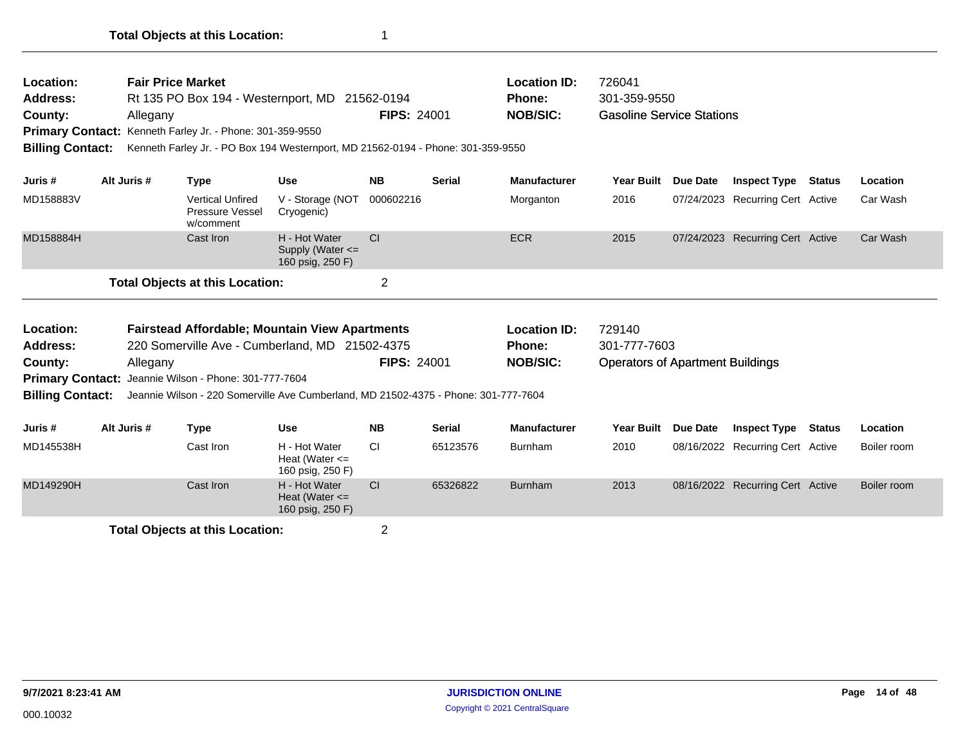| Location:<br><b>Address:</b><br>County:<br><b>Billing Contact:</b>                                                                                                                |  | <b>Fair Price Market</b><br>Allegany | Primary Contact: Kenneth Farley Jr. - Phone: 301-359-9550      | Rt 135 PO Box 194 - Westernport, MD 21562-0194<br>Kenneth Farley Jr. - PO Box 194 Westernport, MD 21562-0194 - Phone: 301-359-9550 | <b>FIPS: 24001</b> |               | <b>Location ID:</b><br>Phone:<br><b>NOB/SIC:</b> | 726041<br>301-359-9550<br><b>Gasoline Service Stations</b> |          |                                  |               |             |
|-----------------------------------------------------------------------------------------------------------------------------------------------------------------------------------|--|--------------------------------------|----------------------------------------------------------------|------------------------------------------------------------------------------------------------------------------------------------|--------------------|---------------|--------------------------------------------------|------------------------------------------------------------|----------|----------------------------------|---------------|-------------|
| Juris #                                                                                                                                                                           |  | Alt Juris #                          | <b>Type</b>                                                    | <b>Use</b>                                                                                                                         | <b>NB</b>          | <b>Serial</b> | <b>Manufacturer</b>                              | <b>Year Built</b>                                          | Due Date | <b>Inspect Type</b>              | Status        | Location    |
| MD158883V                                                                                                                                                                         |  |                                      | <b>Vertical Unfired</b><br><b>Pressure Vessel</b><br>w/comment | V - Storage (NOT<br>Cryogenic)                                                                                                     | 000602216          |               | Morganton                                        | 2016                                                       |          | 07/24/2023 Recurring Cert Active |               | Car Wash    |
| MD158884H                                                                                                                                                                         |  |                                      | Cast Iron                                                      | H - Hot Water<br>Supply (Water <=<br>160 psig, 250 F)                                                                              | CI                 |               | <b>ECR</b>                                       | 2015                                                       |          | 07/24/2023 Recurring Cert Active |               | Car Wash    |
|                                                                                                                                                                                   |  |                                      |                                                                |                                                                                                                                    | $\overline{2}$     |               |                                                  |                                                            |          |                                  |               |             |
| <b>Total Objects at this Location:</b><br>Location:<br><b>Fairstead Affordable; Mountain View Apartments</b><br>220 Somerville Ave - Cumberland, MD 21502-4375<br><b>Address:</b> |  |                                      |                                                                |                                                                                                                                    |                    |               | <b>Location ID:</b><br><b>Phone:</b>             | 729140<br>301-777-7603                                     |          |                                  |               |             |
| County:                                                                                                                                                                           |  | Allegany                             | Primary Contact: Jeannie Wilson - Phone: 301-777-7604          |                                                                                                                                    | <b>FIPS: 24001</b> |               | <b>NOB/SIC:</b>                                  | <b>Operators of Apartment Buildings</b>                    |          |                                  |               |             |
| <b>Billing Contact:</b>                                                                                                                                                           |  |                                      |                                                                | Jeannie Wilson - 220 Somerville Ave Cumberland, MD 21502-4375 - Phone: 301-777-7604                                                |                    |               |                                                  |                                                            |          |                                  |               |             |
| Juris #                                                                                                                                                                           |  | Alt Juris #                          | <b>Type</b>                                                    | <b>Use</b>                                                                                                                         | <b>NB</b>          | <b>Serial</b> | <b>Manufacturer</b>                              | Year Built                                                 | Due Date | <b>Inspect Type</b>              | <b>Status</b> | Location    |
| MD145538H                                                                                                                                                                         |  |                                      | Cast Iron                                                      | H - Hot Water<br>Heat (Water $\leq$<br>160 psig, 250 F)                                                                            | <b>CI</b>          | 65123576      | <b>Burnham</b>                                   | 2010                                                       |          | 08/16/2022 Recurring Cert Active |               | Boiler room |
| MD149290H                                                                                                                                                                         |  |                                      | Cast Iron                                                      | H - Hot Water<br>Heat (Water $\leq$<br>160 psig, 250 F)                                                                            | C <sub>I</sub>     | 65326822      | <b>Burnham</b>                                   | 2013                                                       |          | 08/16/2022 Recurring Cert Active |               | Boiler room |
|                                                                                                                                                                                   |  |                                      |                                                                |                                                                                                                                    |                    |               |                                                  |                                                            |          |                                  |               |             |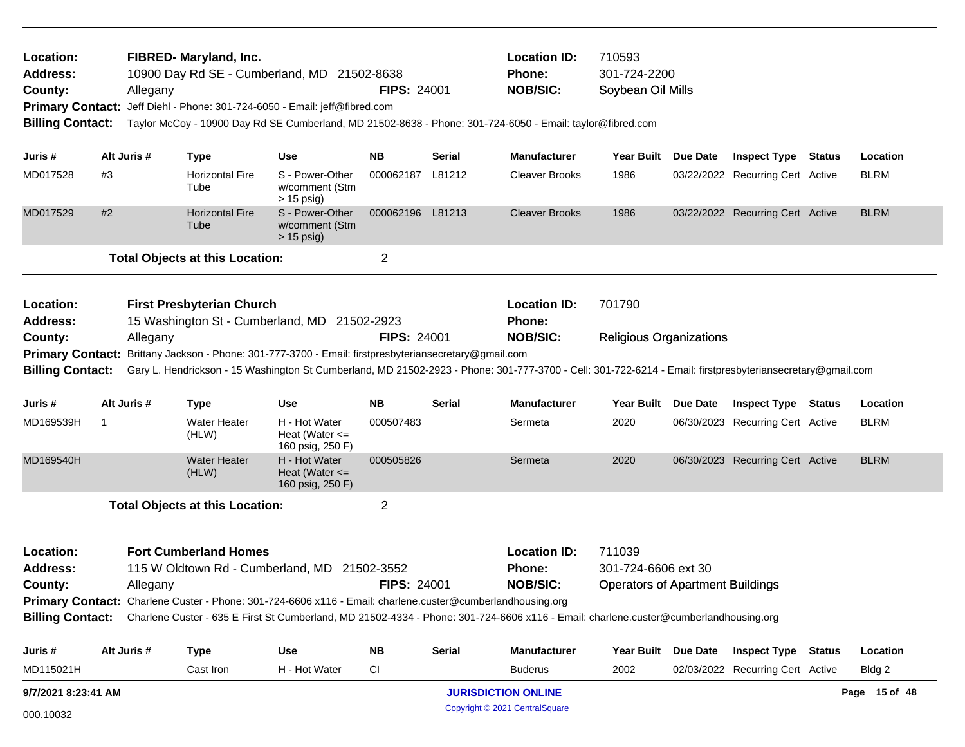| Location:<br><b>Address:</b><br>County:<br><b>Primary Contact:</b><br><b>Billing Contact:</b>                                                                                                                                                                                  |             | Allegany | FIBRED- Maryland, Inc.<br>10900 Day Rd SE - Cumberland, MD 21502-8638<br>Jeff Diehl - Phone: 301-724-6050 - Email: jeff@fibred.com |                                                         | <b>FIPS: 24001</b> |               | <b>Location ID:</b><br>Phone:<br><b>NOB/SIC:</b><br>Taylor McCoy - 10900 Day Rd SE Cumberland, MD 21502-8638 - Phone: 301-724-6050 - Email: taylor@fibred.com | 710593<br>301-724-2200<br>Soybean Oil Mills                              |                                  |               |
|--------------------------------------------------------------------------------------------------------------------------------------------------------------------------------------------------------------------------------------------------------------------------------|-------------|----------|------------------------------------------------------------------------------------------------------------------------------------|---------------------------------------------------------|--------------------|---------------|---------------------------------------------------------------------------------------------------------------------------------------------------------------|--------------------------------------------------------------------------|----------------------------------|---------------|
| Juris #                                                                                                                                                                                                                                                                        | Alt Juris # |          | <b>Type</b>                                                                                                                        | Use                                                     | <b>NB</b>          | Serial        | <b>Manufacturer</b>                                                                                                                                           | Year Built Due Date                                                      | <b>Inspect Type Status</b>       | Location      |
| MD017528                                                                                                                                                                                                                                                                       | #3          |          | <b>Horizontal Fire</b><br>Tube                                                                                                     | S - Power-Other<br>w/comment (Stm<br>$> 15$ psig)       | 000062187 L81212   |               | <b>Cleaver Brooks</b>                                                                                                                                         | 1986                                                                     | 03/22/2022 Recurring Cert Active | <b>BLRM</b>   |
| MD017529                                                                                                                                                                                                                                                                       | #2          |          | <b>Horizontal Fire</b><br>Tube                                                                                                     | S - Power-Other<br>w/comment (Stm<br>$> 15$ psig)       | 000062196 L81213   |               | <b>Cleaver Brooks</b>                                                                                                                                         | 1986                                                                     | 03/22/2022 Recurring Cert Active | <b>BLRM</b>   |
|                                                                                                                                                                                                                                                                                |             |          | <b>Total Objects at this Location:</b>                                                                                             |                                                         | $\overline{2}$     |               |                                                                                                                                                               |                                                                          |                                  |               |
| Location:<br><b>Address:</b>                                                                                                                                                                                                                                                   |             |          | <b>First Presbyterian Church</b><br>15 Washington St - Cumberland, MD 21502-2923                                                   |                                                         |                    |               | <b>Location ID:</b><br><b>Phone:</b>                                                                                                                          | 701790                                                                   |                                  |               |
| County:                                                                                                                                                                                                                                                                        |             | Allegany |                                                                                                                                    |                                                         | <b>FIPS: 24001</b> |               | <b>NOB/SIC:</b>                                                                                                                                               | <b>Religious Organizations</b>                                           |                                  |               |
| <b>Billing Contact:</b>                                                                                                                                                                                                                                                        |             |          | Primary Contact: Brittany Jackson - Phone: 301-777-3700 - Email: firstpresbyteriansecretary@gmail.com                              |                                                         |                    |               | Gary L. Hendrickson - 15 Washington St Cumberland, MD 21502-2923 - Phone: 301-777-3700 - Cell: 301-722-6214 - Email: firstpresbyteriansecretary@gmail.com     |                                                                          |                                  |               |
| Juris #                                                                                                                                                                                                                                                                        | Alt Juris # |          | <b>Type</b>                                                                                                                        | Use                                                     | NB.                | Serial        | <b>Manufacturer</b>                                                                                                                                           | Year Built Due Date                                                      | <b>Inspect Type Status</b>       | Location      |
| MD169539H                                                                                                                                                                                                                                                                      | 1           |          | Water Heater<br>(HLW)                                                                                                              | H - Hot Water<br>Heat (Water $\leq$<br>160 psig, 250 F) | 000507483          |               | Sermeta                                                                                                                                                       | 2020                                                                     | 06/30/2023 Recurring Cert Active | <b>BLRM</b>   |
| MD169540H                                                                                                                                                                                                                                                                      |             |          | Water Heater<br>(HLW)                                                                                                              | H - Hot Water<br>Heat (Water $\leq$<br>160 psig, 250 F) | 000505826          |               | Sermeta                                                                                                                                                       | 2020                                                                     | 06/30/2023 Recurring Cert Active | <b>BLRM</b>   |
|                                                                                                                                                                                                                                                                                |             |          | <b>Total Objects at this Location:</b>                                                                                             |                                                         | 2                  |               |                                                                                                                                                               |                                                                          |                                  |               |
| <b>Fort Cumberland Homes</b><br>Location:<br><b>Address:</b><br>115 W Oldtown Rd - Cumberland, MD 21502-3552<br><b>FIPS: 24001</b><br>County:<br>Allegany<br><b>Primary Contact:</b> Charlene Custer - Phone: 301-724-6606 x116 - Email: charlene.custer@cumberlandhousing.org |             |          |                                                                                                                                    |                                                         |                    |               | <b>Location ID:</b><br>Phone:<br><b>NOB/SIC:</b>                                                                                                              | 711039<br>301-724-6606 ext 30<br><b>Operators of Apartment Buildings</b> |                                  |               |
|                                                                                                                                                                                                                                                                                |             |          |                                                                                                                                    |                                                         |                    |               | Billing Contact: Charlene Custer - 635 E First St Cumberland, MD 21502-4334 - Phone: 301-724-6606 x116 - Email: charlene.custer@cumberlandhousing.org         |                                                                          |                                  |               |
| Juris #                                                                                                                                                                                                                                                                        | Alt Juris # |          | <b>Type</b>                                                                                                                        | <b>Use</b>                                              | NB                 | <b>Serial</b> | <b>Manufacturer</b>                                                                                                                                           | Year Built Due Date                                                      | <b>Inspect Type Status</b>       | Location      |
| MD115021H                                                                                                                                                                                                                                                                      |             |          | Cast Iron                                                                                                                          | H - Hot Water                                           | <b>CI</b>          |               | <b>Buderus</b>                                                                                                                                                | 2002                                                                     | 02/03/2022 Recurring Cert Active | Bldg 2        |
| 9/7/2021 8:23:41 AM                                                                                                                                                                                                                                                            |             |          |                                                                                                                                    |                                                         |                    |               | <b>JURISDICTION ONLINE</b>                                                                                                                                    |                                                                          |                                  | Page 15 of 48 |
| 000.10032                                                                                                                                                                                                                                                                      |             |          |                                                                                                                                    |                                                         |                    |               | Copyright © 2021 CentralSquare                                                                                                                                |                                                                          |                                  |               |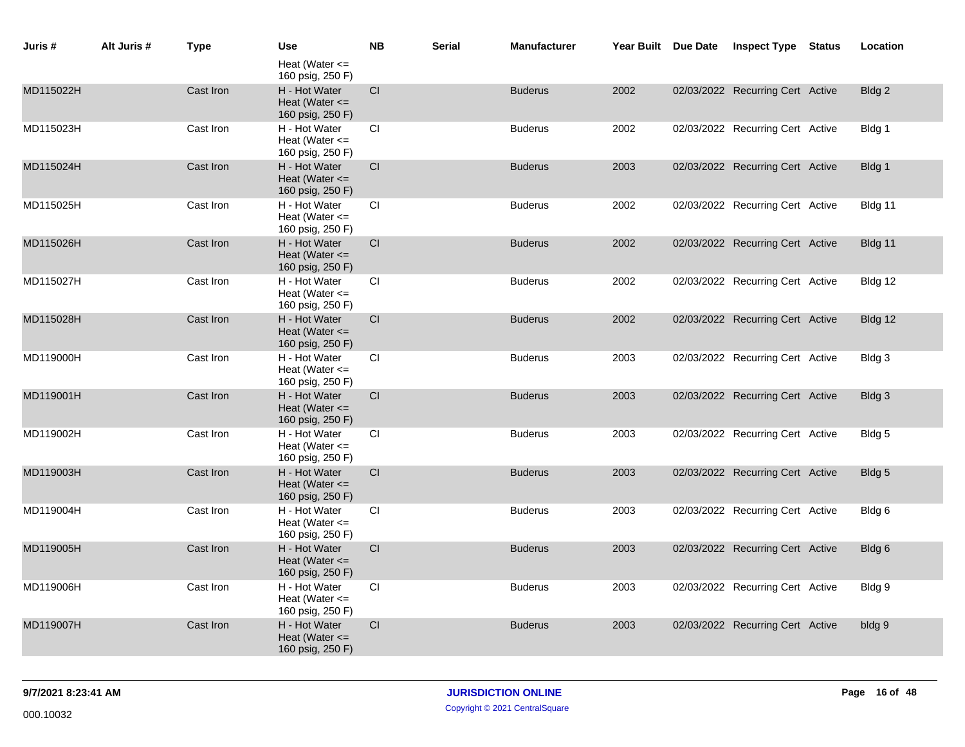| Juris #   | Alt Juris # | <b>Type</b> | <b>Use</b>                                              | <b>NB</b>              | <b>Serial</b> | <b>Manufacturer</b> | Year Built Due Date | <b>Inspect Type</b>              | Status | Location |
|-----------|-------------|-------------|---------------------------------------------------------|------------------------|---------------|---------------------|---------------------|----------------------------------|--------|----------|
|           |             |             | Heat (Water $\leq$<br>160 psig, 250 F)                  |                        |               |                     |                     |                                  |        |          |
| MD115022H |             | Cast Iron   | H - Hot Water<br>Heat (Water $\leq$<br>160 psig, 250 F) | CI                     |               | <b>Buderus</b>      | 2002                | 02/03/2022 Recurring Cert Active |        | Bldg 2   |
| MD115023H |             | Cast Iron   | H - Hot Water<br>Heat (Water $\leq$<br>160 psig, 250 F) | CI                     |               | <b>Buderus</b>      | 2002                | 02/03/2022 Recurring Cert Active |        | Bldg 1   |
| MD115024H |             | Cast Iron   | H - Hot Water<br>Heat (Water $\leq$<br>160 psig, 250 F) | <b>CI</b>              |               | <b>Buderus</b>      | 2003                | 02/03/2022 Recurring Cert Active |        | Bldg 1   |
| MD115025H |             | Cast Iron   | H - Hot Water<br>Heat (Water $\leq$<br>160 psig, 250 F) | CI                     |               | <b>Buderus</b>      | 2002                | 02/03/2022 Recurring Cert Active |        | Bldg 11  |
| MD115026H |             | Cast Iron   | H - Hot Water<br>Heat (Water $\leq$<br>160 psig, 250 F) | CI                     |               | <b>Buderus</b>      | 2002                | 02/03/2022 Recurring Cert Active |        | Bldg 11  |
| MD115027H |             | Cast Iron   | H - Hot Water<br>Heat (Water $\leq$<br>160 psig, 250 F) | CI                     |               | <b>Buderus</b>      | 2002                | 02/03/2022 Recurring Cert Active |        | Bldg 12  |
| MD115028H |             | Cast Iron   | H - Hot Water<br>Heat (Water $\leq$<br>160 psig, 250 F) | CI.                    |               | <b>Buderus</b>      | 2002                | 02/03/2022 Recurring Cert Active |        | Bldg 12  |
| MD119000H |             | Cast Iron   | H - Hot Water<br>Heat (Water $\leq$<br>160 psig, 250 F) | <b>CI</b>              |               | <b>Buderus</b>      | 2003                | 02/03/2022 Recurring Cert Active |        | Bldg 3   |
| MD119001H |             | Cast Iron   | H - Hot Water<br>Heat (Water $\leq$<br>160 psig, 250 F) | <b>CI</b>              |               | <b>Buderus</b>      | 2003                | 02/03/2022 Recurring Cert Active |        | Bldg 3   |
| MD119002H |             | Cast Iron   | H - Hot Water<br>Heat (Water $\leq$<br>160 psig, 250 F) | CI                     |               | <b>Buderus</b>      | 2003                | 02/03/2022 Recurring Cert Active |        | Bldg 5   |
| MD119003H |             | Cast Iron   | H - Hot Water<br>Heat (Water $\leq$<br>160 psig, 250 F) | $\mathsf{C}\mathsf{I}$ |               | <b>Buderus</b>      | 2003                | 02/03/2022 Recurring Cert Active |        | Bldg 5   |
| MD119004H |             | Cast Iron   | H - Hot Water<br>Heat (Water $\leq$<br>160 psig, 250 F) | CI.                    |               | <b>Buderus</b>      | 2003                | 02/03/2022 Recurring Cert Active |        | Bldg 6   |
| MD119005H |             | Cast Iron   | H - Hot Water<br>Heat (Water $\leq$<br>160 psig, 250 F) | CI                     |               | <b>Buderus</b>      | 2003                | 02/03/2022 Recurring Cert Active |        | Bldg 6   |
| MD119006H |             | Cast Iron   | H - Hot Water<br>Heat (Water $\leq$<br>160 psig, 250 F) | CI                     |               | <b>Buderus</b>      | 2003                | 02/03/2022 Recurring Cert Active |        | Bldg 9   |
| MD119007H |             | Cast Iron   | H - Hot Water<br>Heat (Water $\leq$<br>160 psig, 250 F) | CI                     |               | <b>Buderus</b>      | 2003                | 02/03/2022 Recurring Cert Active |        | bldg 9   |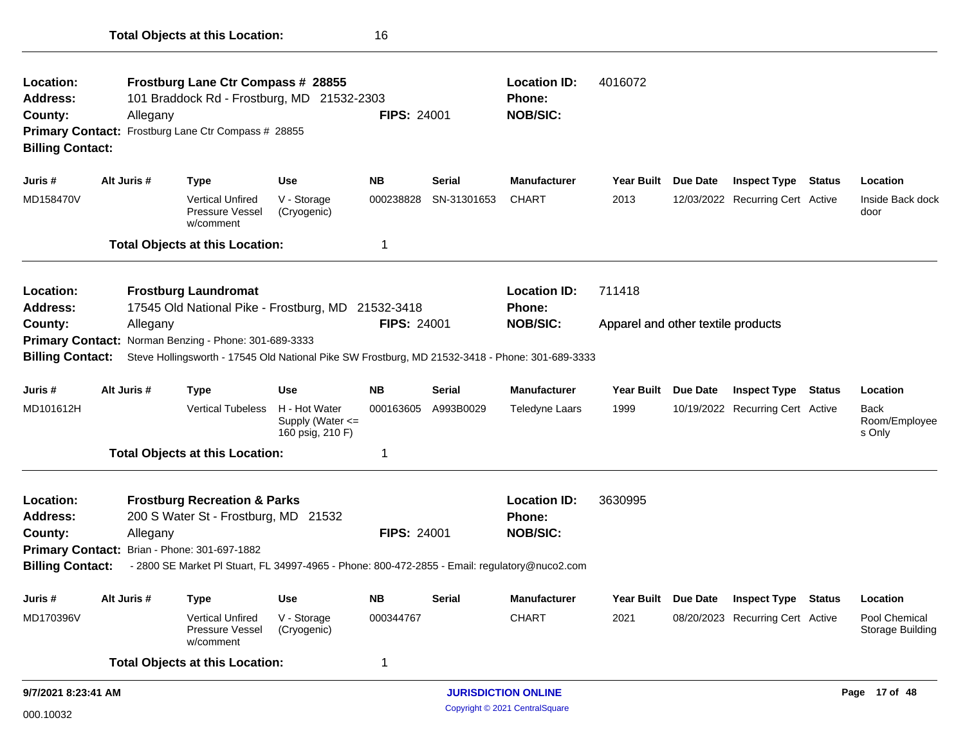| Location:<br><b>Address:</b><br>County:<br><b>Primary Contact:</b><br><b>Billing Contact:</b> |                                                          | Allegany | Frostburg Lane Ctr Compass # 28855<br>101 Braddock Rd - Frostburg, MD 21532-2303<br>Frostburg Lane Ctr Compass # 28855 |                                                           | <b>FIPS: 24001</b> |               | <b>Location ID:</b><br><b>Phone:</b><br><b>NOB/SIC:</b> | 4016072                            |          |                                  |               |                                        |
|-----------------------------------------------------------------------------------------------|----------------------------------------------------------|----------|------------------------------------------------------------------------------------------------------------------------|-----------------------------------------------------------|--------------------|---------------|---------------------------------------------------------|------------------------------------|----------|----------------------------------|---------------|----------------------------------------|
| Juris #                                                                                       | Alt Juris #                                              |          | Type                                                                                                                   | <b>Use</b>                                                | <b>NB</b>          | <b>Serial</b> | <b>Manufacturer</b>                                     | <b>Year Built</b>                  | Due Date | <b>Inspect Type</b>              | Status        | Location                               |
| MD158470V                                                                                     |                                                          |          | <b>Vertical Unfired</b><br><b>Pressure Vessel</b><br>w/comment                                                         | V - Storage<br>(Cryogenic)                                | 000238828          | SN-31301653   | <b>CHART</b>                                            | 2013                               |          | 12/03/2022 Recurring Cert Active |               | Inside Back dock<br>door               |
|                                                                                               |                                                          |          | <b>Total Objects at this Location:</b>                                                                                 |                                                           | $\mathbf 1$        |               |                                                         |                                    |          |                                  |               |                                        |
| Location:<br><b>Address:</b>                                                                  |                                                          |          | <b>Frostburg Laundromat</b><br>17545 Old National Pike - Frostburg, MD 21532-3418                                      |                                                           |                    |               | <b>Location ID:</b><br>Phone:                           | 711418                             |          |                                  |               |                                        |
| County:                                                                                       |                                                          | Allegany |                                                                                                                        |                                                           | <b>FIPS: 24001</b> |               | <b>NOB/SIC:</b>                                         | Apparel and other textile products |          |                                  |               |                                        |
| <b>Primary Contact:</b>                                                                       |                                                          |          | Norman Benzing - Phone: 301-689-3333                                                                                   |                                                           |                    |               |                                                         |                                    |          |                                  |               |                                        |
| <b>Billing Contact:</b>                                                                       |                                                          |          | Steve Hollingsworth - 17545 Old National Pike SW Frostburg, MD 21532-3418 - Phone: 301-689-3333                        |                                                           |                    |               |                                                         |                                    |          |                                  |               |                                        |
| Juris #                                                                                       | Alt Juris #                                              |          | <b>Type</b>                                                                                                            | <b>Use</b>                                                | <b>NB</b>          | <b>Serial</b> | <b>Manufacturer</b>                                     | <b>Year Built</b>                  | Due Date | <b>Inspect Type</b>              | <b>Status</b> | Location                               |
| MD101612H                                                                                     |                                                          |          | <b>Vertical Tubeless</b>                                                                                               | H - Hot Water<br>Supply (Water $\leq$<br>160 psig, 210 F) | 000163605          | A993B0029     | Teledyne Laars                                          | 1999                               |          | 10/19/2022 Recurring Cert Active |               | <b>Back</b><br>Room/Employee<br>s Only |
|                                                                                               |                                                          |          | <b>Total Objects at this Location:</b>                                                                                 |                                                           | -1                 |               |                                                         |                                    |          |                                  |               |                                        |
| Location:<br><b>Address:</b>                                                                  |                                                          |          | <b>Frostburg Recreation &amp; Parks</b><br>200 S Water St - Frostburg, MD 21532                                        |                                                           |                    |               | <b>Location ID:</b><br>Phone:                           | 3630995                            |          |                                  |               |                                        |
| County:                                                                                       |                                                          |          |                                                                                                                        |                                                           | <b>FIPS: 24001</b> |               | <b>NOB/SIC:</b>                                         |                                    |          |                                  |               |                                        |
|                                                                                               | Allegany<br>Primary Contact: Brian - Phone: 301-697-1882 |          |                                                                                                                        |                                                           |                    |               |                                                         |                                    |          |                                  |               |                                        |
| <b>Billing Contact:</b>                                                                       |                                                          |          | - 2800 SE Market PI Stuart, FL 34997-4965 - Phone: 800-472-2855 - Email: regulatory@nuco2.com                          |                                                           |                    |               |                                                         |                                    |          |                                  |               |                                        |
| Juris #                                                                                       | Alt Juris #                                              |          | Type                                                                                                                   | <b>Use</b>                                                | <b>NB</b>          | <b>Serial</b> | <b>Manufacturer</b>                                     | <b>Year Built</b>                  | Due Date | <b>Inspect Type</b>              | Status        | Location                               |
| MD170396V                                                                                     |                                                          |          | <b>Vertical Unfired</b><br><b>Pressure Vessel</b><br>w/comment                                                         | V - Storage<br>(Cryogenic)                                | 000344767          |               | <b>CHART</b>                                            | 2021                               |          | 08/20/2023 Recurring Cert Active |               | Pool Chemical<br>Storage Building      |
|                                                                                               |                                                          |          | <b>Total Objects at this Location:</b>                                                                                 |                                                           | $\mathbf 1$        |               |                                                         |                                    |          |                                  |               |                                        |
| 9/7/2021 8:23:41 AM                                                                           |                                                          |          |                                                                                                                        |                                                           |                    |               | <b>JURISDICTION ONLINE</b>                              |                                    |          |                                  |               | Page 17 of 48                          |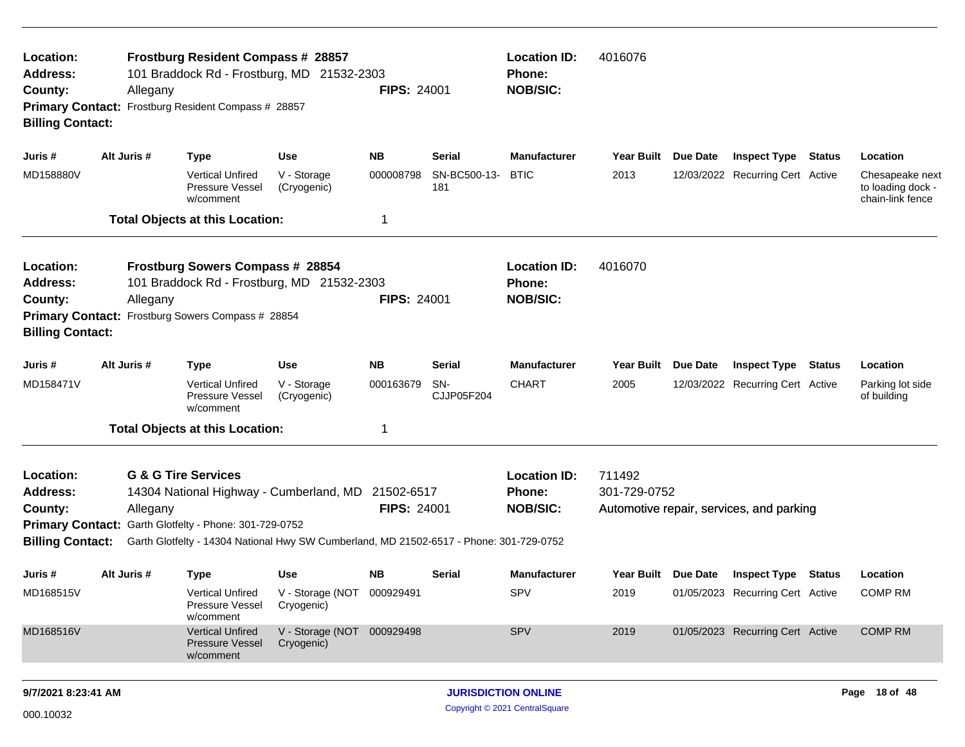| Location:<br><b>Address:</b><br>County:<br><b>Billing Contact:</b>                            | Allegany                                                                                                                                                                                                                                                                             | Frostburg Resident Compass # 28857<br>101 Braddock Rd - Frostburg, MD 21532-2303<br>Primary Contact: Frostburg Resident Compass # 28857 |                                          | <b>FIPS: 24001</b>                                      |                                  | <b>Location ID:</b><br>Phone:<br><b>NOB/SIC:</b>        | 4016076                |          |                                          |               |                                                          |
|-----------------------------------------------------------------------------------------------|--------------------------------------------------------------------------------------------------------------------------------------------------------------------------------------------------------------------------------------------------------------------------------------|-----------------------------------------------------------------------------------------------------------------------------------------|------------------------------------------|---------------------------------------------------------|----------------------------------|---------------------------------------------------------|------------------------|----------|------------------------------------------|---------------|----------------------------------------------------------|
| Juris #                                                                                       | Alt Juris #                                                                                                                                                                                                                                                                          | <b>Type</b>                                                                                                                             | Use                                      | <b>NB</b>                                               | Serial                           | <b>Manufacturer</b>                                     | <b>Year Built</b>      | Due Date | <b>Inspect Type Status</b>               |               | Location                                                 |
| MD158880V                                                                                     |                                                                                                                                                                                                                                                                                      | <b>Vertical Unfired</b><br>Pressure Vessel<br>w/comment                                                                                 | V - Storage<br>(Cryogenic)               | 000008798                                               | SN-BC500-13-<br>181              | <b>BTIC</b>                                             | 2013                   |          | 12/03/2022 Recurring Cert Active         |               | Chesapeake next<br>to loading dock -<br>chain-link fence |
|                                                                                               |                                                                                                                                                                                                                                                                                      | <b>Total Objects at this Location:</b>                                                                                                  |                                          | 1                                                       |                                  |                                                         |                        |          |                                          |               |                                                          |
| Location:<br><b>Address:</b><br>County:<br><b>Primary Contact:</b><br><b>Billing Contact:</b> | Allegany                                                                                                                                                                                                                                                                             | Frostburg Sowers Compass # 28854<br>101 Braddock Rd - Frostburg, MD 21532-2303<br>Frostburg Sowers Compass # 28854                      | <b>FIPS: 24001</b>                       | <b>Location ID:</b><br><b>Phone:</b><br><b>NOB/SIC:</b> | 4016070                          |                                                         |                        |          |                                          |               |                                                          |
| Juris #                                                                                       | Alt Juris #                                                                                                                                                                                                                                                                          | <b>Type</b>                                                                                                                             | Use                                      | <b>NB</b>                                               | Serial                           | <b>Manufacturer</b>                                     | <b>Year Built</b>      | Due Date | <b>Inspect Type</b>                      | <b>Status</b> | Location                                                 |
| MD158471V                                                                                     |                                                                                                                                                                                                                                                                                      | <b>Vertical Unfired</b><br><b>Pressure Vessel</b><br>w/comment                                                                          | V - Storage<br>(Cryogenic)               | 000163679                                               | SN-<br>CJJP05F204                | <b>CHART</b>                                            | 2005                   |          | 12/03/2022 Recurring Cert Active         |               | Parking lot side<br>of building                          |
|                                                                                               |                                                                                                                                                                                                                                                                                      |                                                                                                                                         |                                          | 1                                                       |                                  |                                                         |                        |          |                                          |               |                                                          |
| Location:<br><b>Address:</b><br>County:<br><b>Billing Contact:</b>                            | <b>Total Objects at this Location:</b><br><b>G &amp; G Tire Services</b><br>14304 National Highway - Cumberland, MD<br>Allegany<br>Primary Contact: Garth Glotfelty - Phone: 301-729-0752<br>Garth Glotfelty - 14304 National Hwy SW Cumberland, MD 21502-6517 - Phone: 301-729-0752 |                                                                                                                                         |                                          |                                                         | 21502-6517<br><b>FIPS: 24001</b> | <b>Location ID:</b><br><b>Phone:</b><br><b>NOB/SIC:</b> | 711492<br>301-729-0752 |          | Automotive repair, services, and parking |               |                                                          |
| Juris #                                                                                       | Alt Juris #                                                                                                                                                                                                                                                                          | Type                                                                                                                                    | Use                                      | NB.                                                     | Serial                           | Manufacturer                                            | Year Built Due Date    |          | <b>Inspect Type Status</b>               |               | Location                                                 |
| MD168515V                                                                                     |                                                                                                                                                                                                                                                                                      | <b>Vertical Unfired</b><br>Pressure Vessel<br>w/comment                                                                                 | V - Storage (NOT 000929491<br>Cryogenic) |                                                         |                                  | <b>SPV</b>                                              | 2019                   |          | 01/05/2023 Recurring Cert Active         |               | <b>COMP RM</b>                                           |
| MD168516V                                                                                     |                                                                                                                                                                                                                                                                                      | <b>Vertical Unfired</b><br>Pressure Vessel<br>w/comment                                                                                 | V - Storage (NOT 000929498<br>Cryogenic) |                                                         |                                  | <b>SPV</b>                                              | 2019                   |          | 01/05/2023 Recurring Cert Active         |               | <b>COMP RM</b>                                           |
| 9/7/2021 8:23:41 AM                                                                           |                                                                                                                                                                                                                                                                                      |                                                                                                                                         |                                          |                                                         | <b>JURISDICTION ONLINE</b>       |                                                         |                        |          |                                          | Page 18 of 48 |                                                          |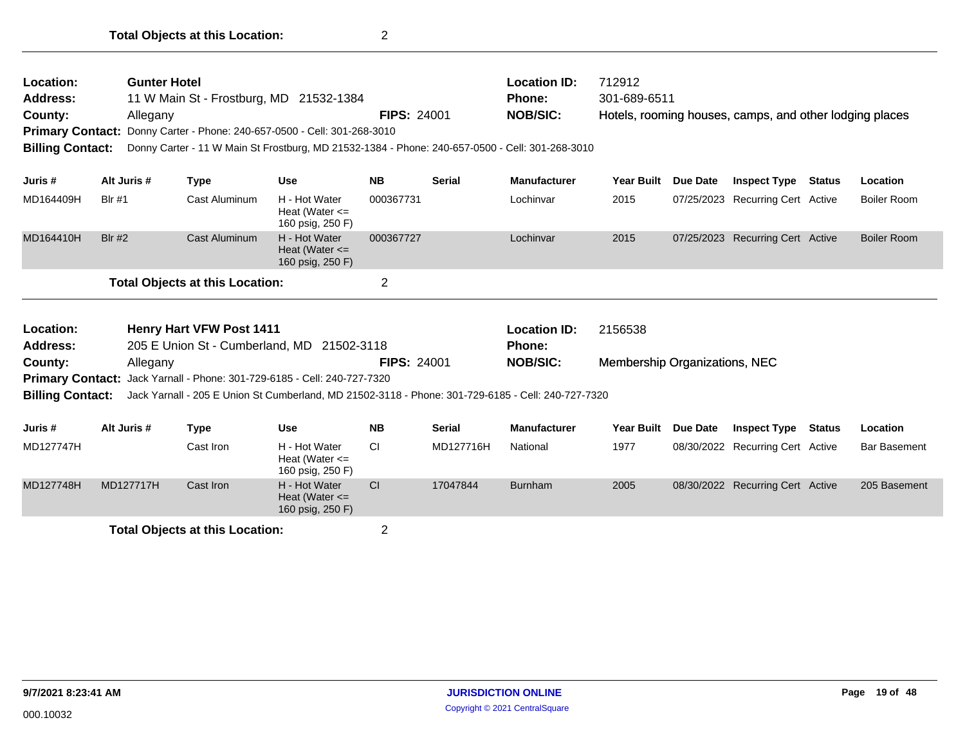| Location:<br><b>Address:</b><br>County:<br><b>Primary Contact:</b><br><b>Billing Contact:</b> | <b>Gunter Hotel</b><br>Allegany |                                        | 11 W Main St - Frostburg, MD 21532-1384<br>Donny Carter - Phone: 240-657-0500 - Cell: 301-268-3010<br>Donny Carter - 11 W Main St Frostburg, MD 21532-1384 - Phone: 240-657-0500 - Cell: 301-268-3010 | <b>FIPS: 24001</b> |               | <b>Location ID:</b><br><b>Phone:</b><br><b>NOB/SIC:</b> | 712912<br>301-689-6511               |          | Hotels, rooming houses, camps, and other lodging places |                     |
|-----------------------------------------------------------------------------------------------|---------------------------------|----------------------------------------|-------------------------------------------------------------------------------------------------------------------------------------------------------------------------------------------------------|--------------------|---------------|---------------------------------------------------------|--------------------------------------|----------|---------------------------------------------------------|---------------------|
| Juris #                                                                                       | Alt Juris #                     | <b>Type</b>                            | <b>Use</b>                                                                                                                                                                                            | <b>NB</b>          | <b>Serial</b> | <b>Manufacturer</b>                                     | Year Built                           | Due Date | <b>Inspect Type Status</b>                              | Location            |
| MD164409H                                                                                     | <b>Blr #1</b>                   | Cast Aluminum                          | H - Hot Water<br>Heat (Water $\leq$<br>160 psig, 250 F)                                                                                                                                               | 000367731          |               | Lochinvar                                               | 2015                                 |          | 07/25/2023 Recurring Cert Active                        | Boiler Room         |
| MD164410H                                                                                     | <b>Blr #2</b>                   | <b>Cast Aluminum</b>                   | H - Hot Water<br>Heat (Water $\leq$<br>160 psig, 250 F)                                                                                                                                               | 000367727          |               | Lochinvar                                               | 2015                                 |          | 07/25/2023 Recurring Cert Active                        | <b>Boiler Room</b>  |
|                                                                                               |                                 | <b>Total Objects at this Location:</b> |                                                                                                                                                                                                       | $\overline{2}$     |               |                                                         |                                      |          |                                                         |                     |
| Location:<br><b>Address:</b>                                                                  |                                 | <b>Henry Hart VFW Post 1411</b>        | 205 E Union St - Cumberland, MD 21502-3118                                                                                                                                                            |                    |               | <b>Location ID:</b><br>Phone:                           | 2156538                              |          |                                                         |                     |
| County:                                                                                       | Allegany                        |                                        |                                                                                                                                                                                                       | <b>FIPS: 24001</b> |               | <b>NOB/SIC:</b>                                         | <b>Membership Organizations, NEC</b> |          |                                                         |                     |
| <b>Primary Contact:</b><br><b>Billing Contact:</b>                                            |                                 |                                        | Jack Yarnall - Phone: 301-729-6185 - Cell: 240-727-7320<br>Jack Yarnall - 205 E Union St Cumberland, MD 21502-3118 - Phone: 301-729-6185 - Cell: 240-727-7320                                         |                    |               |                                                         |                                      |          |                                                         |                     |
| Juris #                                                                                       | Alt Juris #                     | <b>Type</b>                            | <b>Use</b>                                                                                                                                                                                            | <b>NB</b>          | <b>Serial</b> | <b>Manufacturer</b>                                     | <b>Year Built</b>                    | Due Date | <b>Inspect Type Status</b>                              | Location            |
| MD127747H                                                                                     |                                 | Cast Iron                              | H - Hot Water<br>Heat (Water $\leq$<br>160 psig, 250 F)                                                                                                                                               | <b>CI</b>          | MD127716H     | National                                                | 1977                                 |          | 08/30/2022 Recurring Cert Active                        | <b>Bar Basement</b> |
| MD127748H                                                                                     | MD127717H                       | Cast Iron                              | H - Hot Water<br>Heat (Water $\leq$<br>160 psig, 250 F)                                                                                                                                               | <b>CI</b>          | 17047844      | <b>Burnham</b>                                          | 2005                                 |          | 08/30/2022 Recurring Cert Active                        | 205 Basement        |
|                                                                                               |                                 | <b>Total Objects at this Location:</b> |                                                                                                                                                                                                       | 2                  |               |                                                         |                                      |          |                                                         |                     |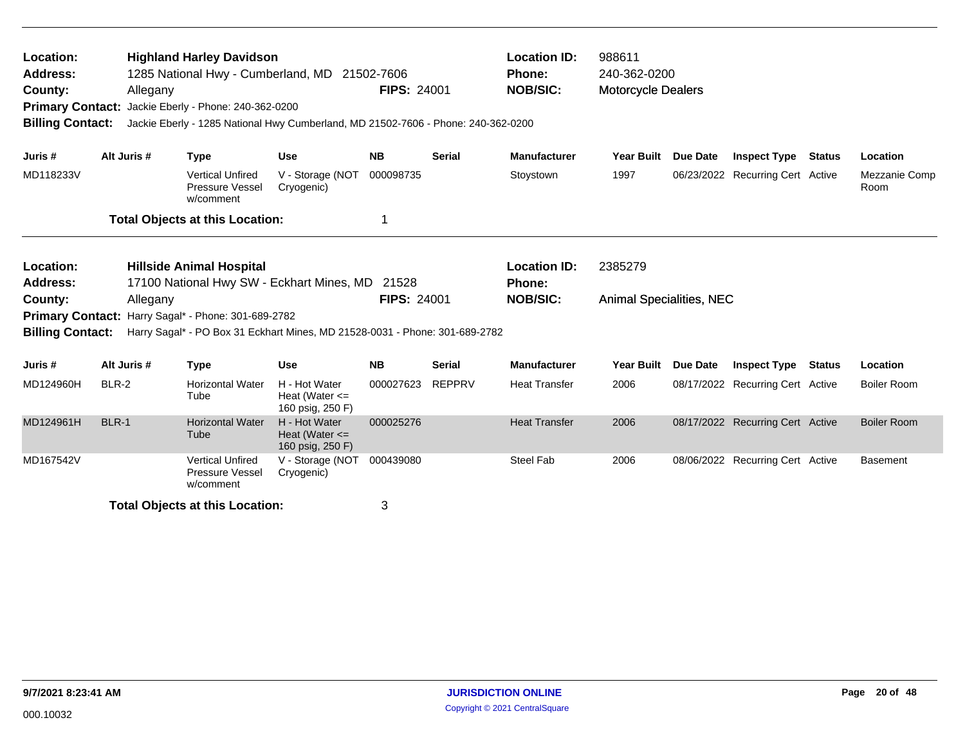| Location:<br><b>Address:</b><br>County:<br><b>Primary Contact:</b><br><b>Billing Contact:</b> |              | Allegany | <b>Highland Harley Davidson</b><br>1285 National Hwy - Cumberland, MD<br>Jackie Eberly - Phone: 240-362-0200 | Jackie Eberly - 1285 National Hwy Cumberland, MD 21502-7606 - Phone: 240-362-0200 | 21502-7606<br><b>FIPS: 24001</b> |               | <b>Location ID:</b><br><b>Phone:</b><br><b>NOB/SIC:</b> | 988611<br>240-362-0200<br><b>Motorcycle Dealers</b> |                 |                                  |                       |
|-----------------------------------------------------------------------------------------------|--------------|----------|--------------------------------------------------------------------------------------------------------------|-----------------------------------------------------------------------------------|----------------------------------|---------------|---------------------------------------------------------|-----------------------------------------------------|-----------------|----------------------------------|-----------------------|
| Juris #                                                                                       | Alt Juris #  |          | <b>Type</b>                                                                                                  | <b>Use</b>                                                                        | <b>NB</b>                        | <b>Serial</b> | <b>Manufacturer</b>                                     | <b>Year Built</b>                                   | <b>Due Date</b> | <b>Inspect Type Status</b>       | Location              |
| MD118233V                                                                                     |              |          | <b>Vertical Unfired</b><br>Pressure Vessel<br>w/comment                                                      | V - Storage (NOT<br>Cryogenic)                                                    | 000098735                        |               | Stoystown                                               | 1997                                                |                 | 06/23/2022 Recurring Cert Active | Mezzanie Comp<br>Room |
|                                                                                               |              |          | <b>Total Objects at this Location:</b>                                                                       |                                                                                   |                                  |               |                                                         |                                                     |                 |                                  |                       |
| Location:<br><b>Address:</b>                                                                  |              |          | <b>Hillside Animal Hospital</b>                                                                              | 17100 National Hwy SW - Eckhart Mines, MD 21528                                   |                                  |               | <b>Location ID:</b><br>Phone:                           | 2385279                                             |                 |                                  |                       |
| County:<br><b>Primary Contact:</b><br><b>Billing Contact:</b>                                 |              | Allegany | Harry Sagal* - Phone: 301-689-2782                                                                           | Harry Sagal* - PO Box 31 Eckhart Mines, MD 21528-0031 - Phone: 301-689-2782       | <b>FIPS: 24001</b>               |               | <b>NOB/SIC:</b>                                         | <b>Animal Specialities, NEC</b>                     |                 |                                  |                       |
| Juris #                                                                                       | Alt Juris #  |          | <b>Type</b>                                                                                                  | <b>Use</b>                                                                        | <b>NB</b>                        | <b>Serial</b> | <b>Manufacturer</b>                                     | Year Built                                          | Due Date        | <b>Inspect Type Status</b>       | Location              |
| MD124960H                                                                                     | BLR-2        |          | <b>Horizontal Water</b><br>Tube                                                                              | H - Hot Water<br>Heat (Water $\leq$<br>160 psig, 250 F)                           | 000027623                        | <b>REPPRV</b> | <b>Heat Transfer</b>                                    | 2006                                                |                 | 08/17/2022 Recurring Cert Active | <b>Boiler Room</b>    |
| MD124961H                                                                                     | <b>BLR-1</b> |          | <b>Horizontal Water</b><br>Tube                                                                              | H - Hot Water<br>Heat (Water $\leq$<br>160 psig, 250 F)                           | 000025276                        |               | <b>Heat Transfer</b>                                    | 2006                                                |                 | 08/17/2022 Recurring Cert Active | <b>Boiler Room</b>    |
| MD167542V                                                                                     |              |          | <b>Vertical Unfired</b><br>Pressure Vessel<br>w/comment                                                      | V - Storage (NOT<br>Cryogenic)                                                    | 000439080                        |               | <b>Steel Fab</b>                                        | 2006                                                |                 | 08/06/2022 Recurring Cert Active | <b>Basement</b>       |
|                                                                                               |              |          | <b>Total Objects at this Location:</b>                                                                       |                                                                                   | 3                                |               |                                                         |                                                     |                 |                                  |                       |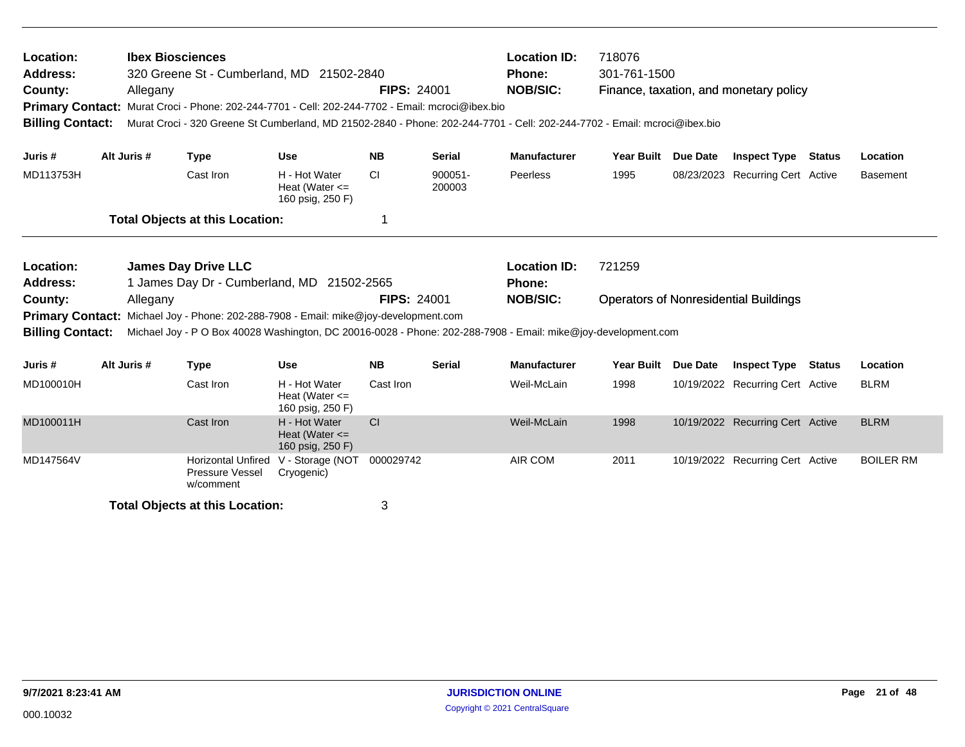| Location:<br><b>Address:</b><br>County:<br><b>Billing Contact:</b> | Allegany    | <b>Ibex Biosciences</b><br>320 Greene St - Cumberland, MD 21502-2840<br>Primary Contact: Murat Croci - Phone: 202-244-7701 - Cell: 202-244-7702 - Email: mcroci@ibex.bio<br>Murat Croci - 320 Greene St Cumberland, MD 21502-2840 - Phone: 202-244-7701 - Cell: 202-244-7702 - Email: mcroci@ibex.bio |                                                         | <b>FIPS: 24001</b> |                   | <b>Location ID:</b><br><b>Phone:</b><br><b>NOB/SIC:</b> | 718076<br>301-761-1500 |                 | Finance, taxation, and monetary policy       |               |                  |
|--------------------------------------------------------------------|-------------|-------------------------------------------------------------------------------------------------------------------------------------------------------------------------------------------------------------------------------------------------------------------------------------------------------|---------------------------------------------------------|--------------------|-------------------|---------------------------------------------------------|------------------------|-----------------|----------------------------------------------|---------------|------------------|
| Juris #                                                            | Alt Juris # | <b>Type</b>                                                                                                                                                                                                                                                                                           | <b>Use</b>                                              | <b>NB</b>          | <b>Serial</b>     | <b>Manufacturer</b>                                     | Year Built Due Date    |                 | <b>Inspect Type Status</b>                   |               | Location         |
| MD113753H                                                          |             | Cast Iron                                                                                                                                                                                                                                                                                             | H - Hot Water<br>Heat (Water $\leq$<br>160 psig, 250 F) | CI.                | 900051-<br>200003 | Peerless                                                | 1995                   |                 | 08/23/2023 Recurring Cert Active             |               | <b>Basement</b>  |
|                                                                    |             | <b>Total Objects at this Location:</b>                                                                                                                                                                                                                                                                |                                                         | 1                  |                   |                                                         |                        |                 |                                              |               |                  |
| Location:<br><b>Address:</b>                                       |             | <b>James Day Drive LLC</b><br>1 James Day Dr - Cumberland, MD 21502-2565                                                                                                                                                                                                                              |                                                         |                    |                   | <b>Location ID:</b><br><b>Phone:</b>                    | 721259                 |                 |                                              |               |                  |
| County:<br><b>Billing Contact:</b>                                 | Allegany    | Primary Contact: Michael Joy - Phone: 202-288-7908 - Email: mike@joy-development.com<br>Michael Joy - P O Box 40028 Washington, DC 20016-0028 - Phone: 202-288-7908 - Email: mike@joy-development.com                                                                                                 |                                                         | <b>FIPS: 24001</b> |                   | <b>NOB/SIC:</b>                                         |                        |                 | <b>Operators of Nonresidential Buildings</b> |               |                  |
| Juris #                                                            | Alt Juris # | <b>Type</b>                                                                                                                                                                                                                                                                                           | <b>Use</b>                                              | <b>NB</b>          | <b>Serial</b>     | <b>Manufacturer</b>                                     | <b>Year Built</b>      | <b>Due Date</b> | <b>Inspect Type</b>                          | <b>Status</b> | Location         |
| MD100010H                                                          |             | Cast Iron                                                                                                                                                                                                                                                                                             | H - Hot Water<br>Heat (Water $\leq$<br>160 psig, 250 F) | Cast Iron          |                   | Weil-McLain                                             | 1998                   |                 | 10/19/2022 Recurring Cert Active             |               | <b>BLRM</b>      |
| MD100011H                                                          |             | Cast Iron                                                                                                                                                                                                                                                                                             | H - Hot Water<br>Heat (Water $\leq$<br>160 psig, 250 F) | <b>CI</b>          |                   | Weil-McLain                                             | 1998                   |                 | 10/19/2022 Recurring Cert Active             |               | <b>BLRM</b>      |
| MD147564V                                                          |             | <b>Horizontal Unfired</b><br>Pressure Vessel<br>w/comment                                                                                                                                                                                                                                             | V - Storage (NOT<br>Cryogenic)                          | 000029742          |                   | AIR COM                                                 | 2011                   |                 | 10/19/2022 Recurring Cert Active             |               | <b>BOILER RM</b> |
|                                                                    |             | <b>Total Objects at this Location:</b>                                                                                                                                                                                                                                                                |                                                         | 3                  |                   |                                                         |                        |                 |                                              |               |                  |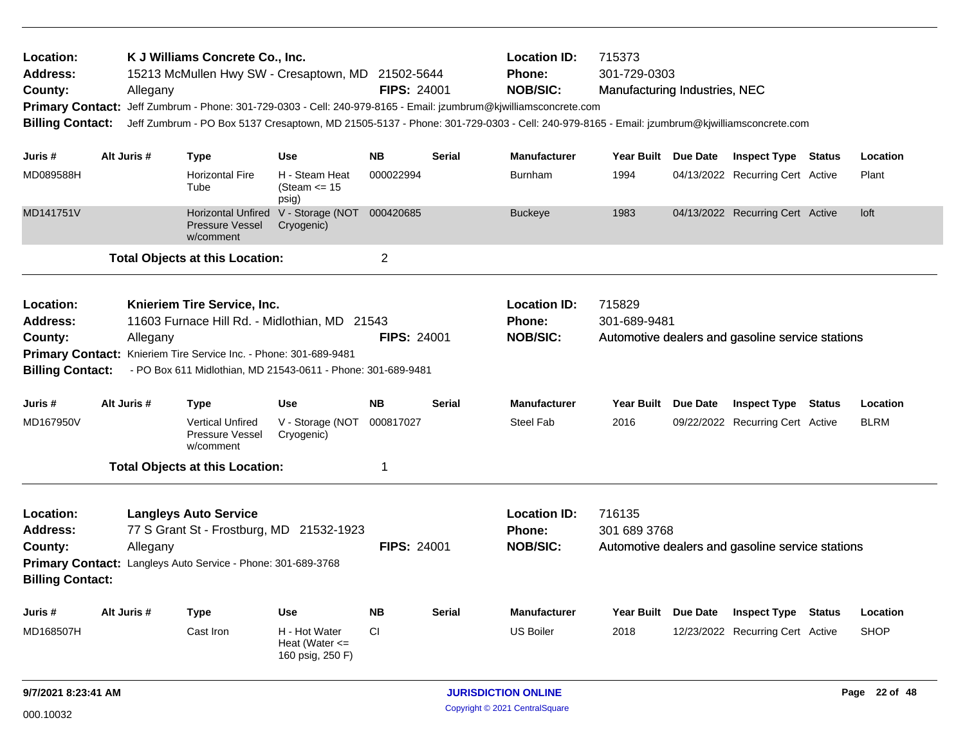| Location:<br>Address:<br>County:<br><b>Primary Contact:</b><br><b>Billing Contact:</b> |                                                                                                                                                                                                | Allegany | K J Williams Concrete Co., Inc.                                                                  | 15213 McMullen Hwy SW - Cresaptown, MD 21502-5644                                                             | <b>FIPS: 24001</b> |               | <b>Location ID:</b><br><b>Phone:</b><br><b>NOB/SIC:</b><br>Jeff Zumbrum - Phone: 301-729-0303 - Cell: 240-979-8165 - Email: jzumbrum@kjwilliamsconcrete.com<br>Jeff Zumbrum - PO Box 5137 Cresaptown, MD 21505-5137 - Phone: 301-729-0303 - Cell: 240-979-8165 - Email: jzumbrum@kjwilliamsconcrete.com | 715373<br>301-729-0303<br>Manufacturing Industries, NEC |          |                                                  |               |             |
|----------------------------------------------------------------------------------------|------------------------------------------------------------------------------------------------------------------------------------------------------------------------------------------------|----------|--------------------------------------------------------------------------------------------------|---------------------------------------------------------------------------------------------------------------|--------------------|---------------|---------------------------------------------------------------------------------------------------------------------------------------------------------------------------------------------------------------------------------------------------------------------------------------------------------|---------------------------------------------------------|----------|--------------------------------------------------|---------------|-------------|
| Juris #                                                                                | Alt Juris #                                                                                                                                                                                    |          | <b>Type</b>                                                                                      | <b>Use</b>                                                                                                    | <b>NB</b>          | <b>Serial</b> | <b>Manufacturer</b>                                                                                                                                                                                                                                                                                     | Year Built Due Date                                     |          | <b>Inspect Type Status</b>                       |               | Location    |
| MD089588H                                                                              |                                                                                                                                                                                                |          | <b>Horizontal Fire</b><br>Tube                                                                   | H - Steam Heat<br>(Steam $\le$ 15<br>psig)                                                                    | 000022994          |               | <b>Burnham</b>                                                                                                                                                                                                                                                                                          | 1994                                                    |          | 04/13/2022 Recurring Cert Active                 |               | Plant       |
| MD141751V                                                                              |                                                                                                                                                                                                |          | <b>Horizontal Unfired</b><br><b>Pressure Vessel</b><br>w/comment                                 | V - Storage (NOT 000420685<br>Cryogenic)                                                                      |                    |               | <b>Buckeye</b>                                                                                                                                                                                                                                                                                          | 1983                                                    |          | 04/13/2022 Recurring Cert Active                 |               | loft        |
|                                                                                        |                                                                                                                                                                                                |          | <b>Total Objects at this Location:</b>                                                           |                                                                                                               | $\overline{2}$     |               |                                                                                                                                                                                                                                                                                                         |                                                         |          |                                                  |               |             |
| <b>Location:</b><br><b>Address:</b><br>County:<br><b>Billing Contact:</b>              |                                                                                                                                                                                                | Allegany | Knieriem Tire Service, Inc.<br>Primary Contact: Knieriem Tire Service Inc. - Phone: 301-689-9481 | 11603 Furnace Hill Rd. - Midlothian, MD 21543<br>- PO Box 611 Midlothian, MD 21543-0611 - Phone: 301-689-9481 | <b>FIPS: 24001</b> |               | <b>Location ID:</b><br><b>Phone:</b><br><b>NOB/SIC:</b>                                                                                                                                                                                                                                                 | 715829<br>301-689-9481                                  |          | Automotive dealers and gasoline service stations |               |             |
| Juris #                                                                                | Alt Juris #                                                                                                                                                                                    |          | <b>Type</b>                                                                                      | <b>Use</b>                                                                                                    | <b>NB</b>          | <b>Serial</b> | <b>Manufacturer</b>                                                                                                                                                                                                                                                                                     | <b>Year Built</b>                                       | Due Date | <b>Inspect Type</b>                              | <b>Status</b> | Location    |
| MD167950V                                                                              |                                                                                                                                                                                                |          | <b>Vertical Unfired</b><br>Pressure Vessel<br>w/comment                                          | V - Storage (NOT<br>Cryogenic)                                                                                | 000817027          |               | <b>Steel Fab</b>                                                                                                                                                                                                                                                                                        | 2016                                                    |          | 09/22/2022 Recurring Cert Active                 |               | <b>BLRM</b> |
|                                                                                        |                                                                                                                                                                                                |          |                                                                                                  |                                                                                                               | 1                  |               |                                                                                                                                                                                                                                                                                                         |                                                         |          |                                                  |               |             |
| Location:<br><b>Address:</b><br>County:<br><b>Billing Contact:</b>                     | <b>Total Objects at this Location:</b><br><b>Langleys Auto Service</b><br>77 S Grant St - Frostburg, MD 21532-1923<br>Allegany<br>Primary Contact: Langleys Auto Service - Phone: 301-689-3768 |          |                                                                                                  |                                                                                                               | <b>FIPS: 24001</b> |               | <b>Location ID:</b><br><b>Phone:</b><br><b>NOB/SIC:</b>                                                                                                                                                                                                                                                 | 716135<br>301 689 3768                                  |          | Automotive dealers and gasoline service stations |               |             |
| Juris #                                                                                | Alt Juris #                                                                                                                                                                                    |          | <b>Type</b>                                                                                      | <b>Use</b>                                                                                                    | <b>NB</b>          | Serial        | <b>Manufacturer</b>                                                                                                                                                                                                                                                                                     | Year Built Due Date                                     |          | <b>Inspect Type</b>                              | <b>Status</b> | Location    |
| MD168507H                                                                              |                                                                                                                                                                                                |          | Cast Iron                                                                                        | H - Hot Water<br>Heat (Water $\leq$<br>160 psig, 250 F)                                                       | <b>CI</b>          |               | <b>US Boiler</b>                                                                                                                                                                                                                                                                                        | 2018                                                    |          | 12/23/2022 Recurring Cert Active                 |               | <b>SHOP</b> |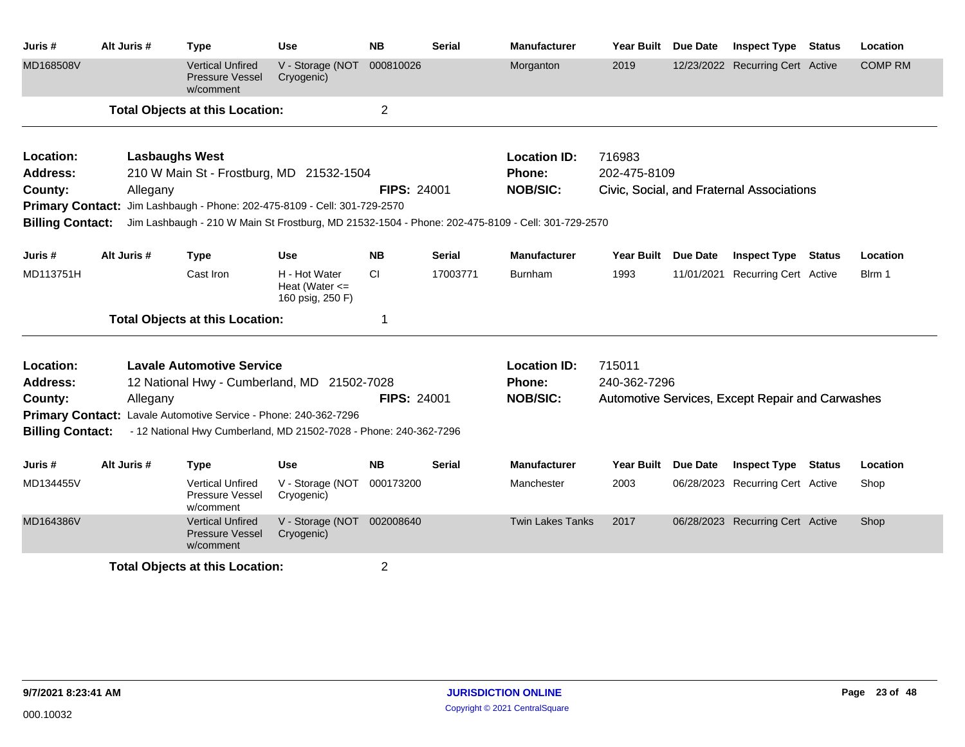| Juris #                 | Alt Juris # | <b>Type</b>                                                               | Use                                                     | <b>NB</b>          | Serial        | <b>Manufacturer</b>                                                                               | Year Built Due Date |                 | <b>Inspect Type Status</b>                       |               | Location       |
|-------------------------|-------------|---------------------------------------------------------------------------|---------------------------------------------------------|--------------------|---------------|---------------------------------------------------------------------------------------------------|---------------------|-----------------|--------------------------------------------------|---------------|----------------|
| MD168508V               |             | <b>Vertical Unfired</b><br><b>Pressure Vessel</b><br>w/comment            | V - Storage (NOT<br>Cryogenic)                          | 000810026          |               | Morganton                                                                                         | 2019                |                 | 12/23/2022 Recurring Cert Active                 |               | <b>COMP RM</b> |
|                         |             | <b>Total Objects at this Location:</b>                                    |                                                         | $\overline{2}$     |               |                                                                                                   |                     |                 |                                                  |               |                |
| Location:               |             | <b>Lasbaughs West</b>                                                     |                                                         |                    |               | <b>Location ID:</b>                                                                               | 716983              |                 |                                                  |               |                |
| <b>Address:</b>         |             | 210 W Main St - Frostburg, MD 21532-1504                                  |                                                         |                    |               | Phone:                                                                                            | 202-475-8109        |                 |                                                  |               |                |
| County:                 | Allegany    |                                                                           |                                                         | <b>FIPS: 24001</b> |               | <b>NOB/SIC:</b>                                                                                   |                     |                 | Civic, Social, and Fraternal Associations        |               |                |
|                         |             | Primary Contact: Jim Lashbaugh - Phone: 202-475-8109 - Cell: 301-729-2570 |                                                         |                    |               |                                                                                                   |                     |                 |                                                  |               |                |
| <b>Billing Contact:</b> |             |                                                                           |                                                         |                    |               | Jim Lashbaugh - 210 W Main St Frostburg, MD 21532-1504 - Phone: 202-475-8109 - Cell: 301-729-2570 |                     |                 |                                                  |               |                |
| Juris #                 | Alt Juris # | <b>Type</b>                                                               | <b>Use</b>                                              | <b>NB</b>          | <b>Serial</b> | <b>Manufacturer</b>                                                                               | Year Built Due Date |                 | <b>Inspect Type Status</b>                       |               | Location       |
| MD113751H               |             | Cast Iron                                                                 | H - Hot Water<br>Heat (Water $\leq$<br>160 psig, 250 F) | CI                 | 17003771      | <b>Burnham</b>                                                                                    | 1993                |                 | 11/01/2021 Recurring Cert Active                 |               | Blrm 1         |
|                         |             | <b>Total Objects at this Location:</b>                                    |                                                         | -1                 |               |                                                                                                   |                     |                 |                                                  |               |                |
| Location:               |             | <b>Lavale Automotive Service</b>                                          |                                                         |                    |               | <b>Location ID:</b>                                                                               | 715011              |                 |                                                  |               |                |
| <b>Address:</b>         |             | 12 National Hwy - Cumberland, MD 21502-7028                               |                                                         |                    |               | <b>Phone:</b>                                                                                     | 240-362-7296        |                 |                                                  |               |                |
| County:                 | Allegany    |                                                                           |                                                         | <b>FIPS: 24001</b> |               | <b>NOB/SIC:</b>                                                                                   |                     |                 | Automotive Services, Except Repair and Carwashes |               |                |
|                         |             | Primary Contact: Lavale Automotive Service - Phone: 240-362-7296          |                                                         |                    |               |                                                                                                   |                     |                 |                                                  |               |                |
| <b>Billing Contact:</b> |             | - 12 National Hwy Cumberland, MD 21502-7028 - Phone: 240-362-7296         |                                                         |                    |               |                                                                                                   |                     |                 |                                                  |               |                |
| Juris#                  | Alt Juris # | <b>Type</b>                                                               | <b>Use</b>                                              | <b>NB</b>          | <b>Serial</b> | <b>Manufacturer</b>                                                                               | <b>Year Built</b>   | <b>Due Date</b> | <b>Inspect Type</b>                              | <b>Status</b> | Location       |
| MD134455V               |             | <b>Vertical Unfired</b><br>Pressure Vessel<br>w/comment                   | V - Storage (NOT 000173200<br>Cryogenic)                |                    |               | Manchester                                                                                        | 2003                |                 | 06/28/2023 Recurring Cert Active                 |               | Shop           |
| MD164386V               |             | <b>Vertical Unfired</b><br>Pressure Vessel<br>w/comment                   | V - Storage (NOT<br>Cryogenic)                          | 002008640          |               | <b>Twin Lakes Tanks</b>                                                                           | 2017                |                 | 06/28/2023 Recurring Cert Active                 |               | Shop           |
|                         |             | <b>Total Objects at this Location:</b>                                    |                                                         | $\overline{2}$     |               |                                                                                                   |                     |                 |                                                  |               |                |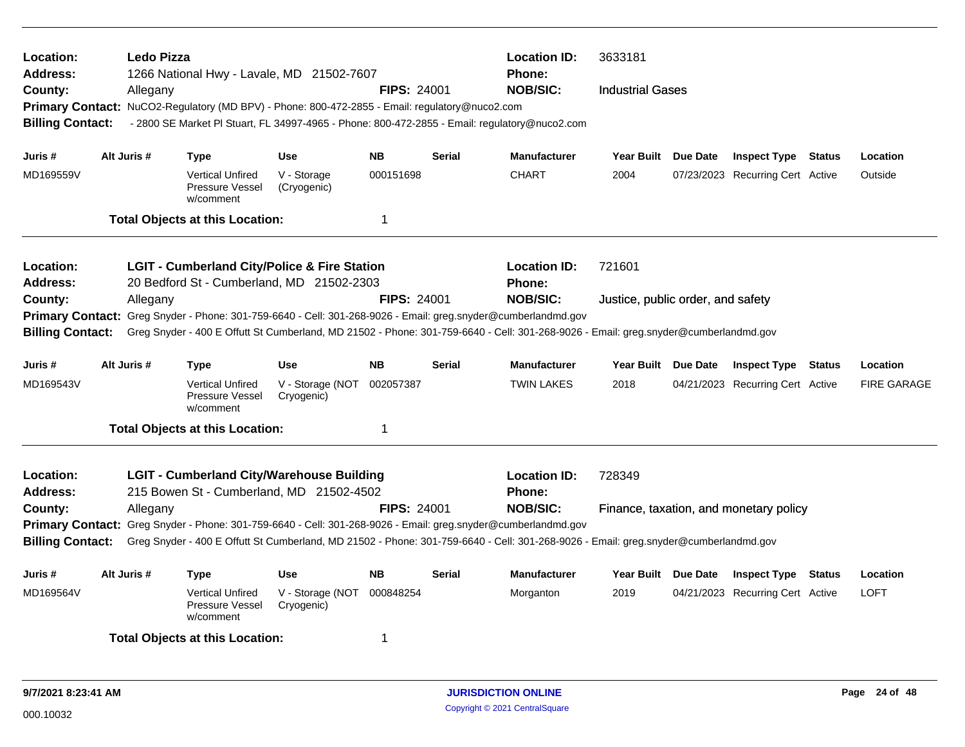| Location:<br><b>Address:</b><br>County:<br><b>Billing Contact:</b>                            |             | Ledo Pizza<br>Allegany |                                                         | 1266 National Hwy - Lavale, MD 21502-7607<br>Primary Contact: NuCO2-Regulatory (MD BPV) - Phone: 800-472-2855 - Email: regulatory@nuco2.com<br>- 2800 SE Market PI Stuart, FL 34997-4965 - Phone: 800-472-2855 - Email: regulatory@nuco2.com | <b>FIPS: 24001</b> |               | <b>Location ID:</b><br><b>Phone:</b><br><b>NOB/SIC:</b>                                                                                                                                        | 3633181<br><b>Industrial Gases</b> |                                        |                    |
|-----------------------------------------------------------------------------------------------|-------------|------------------------|---------------------------------------------------------|----------------------------------------------------------------------------------------------------------------------------------------------------------------------------------------------------------------------------------------------|--------------------|---------------|------------------------------------------------------------------------------------------------------------------------------------------------------------------------------------------------|------------------------------------|----------------------------------------|--------------------|
| Juris #                                                                                       | Alt Juris # |                        | Type                                                    | <b>Use</b>                                                                                                                                                                                                                                   | <b>NB</b>          | <b>Serial</b> | <b>Manufacturer</b>                                                                                                                                                                            | Year Built Due Date                | <b>Inspect Type Status</b>             | Location           |
| MD169559V                                                                                     |             |                        | <b>Vertical Unfired</b><br>Pressure Vessel<br>w/comment | V - Storage<br>(Cryogenic)                                                                                                                                                                                                                   | 000151698          |               | <b>CHART</b>                                                                                                                                                                                   | 2004                               | 07/23/2023 Recurring Cert Active       | Outside            |
|                                                                                               |             |                        | <b>Total Objects at this Location:</b>                  |                                                                                                                                                                                                                                              | $\mathbf 1$        |               |                                                                                                                                                                                                |                                    |                                        |                    |
| <b>Location:</b><br><b>Address:</b>                                                           |             |                        |                                                         | <b>LGIT - Cumberland City/Police &amp; Fire Station</b><br>20 Bedford St - Cumberland, MD 21502-2303                                                                                                                                         |                    |               | <b>Location ID:</b><br><b>Phone:</b>                                                                                                                                                           | 721601                             |                                        |                    |
| County:<br><b>Primary Contact:</b><br><b>Billing Contact:</b>                                 |             | Allegany               |                                                         | Greg Snyder - Phone: 301-759-6640 - Cell: 301-268-9026 - Email: greg.snyder@cumberlandmd.gov                                                                                                                                                 | <b>FIPS: 24001</b> |               | <b>NOB/SIC:</b><br>Greg Snyder - 400 E Offutt St Cumberland, MD 21502 - Phone: 301-759-6640 - Cell: 301-268-9026 - Email: greg.snyder@cumberlandmd.gov                                         | Justice, public order, and safety  |                                        |                    |
| Juris #                                                                                       | Alt Juris # |                        | Type                                                    | <b>Use</b>                                                                                                                                                                                                                                   | <b>NB</b>          | <b>Serial</b> | <b>Manufacturer</b>                                                                                                                                                                            | Year Built Due Date                | <b>Inspect Type Status</b>             | Location           |
| MD169543V                                                                                     |             |                        | <b>Vertical Unfired</b><br>Pressure Vessel<br>w/comment | V - Storage (NOT<br>Cryogenic)                                                                                                                                                                                                               | 002057387          |               | <b>TWIN LAKES</b>                                                                                                                                                                              | 2018                               | 04/21/2023 Recurring Cert Active       | <b>FIRE GARAGE</b> |
|                                                                                               |             |                        | <b>Total Objects at this Location:</b>                  |                                                                                                                                                                                                                                              | $\mathbf 1$        |               |                                                                                                                                                                                                |                                    |                                        |                    |
| Location:<br><b>Address:</b><br>County:<br><b>Primary Contact:</b><br><b>Billing Contact:</b> |             | Allegany               |                                                         | <b>LGIT - Cumberland City/Warehouse Building</b><br>215 Bowen St - Cumberland, MD 21502-4502<br>Greg Snyder - Phone: 301-759-6640 - Cell: 301-268-9026 - Email: greg.snyder@cumberlandmd.gov                                                 | <b>FIPS: 24001</b> |               | <b>Location ID:</b><br><b>Phone:</b><br><b>NOB/SIC:</b><br>Greg Snyder - 400 E Offutt St Cumberland, MD 21502 - Phone: 301-759-6640 - Cell: 301-268-9026 - Email: greg.snyder@cumberlandmd.gov | 728349                             | Finance, taxation, and monetary policy |                    |
| Juris #                                                                                       | Alt Juris # |                        | <b>Type</b>                                             | <b>Use</b>                                                                                                                                                                                                                                   | <b>NB</b>          | <b>Serial</b> | <b>Manufacturer</b>                                                                                                                                                                            | Year Built Due Date                | <b>Inspect Type Status</b>             | Location           |
| MD169564V                                                                                     |             |                        | <b>Vertical Unfired</b><br>Pressure Vessel<br>w/comment | V - Storage (NOT<br>Cryogenic)                                                                                                                                                                                                               | 000848254          |               | Morganton                                                                                                                                                                                      | 2019                               | 04/21/2023 Recurring Cert Active       | <b>LOFT</b>        |
|                                                                                               |             |                        | <b>Total Objects at this Location:</b>                  |                                                                                                                                                                                                                                              | 1                  |               |                                                                                                                                                                                                |                                    |                                        |                    |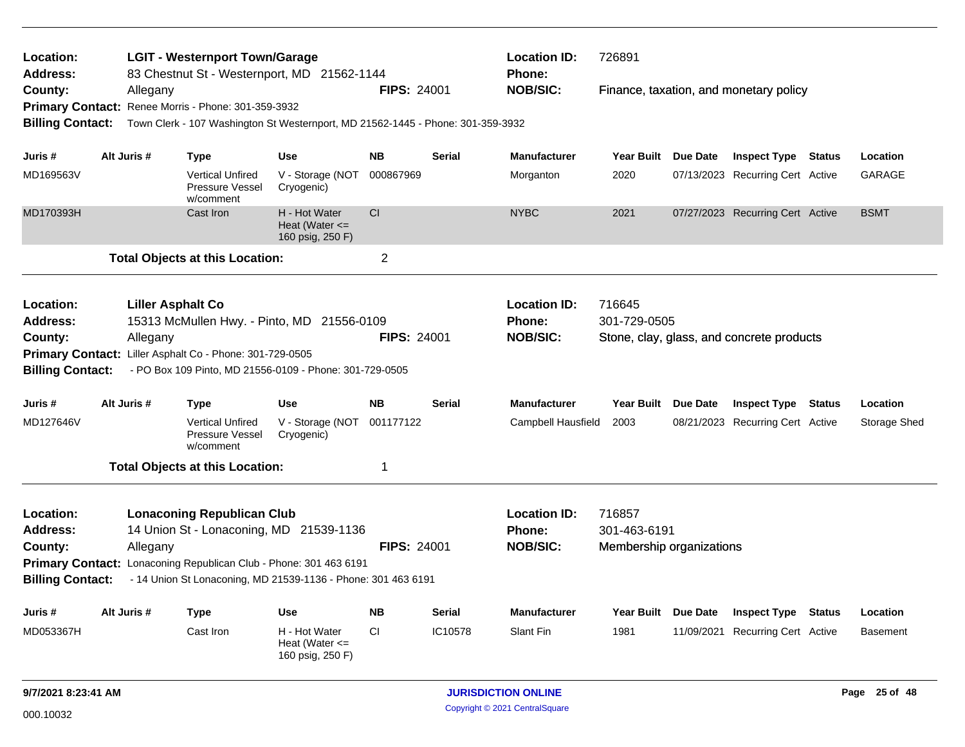| Location:<br>Address:                                                                         |             | <b>LGIT - Westernport Town/Garage</b><br>83 Chestnut St - Westernport, MD 21562-1144                                                                                                              |                                                         |                    |               | <b>Location ID:</b><br>Phone:                           | 726891                                             |                 |                                           |               |                 |
|-----------------------------------------------------------------------------------------------|-------------|---------------------------------------------------------------------------------------------------------------------------------------------------------------------------------------------------|---------------------------------------------------------|--------------------|---------------|---------------------------------------------------------|----------------------------------------------------|-----------------|-------------------------------------------|---------------|-----------------|
| County:                                                                                       | Allegany    |                                                                                                                                                                                                   |                                                         | <b>FIPS: 24001</b> |               | <b>NOB/SIC:</b>                                         |                                                    |                 | Finance, taxation, and monetary policy    |               |                 |
|                                                                                               |             | Primary Contact: Renee Morris - Phone: 301-359-3932                                                                                                                                               |                                                         |                    |               |                                                         |                                                    |                 |                                           |               |                 |
| <b>Billing Contact:</b>                                                                       |             | Town Clerk - 107 Washington St Westernport, MD 21562-1445 - Phone: 301-359-3932                                                                                                                   |                                                         |                    |               |                                                         |                                                    |                 |                                           |               |                 |
| Juris #                                                                                       | Alt Juris # | Type                                                                                                                                                                                              | <b>Use</b>                                              | <b>NB</b>          | <b>Serial</b> | <b>Manufacturer</b>                                     | Year Built Due Date                                |                 | <b>Inspect Type Status</b>                |               | Location        |
| MD169563V                                                                                     |             | <b>Vertical Unfired</b><br><b>Pressure Vessel</b><br>w/comment                                                                                                                                    | V - Storage (NOT<br>Cryogenic)                          | 000867969          |               | Morganton                                               | 2020                                               |                 | 07/13/2023 Recurring Cert Active          |               | GARAGE          |
| MD170393H                                                                                     |             | Cast Iron                                                                                                                                                                                         | H - Hot Water<br>Heat (Water $\leq$<br>160 psig, 250 F) | <b>CI</b>          |               | <b>NYBC</b>                                             | 2021                                               |                 | 07/27/2023 Recurring Cert Active          |               | <b>BSMT</b>     |
|                                                                                               |             | <b>Total Objects at this Location:</b>                                                                                                                                                            |                                                         | $\overline{2}$     |               |                                                         |                                                    |                 |                                           |               |                 |
| Location:<br><b>Address:</b><br>County:                                                       | Allegany    | <b>Liller Asphalt Co</b><br>15313 McMullen Hwy. - Pinto, MD 21556-0109                                                                                                                            |                                                         | <b>FIPS: 24001</b> |               | <b>Location ID:</b><br>Phone:<br><b>NOB/SIC:</b>        | 716645<br>301-729-0505                             |                 | Stone, clay, glass, and concrete products |               |                 |
| <b>Billing Contact:</b>                                                                       |             | Primary Contact: Liller Asphalt Co - Phone: 301-729-0505<br>- PO Box 109 Pinto, MD 21556-0109 - Phone: 301-729-0505                                                                               |                                                         |                    |               |                                                         |                                                    |                 |                                           |               |                 |
| Juris#                                                                                        | Alt Juris # | <b>Type</b>                                                                                                                                                                                       | <b>Use</b>                                              | <b>NB</b>          | <b>Serial</b> | <b>Manufacturer</b>                                     | Year Built Due Date                                |                 | <b>Inspect Type</b>                       | <b>Status</b> | Location        |
| MD127646V                                                                                     |             | <b>Vertical Unfired</b><br>Pressure Vessel<br>w/comment                                                                                                                                           | V - Storage (NOT 001177122<br>Cryogenic)                |                    |               | Campbell Hausfield                                      | 2003                                               |                 | 08/21/2023 Recurring Cert Active          |               | Storage Shed    |
|                                                                                               |             | <b>Total Objects at this Location:</b>                                                                                                                                                            |                                                         | $\mathbf 1$        |               |                                                         |                                                    |                 |                                           |               |                 |
| Location:<br><b>Address:</b><br>County:<br><b>Primary Contact:</b><br><b>Billing Contact:</b> | Allegany    | <b>Lonaconing Republican Club</b><br>14 Union St - Lonaconing, MD 21539-1136<br>Lonaconing Republican Club - Phone: 301 463 6191<br>- 14 Union St Lonaconing, MD 21539-1136 - Phone: 301 463 6191 |                                                         | <b>FIPS: 24001</b> |               | <b>Location ID:</b><br><b>Phone:</b><br><b>NOB/SIC:</b> | 716857<br>301-463-6191<br>Membership organizations |                 |                                           |               |                 |
| Juris #                                                                                       | Alt Juris # | Type                                                                                                                                                                                              | <b>Use</b>                                              | <b>NB</b>          | <b>Serial</b> | <b>Manufacturer</b>                                     | <b>Year Built</b>                                  | <b>Due Date</b> | <b>Inspect Type</b>                       | <b>Status</b> | Location        |
| MD053367H                                                                                     |             | Cast Iron                                                                                                                                                                                         | H - Hot Water<br>Heat (Water $\leq$<br>160 psig, 250 F) | CI.                | IC10578       | Slant Fin                                               | 1981                                               |                 | 11/09/2021 Recurring Cert Active          |               | <b>Basement</b> |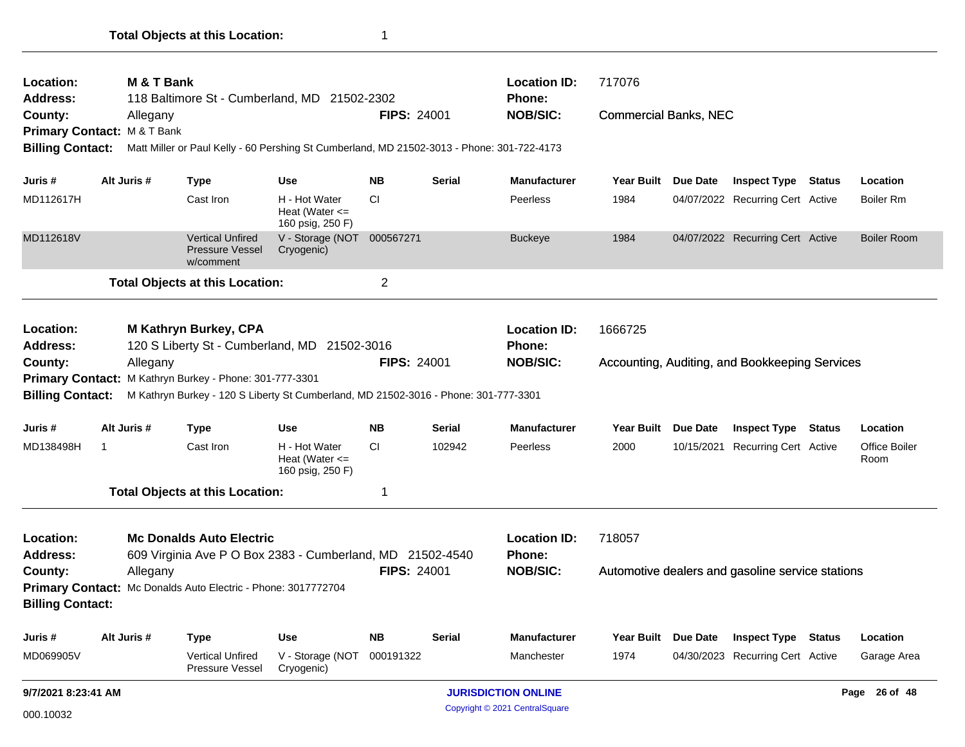| Location:<br><b>Address:</b> | M & T Bank                                       | 118 Baltimore St - Cumberland, MD 21502-2302                                               |                                                         |                    |               | <b>Location ID:</b><br><b>Phone:</b> | 717076                       |                 |                                                  |               |                       |
|------------------------------|--------------------------------------------------|--------------------------------------------------------------------------------------------|---------------------------------------------------------|--------------------|---------------|--------------------------------------|------------------------------|-----------------|--------------------------------------------------|---------------|-----------------------|
| County:                      | Allegany<br><b>Primary Contact: M&amp;T Bank</b> |                                                                                            |                                                         | <b>FIPS: 24001</b> |               | <b>NOB/SIC:</b>                      | <b>Commercial Banks, NEC</b> |                 |                                                  |               |                       |
| <b>Billing Contact:</b>      |                                                  | Matt Miller or Paul Kelly - 60 Pershing St Cumberland, MD 21502-3013 - Phone: 301-722-4173 |                                                         |                    |               |                                      |                              |                 |                                                  |               |                       |
| Juris #                      | Alt Juris #                                      | <b>Type</b>                                                                                | Use                                                     | <b>NB</b>          | <b>Serial</b> | <b>Manufacturer</b>                  | <b>Year Built</b>            | <b>Due Date</b> | <b>Inspect Type Status</b>                       |               | Location              |
| MD112617H                    |                                                  | Cast Iron                                                                                  | H - Hot Water<br>Heat (Water $\leq$<br>160 psig, 250 F) | <b>CI</b>          |               | Peerless                             | 1984                         |                 | 04/07/2022 Recurring Cert Active                 |               | Boiler Rm             |
| MD112618V                    |                                                  | <b>Vertical Unfired</b><br><b>Pressure Vessel</b><br>w/comment                             | V - Storage (NOT 000567271<br>Cryogenic)                |                    |               | <b>Buckeye</b>                       | 1984                         |                 | 04/07/2022 Recurring Cert Active                 |               | <b>Boiler Room</b>    |
|                              |                                                  | <b>Total Objects at this Location:</b>                                                     |                                                         | $\overline{c}$     |               |                                      |                              |                 |                                                  |               |                       |
| Location:                    |                                                  | M Kathryn Burkey, CPA                                                                      |                                                         |                    |               | <b>Location ID:</b>                  | 1666725                      |                 |                                                  |               |                       |
| Address:                     |                                                  | 120 S Liberty St - Cumberland, MD 21502-3016                                               |                                                         |                    |               | <b>Phone:</b>                        |                              |                 |                                                  |               |                       |
| County:                      | Allegany                                         |                                                                                            |                                                         | <b>FIPS: 24001</b> |               | <b>NOB/SIC:</b>                      |                              |                 | Accounting, Auditing, and Bookkeeping Services   |               |                       |
|                              |                                                  | Primary Contact: M Kathryn Burkey - Phone: 301-777-3301                                    |                                                         |                    |               |                                      |                              |                 |                                                  |               |                       |
| <b>Billing Contact:</b>      |                                                  | M Kathryn Burkey - 120 S Liberty St Cumberland, MD 21502-3016 - Phone: 301-777-3301        |                                                         |                    |               |                                      |                              |                 |                                                  |               |                       |
| Juris #                      | Alt Juris #                                      | <b>Type</b>                                                                                | <b>Use</b>                                              | <b>NB</b>          | Serial        | <b>Manufacturer</b>                  | Year Built                   | <b>Due Date</b> | <b>Inspect Type</b>                              | <b>Status</b> | Location              |
| MD138498H                    | $\mathbf 1$                                      | Cast Iron                                                                                  | H - Hot Water<br>Heat (Water $\leq$<br>160 psig, 250 F) | CI.                | 102942        | Peerless                             | 2000                         |                 | 10/15/2021 Recurring Cert Active                 |               | Office Boiler<br>Room |
|                              |                                                  | <b>Total Objects at this Location:</b>                                                     |                                                         | 1                  |               |                                      |                              |                 |                                                  |               |                       |
| Location:                    |                                                  | <b>Mc Donalds Auto Electric</b>                                                            |                                                         |                    |               | <b>Location ID:</b>                  | 718057                       |                 |                                                  |               |                       |
| <b>Address:</b>              |                                                  | 609 Virginia Ave P O Box 2383 - Cumberland, MD 21502-4540                                  |                                                         |                    |               | Phone:                               |                              |                 |                                                  |               |                       |
| County:                      | Allegany                                         |                                                                                            |                                                         | <b>FIPS: 24001</b> |               | <b>NOB/SIC:</b>                      |                              |                 | Automotive dealers and gasoline service stations |               |                       |
|                              |                                                  | Primary Contact: Mc Donalds Auto Electric - Phone: 3017772704                              |                                                         |                    |               |                                      |                              |                 |                                                  |               |                       |
| <b>Billing Contact:</b>      |                                                  |                                                                                            |                                                         |                    |               |                                      |                              |                 |                                                  |               |                       |
| Juris #                      | Alt Juris #                                      | <b>Type</b>                                                                                | <b>Use</b>                                              | <b>NB</b>          | Serial        | <b>Manufacturer</b>                  | <b>Year Built</b>            | Due Date        | <b>Inspect Type</b>                              | Status        | Location              |
| MD069905V                    |                                                  | <b>Vertical Unfired</b><br>Pressure Vessel                                                 | V - Storage (NOT<br>Cryogenic)                          | 000191322          |               | Manchester                           | 1974                         |                 | 04/30/2023 Recurring Cert Active                 |               | Garage Area           |
| 9/7/2021 8:23:41 AM          |                                                  |                                                                                            |                                                         |                    |               | <b>JURISDICTION ONLINE</b>           |                              |                 |                                                  |               | Page 26 of 48         |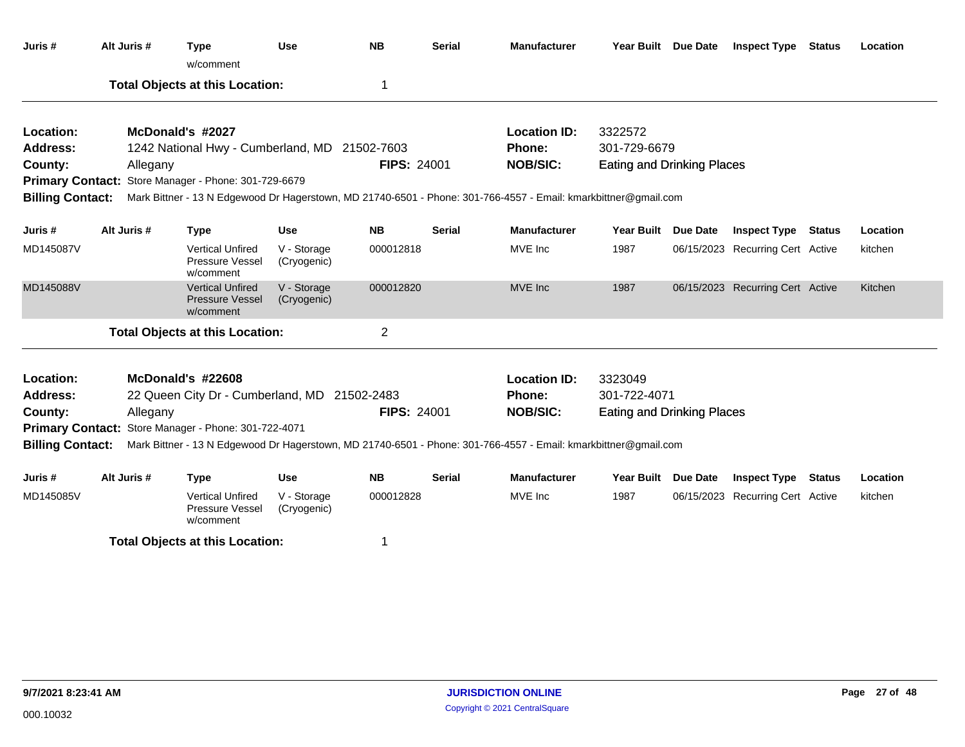| Juris #                 | Alt Juris # |          | <b>Type</b><br>w/comment                                       | <b>Use</b>                 | <b>NB</b>          | Serial        | <b>Manufacturer</b>                                                                                             | Year Built Due Date               | <b>Inspect Type Status</b>       | Location |
|-------------------------|-------------|----------|----------------------------------------------------------------|----------------------------|--------------------|---------------|-----------------------------------------------------------------------------------------------------------------|-----------------------------------|----------------------------------|----------|
|                         |             |          | <b>Total Objects at this Location:</b>                         |                            | 1                  |               |                                                                                                                 |                                   |                                  |          |
| Location:               |             |          | McDonald's #2027                                               |                            |                    |               | <b>Location ID:</b>                                                                                             | 3322572                           |                                  |          |
| <b>Address:</b>         |             |          | 1242 National Hwy - Cumberland, MD 21502-7603                  |                            |                    |               | Phone:                                                                                                          | 301-729-6679                      |                                  |          |
| County:                 |             | Allegany |                                                                |                            | <b>FIPS: 24001</b> |               | <b>NOB/SIC:</b>                                                                                                 | <b>Eating and Drinking Places</b> |                                  |          |
|                         |             |          | Primary Contact: Store Manager - Phone: 301-729-6679           |                            |                    |               |                                                                                                                 |                                   |                                  |          |
| <b>Billing Contact:</b> |             |          |                                                                |                            |                    |               | Mark Bittner - 13 N Edgewood Dr Hagerstown, MD 21740-6501 - Phone: 301-766-4557 - Email: kmarkbittner@gmail.com |                                   |                                  |          |
| Juris #                 | Alt Juris # |          | <b>Type</b>                                                    | <b>Use</b>                 | <b>NB</b>          | <b>Serial</b> | <b>Manufacturer</b>                                                                                             | Year Built Due Date               | <b>Inspect Type Status</b>       | Location |
| MD145087V               |             |          | <b>Vertical Unfired</b><br>Pressure Vessel<br>w/comment        | V - Storage<br>(Cryogenic) | 000012818          |               | MVE Inc                                                                                                         | 1987                              | 06/15/2023 Recurring Cert Active | kitchen  |
| MD145088V               |             |          | <b>Vertical Unfired</b><br><b>Pressure Vessel</b><br>w/comment | V - Storage<br>(Cryogenic) | 000012820          |               | MVE Inc                                                                                                         | 1987                              | 06/15/2023 Recurring Cert Active | Kitchen  |
|                         |             |          | <b>Total Objects at this Location:</b>                         |                            | $\overline{c}$     |               |                                                                                                                 |                                   |                                  |          |
| Location:               |             |          | McDonald's #22608                                              |                            |                    |               | <b>Location ID:</b>                                                                                             | 3323049                           |                                  |          |
| <b>Address:</b>         |             |          | 22 Queen City Dr - Cumberland, MD 21502-2483                   |                            |                    |               | Phone:                                                                                                          | 301-722-4071                      |                                  |          |
| County:                 |             | Allegany |                                                                |                            | <b>FIPS: 24001</b> |               | <b>NOB/SIC:</b>                                                                                                 | <b>Eating and Drinking Places</b> |                                  |          |
|                         |             |          | Primary Contact: Store Manager - Phone: 301-722-4071           |                            |                    |               |                                                                                                                 |                                   |                                  |          |
| <b>Billing Contact:</b> |             |          |                                                                |                            |                    |               | Mark Bittner - 13 N Edgewood Dr Hagerstown, MD 21740-6501 - Phone: 301-766-4557 - Email: kmarkbittner@gmail.com |                                   |                                  |          |
| Juris #                 | Alt Juris # |          | <b>Type</b>                                                    | <b>Use</b>                 | <b>NB</b>          | Serial        | <b>Manufacturer</b>                                                                                             | Year Built Due Date               | <b>Inspect Type Status</b>       | Location |
| MD145085V               |             |          | <b>Vertical Unfired</b><br>Pressure Vessel<br>w/comment        | V - Storage<br>(Cryogenic) | 000012828          |               | MVE Inc                                                                                                         | 1987                              | 06/15/2023 Recurring Cert Active | kitchen  |
|                         |             |          | <b>Total Objects at this Location:</b>                         |                            |                    |               |                                                                                                                 |                                   |                                  |          |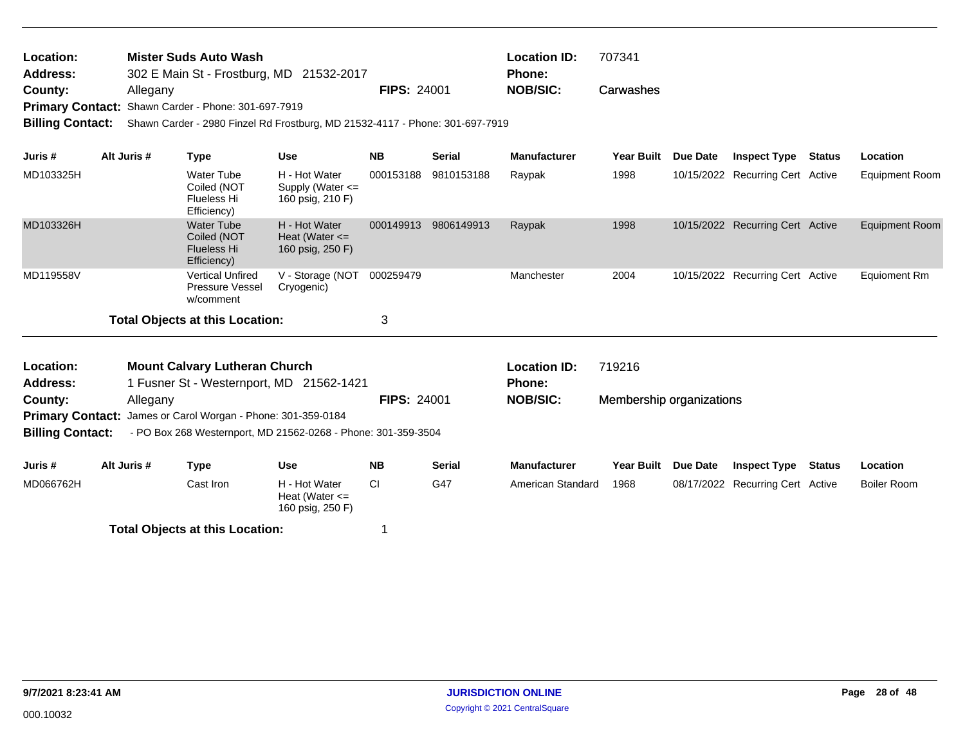| Location: | <b>Mister Suds Auto Wash</b>                               |                    | <b>Location ID:</b> | 707341    |
|-----------|------------------------------------------------------------|--------------------|---------------------|-----------|
| Address:  | 302 E Main St - Frostburg, MD 21532-2017                   |                    | <b>Phone:</b>       |           |
| County:   | Allegany                                                   | <b>FIPS: 24001</b> | NOB/SIC:            | Carwashes |
|           | <b>Primary Contact: Shawn Carder - Phone: 301-697-7919</b> |                    |                     |           |

**Billing Contact:** Shawn Carder - 2980 Finzel Rd Frostburg, MD 21532-4117 - Phone: 301-697-7919

| Juris #   | Alt Juris # | Type                                                                  | <b>Use</b>                                                | <b>NB</b> | <b>Serial</b> | <b>Manufacturer</b> | <b>Year Built</b> | Due Date | <b>Inspect Type</b>              | Status | <b>Location</b>       |
|-----------|-------------|-----------------------------------------------------------------------|-----------------------------------------------------------|-----------|---------------|---------------------|-------------------|----------|----------------------------------|--------|-----------------------|
| MD103325H |             | Water Tube<br>Coiled (NOT<br>Flueless Hi<br>Efficiency)               | H - Hot Water<br>Supply (Water $\leq$<br>160 psig, 210 F) | 000153188 | 9810153188    | Raypak              | 1998              |          | 10/15/2022 Recurring Cert Active |        | Equipment Room        |
| MD103326H |             | <b>Water Tube</b><br>Coiled (NOT<br><b>Flueless Hi</b><br>Efficiency) | H - Hot Water<br>Heat (Water $\leq$<br>160 psig, 250 F)   | 000149913 | 9806149913    | Raypak              | 1998              |          | 10/15/2022 Recurring Cert Active |        | <b>Equipment Room</b> |
| MD119558V |             | <b>Vertical Unfired</b><br><b>Pressure Vessel</b><br>w/comment        | V - Storage (NOT<br>Cryogenic)                            | 000259479 |               | Manchester          | 2004              |          | 10/15/2022 Recurring Cert Active |        | Equioment Rm          |
|           |             | Total Objects at this Location:                                       |                                                           | 3         |               |                     |                   |          |                                  |        |                       |

| Location:               | <b>Mount Calvary Lutheran Church</b>                                |                    | <b>Location ID:</b> | 719216                   |
|-------------------------|---------------------------------------------------------------------|--------------------|---------------------|--------------------------|
| <b>Address:</b>         | 1 Fusner St - Westernport, MD 21562-1421                            |                    | <b>Phone:</b>       |                          |
| County:                 | Allegany                                                            | <b>FIPS: 24001</b> | <b>NOB/SIC:</b>     | Membership organizations |
|                         | <b>Primary Contact:</b> James or Carol Worgan - Phone: 301-359-0184 |                    |                     |                          |
| <b>Billing Contact:</b> | - PO Box 268 Westernport, MD 21562-0268 - Phone: 301-359-3504       |                    |                     |                          |
|                         |                                                                     |                    |                     |                          |
| .                       | .                                                                   |                    |                     |                          |

| Juris #   | Alt Juris # | Type                                   | <b>Use</b>                                              | <b>NB</b> | <b>Serial</b> | <b>Manufacturer</b> | <b>Year Built</b> | <b>Due Date</b> | <b>Inspect Type</b>              | <b>Status</b> | Location    |
|-----------|-------------|----------------------------------------|---------------------------------------------------------|-----------|---------------|---------------------|-------------------|-----------------|----------------------------------|---------------|-------------|
| MD066762H |             | Cast Iron                              | H - Hot Water<br>Heat (Water $\leq$<br>160 psig, 250 F) | СI        | G47           | American Standard   | 1968              |                 | 08/17/2022 Recurring Cert Active |               | Boiler Room |
|           |             | <b>Total Objects at this Location:</b> |                                                         |           |               |                     |                   |                 |                                  |               |             |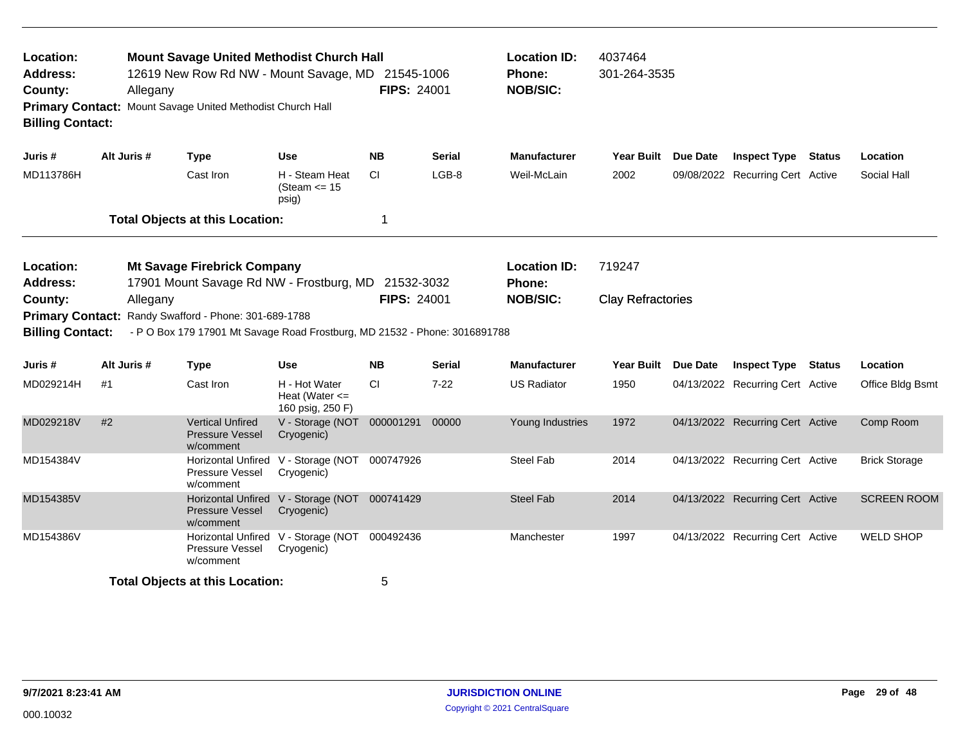| Location:<br><b>Address:</b><br>County:<br><b>Billing Contact:</b> | Allegany    | <b>Mount Savage United Methodist Church Hall</b><br>12619 New Row Rd NW - Mount Savage, MD 21545-1006<br>Primary Contact: Mount Savage United Methodist Church Hall |                                                             | <b>FIPS: 24001</b> |               | <b>Location ID:</b><br>Phone:<br><b>NOB/SIC:</b> | 4037464<br>301-264-3535  |                                  |               |                      |
|--------------------------------------------------------------------|-------------|---------------------------------------------------------------------------------------------------------------------------------------------------------------------|-------------------------------------------------------------|--------------------|---------------|--------------------------------------------------|--------------------------|----------------------------------|---------------|----------------------|
| Juris #                                                            | Alt Juris # | <b>Type</b>                                                                                                                                                         | <b>Use</b>                                                  | <b>NB</b>          | <b>Serial</b> | <b>Manufacturer</b>                              | Year Built Due Date      | <b>Inspect Type Status</b>       |               | Location             |
| MD113786H                                                          |             | Cast Iron                                                                                                                                                           | H - Steam Heat<br>(Steam $\le$ 15<br>psig)                  | CI.                | LGB-8         | Weil-McLain                                      | 2002                     | 09/08/2022 Recurring Cert Active |               | Social Hall          |
|                                                                    |             | <b>Total Objects at this Location:</b>                                                                                                                              |                                                             | 1                  |               |                                                  |                          |                                  |               |                      |
| Location:<br><b>Address:</b>                                       |             | <b>Mt Savage Firebrick Company</b><br>17901 Mount Savage Rd NW - Frostburg, MD 21532-3032                                                                           |                                                             |                    |               | <b>Location ID:</b><br><b>Phone:</b>             | 719247                   |                                  |               |                      |
| County:<br><b>Primary Contact:</b><br><b>Billing Contact:</b>      | Allegany    | Randy Swafford - Phone: 301-689-1788<br>- P O Box 179 17901 Mt Savage Road Frostburg, MD 21532 - Phone: 3016891788                                                  |                                                             | <b>FIPS: 24001</b> |               | <b>NOB/SIC:</b>                                  | <b>Clay Refractories</b> |                                  |               |                      |
| Juris #                                                            | Alt Juris # | <b>Type</b>                                                                                                                                                         | <b>Use</b>                                                  | <b>NB</b>          | <b>Serial</b> | <b>Manufacturer</b>                              | Year Built Due Date      | <b>Inspect Type</b>              | <b>Status</b> | Location             |
| MD029214H                                                          | #1          | Cast Iron                                                                                                                                                           | H - Hot Water<br>Heat (Water $\leq$<br>160 psig, 250 F)     | <b>CI</b>          | $7 - 22$      | <b>US Radiator</b>                               | 1950                     | 04/13/2022 Recurring Cert Active |               | Office Bldg Bsmt     |
| MD029218V                                                          | #2          | <b>Vertical Unfired</b><br><b>Pressure Vessel</b><br>w/comment                                                                                                      | V - Storage (NOT 000001291<br>Cryogenic)                    |                    | 00000         | Young Industries                                 | 1972                     | 04/13/2022 Recurring Cert Active |               | Comp Room            |
| MD154384V                                                          |             | Pressure Vessel<br>w/comment                                                                                                                                        | Horizontal Unfired V - Storage (NOT 000747926<br>Cryogenic) |                    |               | Steel Fab                                        | 2014                     | 04/13/2022 Recurring Cert Active |               | <b>Brick Storage</b> |
| MD154385V                                                          |             | <b>Pressure Vessel</b><br>w/comment                                                                                                                                 | Horizontal Unfired V - Storage (NOT<br>Cryogenic)           | 000741429          |               | <b>Steel Fab</b>                                 | 2014                     | 04/13/2022 Recurring Cert Active |               | <b>SCREEN ROOM</b>   |
| MD154386V                                                          |             | Pressure Vessel<br>w/comment                                                                                                                                        | Horizontal Unfired V - Storage (NOT<br>Cryogenic)           | 000492436          |               | Manchester                                       | 1997                     | 04/13/2022 Recurring Cert Active |               | <b>WELD SHOP</b>     |
|                                                                    |             | <b>Total Objects at this Location:</b>                                                                                                                              |                                                             | 5                  |               |                                                  |                          |                                  |               |                      |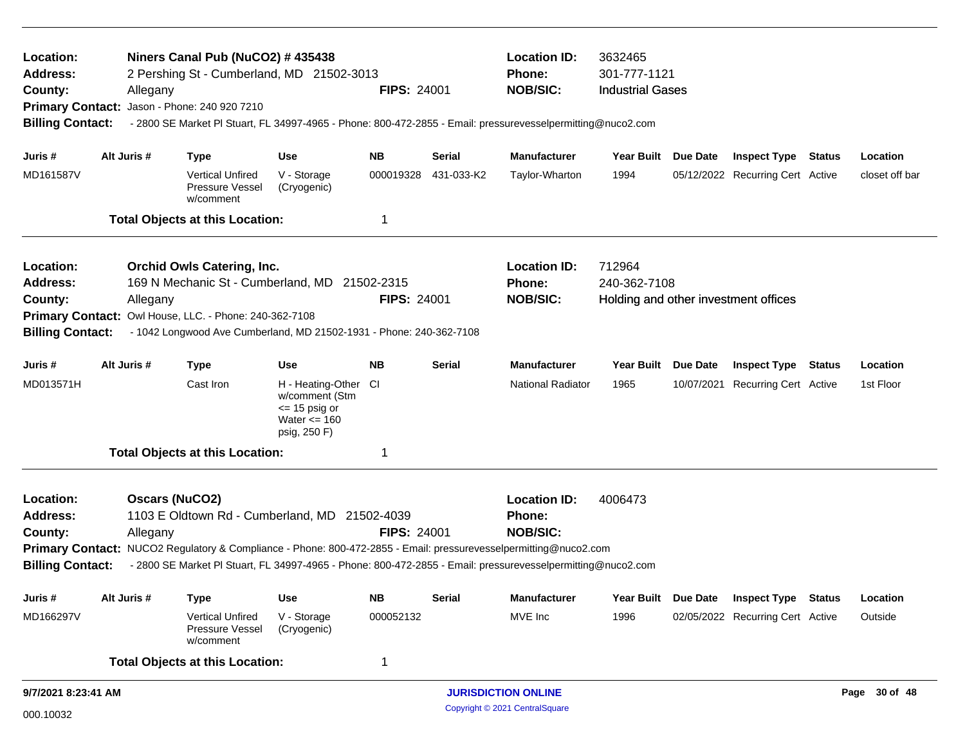| Location:<br><b>Address:</b><br>County:<br><b>Billing Contact:</b> | Allegany              | Niners Canal Pub (NuCO2) # 435438<br>2 Pershing St - Cumberland, MD 21502-3013<br>Primary Contact: Jason - Phone: 240 920 7210 |                                                                                            | <b>FIPS: 24001</b> |               | <b>Location ID:</b><br>Phone:<br><b>NOB/SIC:</b><br>- 2800 SE Market PI Stuart, FL 34997-4965 - Phone: 800-472-2855 - Email: pressurevesselpermitting@nuco2.com | 3632465<br>301-777-1121<br><b>Industrial Gases</b> |                 |                                      |               |                |
|--------------------------------------------------------------------|-----------------------|--------------------------------------------------------------------------------------------------------------------------------|--------------------------------------------------------------------------------------------|--------------------|---------------|-----------------------------------------------------------------------------------------------------------------------------------------------------------------|----------------------------------------------------|-----------------|--------------------------------------|---------------|----------------|
|                                                                    |                       |                                                                                                                                |                                                                                            |                    |               |                                                                                                                                                                 |                                                    |                 |                                      |               |                |
| Juris #                                                            | Alt Juris #           | <b>Type</b>                                                                                                                    | Use                                                                                        | <b>NB</b>          | Serial        | <b>Manufacturer</b>                                                                                                                                             | Year Built Due Date                                |                 | <b>Inspect Type Status</b>           |               | Location       |
| MD161587V                                                          |                       | <b>Vertical Unfired</b><br>Pressure Vessel<br>w/comment                                                                        | V - Storage<br>(Cryogenic)                                                                 | 000019328          | 431-033-K2    | Taylor-Wharton                                                                                                                                                  | 1994                                               |                 | 05/12/2022 Recurring Cert Active     |               | closet off bar |
|                                                                    |                       | <b>Total Objects at this Location:</b>                                                                                         |                                                                                            | 1                  |               |                                                                                                                                                                 |                                                    |                 |                                      |               |                |
| Location:                                                          |                       | <b>Orchid Owls Catering, Inc.</b>                                                                                              |                                                                                            |                    |               | <b>Location ID:</b>                                                                                                                                             | 712964                                             |                 |                                      |               |                |
| <b>Address:</b>                                                    |                       | 169 N Mechanic St - Cumberland, MD 21502-2315                                                                                  |                                                                                            |                    |               | Phone:                                                                                                                                                          | 240-362-7108                                       |                 |                                      |               |                |
| County:                                                            | Allegany              |                                                                                                                                |                                                                                            | FIPS: 24001        |               | <b>NOB/SIC:</b>                                                                                                                                                 |                                                    |                 | Holding and other investment offices |               |                |
| <b>Primary Contact:</b>                                            |                       | Owl House, LLC. - Phone: 240-362-7108                                                                                          |                                                                                            |                    |               |                                                                                                                                                                 |                                                    |                 |                                      |               |                |
| <b>Billing Contact:</b>                                            |                       | - 1042 Longwood Ave Cumberland, MD 21502-1931 - Phone: 240-362-7108                                                            |                                                                                            |                    |               |                                                                                                                                                                 |                                                    |                 |                                      |               |                |
| Juris #                                                            | Alt Juris #           | <b>Type</b>                                                                                                                    | Use                                                                                        | <b>NB</b>          | <b>Serial</b> | <b>Manufacturer</b>                                                                                                                                             | <b>Year Built</b>                                  | <b>Due Date</b> | <b>Inspect Type</b>                  | <b>Status</b> | Location       |
| MD013571H                                                          |                       | Cast Iron                                                                                                                      | H - Heating-Other CI<br>w/comment (Stm<br>$\le$ 15 psig or<br>Water <= 160<br>psig, 250 F) |                    |               | <b>National Radiator</b>                                                                                                                                        | 1965                                               |                 | 10/07/2021 Recurring Cert Active     |               | 1st Floor      |
|                                                                    |                       | <b>Total Objects at this Location:</b>                                                                                         |                                                                                            | -1                 |               |                                                                                                                                                                 |                                                    |                 |                                      |               |                |
| Location:                                                          | <b>Oscars (NuCO2)</b> |                                                                                                                                |                                                                                            |                    |               | <b>Location ID:</b>                                                                                                                                             | 4006473                                            |                 |                                      |               |                |
| <b>Address:</b>                                                    |                       | 1103 E Oldtown Rd - Cumberland, MD 21502-4039                                                                                  |                                                                                            |                    |               | <b>Phone:</b>                                                                                                                                                   |                                                    |                 |                                      |               |                |
| County:                                                            | Allegany              |                                                                                                                                |                                                                                            | <b>FIPS: 24001</b> |               | <b>NOB/SIC:</b>                                                                                                                                                 |                                                    |                 |                                      |               |                |
|                                                                    |                       |                                                                                                                                |                                                                                            |                    |               | Primary Contact: NUCO2 Regulatory & Compliance - Phone: 800-472-2855 - Email: pressurevesselpermitting@nuco2.com                                                |                                                    |                 |                                      |               |                |
| <b>Billing Contact:</b>                                            |                       |                                                                                                                                |                                                                                            |                    |               | - 2800 SE Market PI Stuart, FL 34997-4965 - Phone: 800-472-2855 - Email: pressurevesselpermitting@nuco2.com                                                     |                                                    |                 |                                      |               |                |
| Juris#                                                             | Alt Juris #           | <b>Type</b>                                                                                                                    | <b>Use</b>                                                                                 | <b>NB</b>          | <b>Serial</b> | <b>Manufacturer</b>                                                                                                                                             | Year Built Due Date                                |                 | <b>Inspect Type Status</b>           |               | Location       |
| MD166297V                                                          |                       | <b>Vertical Unfired</b><br>Pressure Vessel<br>w/comment                                                                        | V - Storage<br>(Cryogenic)                                                                 | 000052132          |               | MVE Inc                                                                                                                                                         | 1996                                               |                 | 02/05/2022 Recurring Cert Active     |               | Outside        |
|                                                                    |                       | <b>Total Objects at this Location:</b>                                                                                         |                                                                                            | 1                  |               |                                                                                                                                                                 |                                                    |                 |                                      |               |                |
| 9/7/2021 8:23:41 AM                                                |                       |                                                                                                                                |                                                                                            |                    |               | <b>JURISDICTION ONLINE</b>                                                                                                                                      |                                                    |                 |                                      |               | Page 30 of 48  |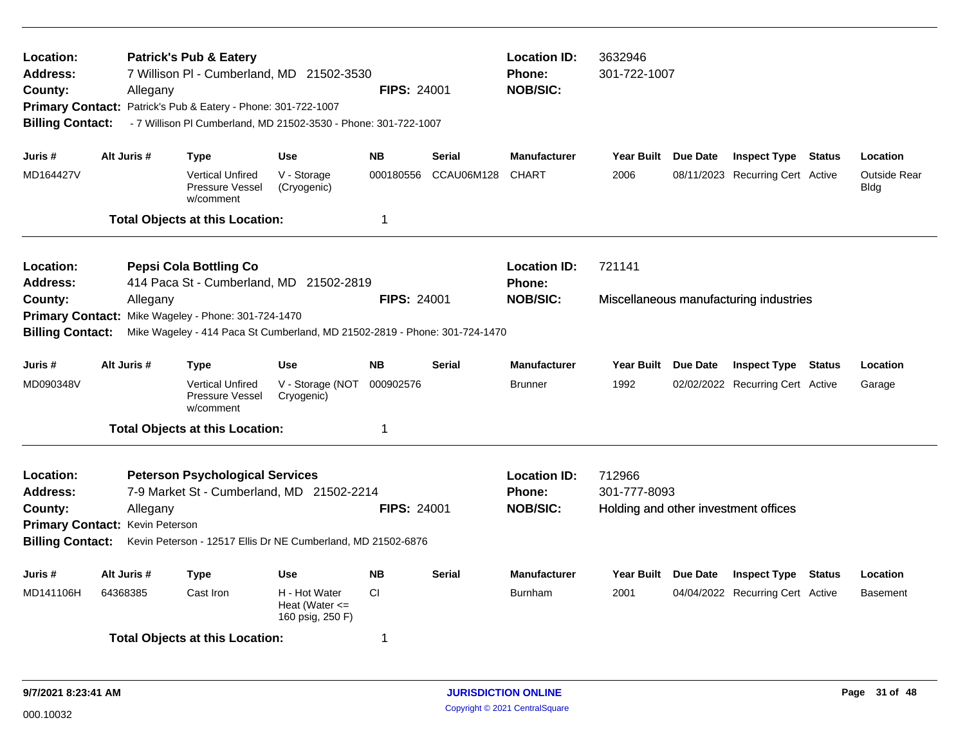| Location:<br>Address:<br>County:<br><b>Primary Contact:</b><br><b>Billing Contact:</b> | Allegany                                    | <b>Patrick's Pub &amp; Eatery</b><br>7 Willison PI - Cumberland, MD 21502-3530<br>Patrick's Pub & Eatery - Phone: 301-722-1007<br>- 7 Willison PI Cumberland, MD 21502-3530 - Phone: 301-722-1007 |                                                         | <b>FIPS: 24001</b> |               | <b>Location ID:</b><br><b>Phone:</b><br><b>NOB/SIC:</b> | 3632946<br>301-722-1007 |          |                                        |               |                             |
|----------------------------------------------------------------------------------------|---------------------------------------------|---------------------------------------------------------------------------------------------------------------------------------------------------------------------------------------------------|---------------------------------------------------------|--------------------|---------------|---------------------------------------------------------|-------------------------|----------|----------------------------------------|---------------|-----------------------------|
| Juris #                                                                                | Alt Juris #                                 | Type                                                                                                                                                                                              | <b>Use</b>                                              | <b>NB</b>          | <b>Serial</b> | <b>Manufacturer</b>                                     | <b>Year Built</b>       | Due Date | <b>Inspect Type Status</b>             |               | Location                    |
| MD164427V                                                                              |                                             | <b>Vertical Unfired</b><br>Pressure Vessel<br>w/comment                                                                                                                                           | V - Storage<br>(Cryogenic)                              | 000180556          | CCAU06M128    | <b>CHART</b>                                            | 2006                    |          | 08/11/2023 Recurring Cert Active       |               | <b>Outside Rear</b><br>Bldg |
|                                                                                        |                                             | <b>Total Objects at this Location:</b>                                                                                                                                                            |                                                         | -1                 |               |                                                         |                         |          |                                        |               |                             |
| Location:<br>Address:                                                                  |                                             | <b>Pepsi Cola Bottling Co</b><br>414 Paca St - Cumberland, MD 21502-2819                                                                                                                          |                                                         |                    |               | <b>Location ID:</b><br><b>Phone:</b>                    | 721141                  |          |                                        |               |                             |
| County:<br><b>Primary Contact:</b><br><b>Billing Contact:</b>                          | Allegany                                    | Mike Wageley - Phone: 301-724-1470<br>Mike Wageley - 414 Paca St Cumberland, MD 21502-2819 - Phone: 301-724-1470                                                                                  |                                                         | <b>FIPS: 24001</b> |               | <b>NOB/SIC:</b>                                         |                         |          | Miscellaneous manufacturing industries |               |                             |
| Juris #                                                                                | Alt Juris #                                 | <b>Type</b>                                                                                                                                                                                       | <b>Use</b>                                              | <b>NB</b>          | <b>Serial</b> | <b>Manufacturer</b>                                     | <b>Year Built</b>       | Due Date | <b>Inspect Type</b>                    | Status        | Location                    |
| MD090348V                                                                              |                                             | <b>Vertical Unfired</b><br>Pressure Vessel<br>w/comment                                                                                                                                           | V - Storage (NOT<br>Cryogenic)                          | 000902576          |               | <b>Brunner</b>                                          | 1992                    |          | 02/02/2022 Recurring Cert Active       |               | Garage                      |
|                                                                                        |                                             | <b>Total Objects at this Location:</b>                                                                                                                                                            |                                                         | $\mathbf 1$        |               |                                                         |                         |          |                                        |               |                             |
| Location:<br><b>Address:</b><br>County:<br><b>Billing Contact:</b>                     | Allegany<br>Primary Contact: Kevin Peterson | <b>Peterson Psychological Services</b><br>7-9 Market St - Cumberland, MD 21502-2214<br>Kevin Peterson - 12517 Ellis Dr NE Cumberland, MD 21502-6876                                               |                                                         | <b>FIPS: 24001</b> |               | <b>Location ID:</b><br><b>Phone:</b><br><b>NOB/SIC:</b> | 712966<br>301-777-8093  |          | Holding and other investment offices   |               |                             |
| Juris #                                                                                | Alt Juris #                                 | Type                                                                                                                                                                                              | <b>Use</b>                                              | <b>NB</b>          | <b>Serial</b> | <b>Manufacturer</b>                                     | <b>Year Built</b>       | Due Date | <b>Inspect Type</b>                    | <b>Status</b> | Location                    |
| MD141106H                                                                              | 64368385                                    | Cast Iron                                                                                                                                                                                         | H - Hot Water<br>Heat (Water $\leq$<br>160 psig, 250 F) | CI                 |               | <b>Burnham</b>                                          | 2001                    |          | 04/04/2022 Recurring Cert Active       |               | <b>Basement</b>             |
|                                                                                        |                                             | <b>Total Objects at this Location:</b>                                                                                                                                                            |                                                         | $\overline{1}$     |               |                                                         |                         |          |                                        |               |                             |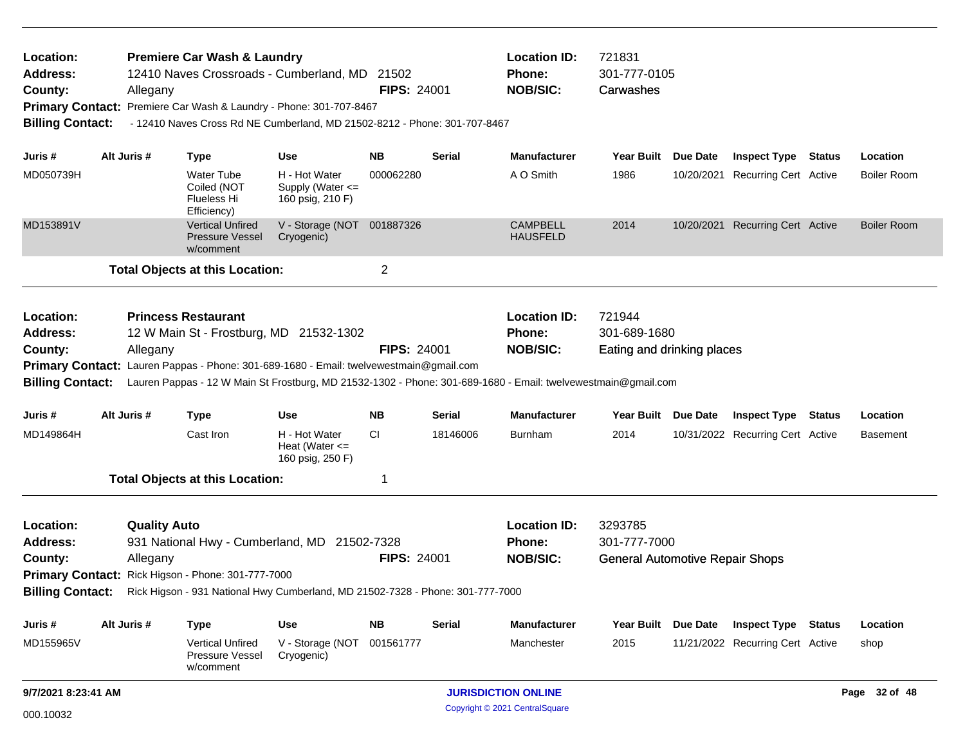| Location:<br>Address:<br>County:<br><b>Primary Contact:</b><br><b>Billing Contact:</b> |             | Allegany                        | <b>Premiere Car Wash &amp; Laundry</b>                         | 12410 Naves Crossroads - Cumberland, MD 21502<br>Premiere Car Wash & Laundry - Phone: 301-707-8467<br>- 12410 Naves Cross Rd NE Cumberland, MD 21502-8212 - Phone: 301-707-8467 | <b>FIPS: 24001</b> |               | <b>Location ID:</b><br><b>Phone:</b><br><b>NOB/SIC:</b>                                                                                                                  | 721831<br>301-777-0105<br>Carwashes                               |            |                                  |                    |
|----------------------------------------------------------------------------------------|-------------|---------------------------------|----------------------------------------------------------------|---------------------------------------------------------------------------------------------------------------------------------------------------------------------------------|--------------------|---------------|--------------------------------------------------------------------------------------------------------------------------------------------------------------------------|-------------------------------------------------------------------|------------|----------------------------------|--------------------|
| Juris #                                                                                | Alt Juris # |                                 | <b>Type</b>                                                    | <b>Use</b>                                                                                                                                                                      | NΒ                 | <b>Serial</b> | <b>Manufacturer</b>                                                                                                                                                      | Year Built Due Date                                               |            | <b>Inspect Type Status</b>       | Location           |
| MD050739H                                                                              |             |                                 | <b>Water Tube</b><br>Coiled (NOT<br>Flueless Hi<br>Efficiency) | H - Hot Water<br>Supply (Water <=<br>160 psig, 210 F)                                                                                                                           | 000062280          |               | A O Smith                                                                                                                                                                | 1986                                                              |            | 10/20/2021 Recurring Cert Active | <b>Boiler Room</b> |
| MD153891V                                                                              |             |                                 | <b>Vertical Unfired</b><br><b>Pressure Vessel</b><br>w/comment | V - Storage (NOT 001887326<br>Cryogenic)                                                                                                                                        |                    |               | <b>CAMPBELL</b><br><b>HAUSFELD</b>                                                                                                                                       | 2014                                                              | 10/20/2021 | <b>Recurring Cert Active</b>     | <b>Boiler Room</b> |
|                                                                                        |             |                                 | <b>Total Objects at this Location:</b>                         |                                                                                                                                                                                 | $\overline{2}$     |               |                                                                                                                                                                          |                                                                   |            |                                  |                    |
| Location:<br>Address:<br>County:<br><b>Billing Contact:</b>                            |             | Allegany                        | <b>Princess Restaurant</b>                                     | 12 W Main St - Frostburg, MD 21532-1302<br>Primary Contact: Lauren Pappas - Phone: 301-689-1680 - Email: twelvewestmain@gmail.com                                               | <b>FIPS: 24001</b> |               | <b>Location ID:</b><br><b>Phone:</b><br><b>NOB/SIC:</b><br>Lauren Pappas - 12 W Main St Frostburg, MD 21532-1302 - Phone: 301-689-1680 - Email: twelvewestmain@gmail.com | 721944<br>301-689-1680<br>Eating and drinking places              |            |                                  |                    |
| Juris #                                                                                | Alt Juris # |                                 | <b>Type</b>                                                    | <b>Use</b>                                                                                                                                                                      | <b>NB</b>          | Serial        | <b>Manufacturer</b>                                                                                                                                                      | Year Built Due Date                                               |            | <b>Inspect Type Status</b>       | Location           |
| MD149864H                                                                              |             |                                 | Cast Iron                                                      | H - Hot Water<br>Heat (Water $\leq$<br>160 psig, 250 F)                                                                                                                         | CI.                | 18146006      | <b>Burnham</b>                                                                                                                                                           | 2014                                                              |            | 10/31/2022 Recurring Cert Active | <b>Basement</b>    |
|                                                                                        |             |                                 | <b>Total Objects at this Location:</b>                         |                                                                                                                                                                                 | 1                  |               |                                                                                                                                                                          |                                                                   |            |                                  |                    |
| Location:<br><b>Address:</b><br>County:                                                |             | <b>Quality Auto</b><br>Allegany | Primary Contact: Rick Higson - Phone: 301-777-7000             | 931 National Hwy - Cumberland, MD 21502-7328<br>Billing Contact: Rick Higson - 931 National Hwy Cumberland, MD 21502-7328 - Phone: 301-777-7000                                 | <b>FIPS: 24001</b> |               | <b>Location ID:</b><br>Phone:<br><b>NOB/SIC:</b>                                                                                                                         | 3293785<br>301-777-7000<br><b>General Automotive Repair Shops</b> |            |                                  |                    |
| Juris #                                                                                | Alt Juris # |                                 | <b>Type</b>                                                    | Use                                                                                                                                                                             | <b>NB</b>          | <b>Serial</b> | <b>Manufacturer</b>                                                                                                                                                      | Year Built Due Date                                               |            | <b>Inspect Type Status</b>       | Location           |
| MD155965V                                                                              |             |                                 | <b>Vertical Unfired</b><br><b>Pressure Vessel</b><br>w/comment | V - Storage (NOT 001561777<br>Cryogenic)                                                                                                                                        |                    |               | Manchester                                                                                                                                                               | 2015                                                              |            | 11/21/2022 Recurring Cert Active | shop               |
| 9/7/2021 8:23:41 AM                                                                    |             |                                 |                                                                |                                                                                                                                                                                 |                    |               | <b>JURISDICTION ONLINE</b>                                                                                                                                               |                                                                   |            |                                  | Page 32 of 48      |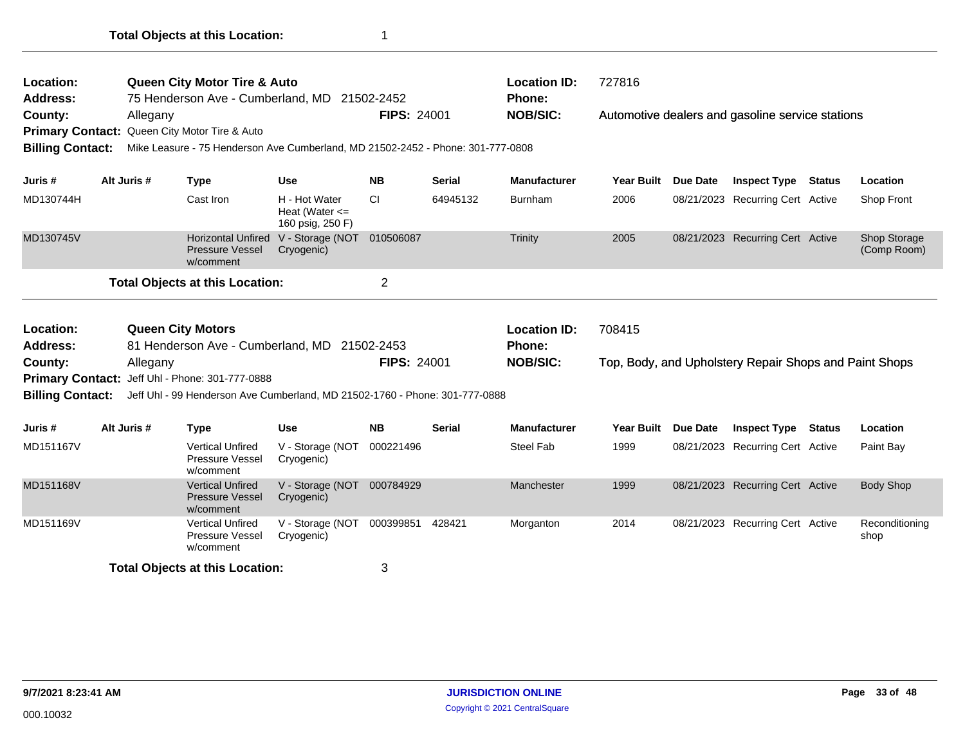| Location:                          |             |          | <b>Queen City Motor Tire &amp; Auto</b>                                         |                                                         |                    |               | <b>Location ID:</b> | 727816            |                 |                                                        |               |                             |
|------------------------------------|-------------|----------|---------------------------------------------------------------------------------|---------------------------------------------------------|--------------------|---------------|---------------------|-------------------|-----------------|--------------------------------------------------------|---------------|-----------------------------|
| Address:                           |             |          | 75 Henderson Ave - Cumberland, MD 21502-2452                                    |                                                         |                    |               | <b>Phone:</b>       |                   |                 |                                                        |               |                             |
| County:                            |             | Allegany |                                                                                 |                                                         | <b>FIPS: 24001</b> |               | <b>NOB/SIC:</b>     |                   |                 | Automotive dealers and gasoline service stations       |               |                             |
|                                    |             |          | Primary Contact: Queen City Motor Tire & Auto                                   |                                                         |                    |               |                     |                   |                 |                                                        |               |                             |
| <b>Billing Contact:</b>            |             |          | Mike Leasure - 75 Henderson Ave Cumberland, MD 21502-2452 - Phone: 301-777-0808 |                                                         |                    |               |                     |                   |                 |                                                        |               |                             |
| Juris #                            | Alt Juris # |          | <b>Type</b>                                                                     | <b>Use</b>                                              | <b>NB</b>          | Serial        | <b>Manufacturer</b> | <b>Year Built</b> | <b>Due Date</b> | <b>Inspect Type</b>                                    | <b>Status</b> | Location                    |
| MD130744H                          |             |          | Cast Iron                                                                       | H - Hot Water<br>Heat (Water $\leq$<br>160 psig, 250 F) | CI.                | 64945132      | Burnham             | 2006              |                 | 08/21/2023 Recurring Cert Active                       |               | Shop Front                  |
| MD130745V                          |             |          | <b>Horizontal Unfired</b><br>Pressure Vessel<br>w/comment                       | V - Storage (NOT 010506087<br>Cryogenic)                |                    |               | Trinity             | 2005              |                 | 08/21/2023 Recurring Cert Active                       |               | Shop Storage<br>(Comp Room) |
|                                    |             |          |                                                                                 |                                                         |                    |               |                     |                   |                 |                                                        |               |                             |
|                                    |             |          | <b>Total Objects at this Location:</b>                                          |                                                         | $\overline{2}$     |               |                     |                   |                 |                                                        |               |                             |
| Location:                          |             |          | <b>Queen City Motors</b>                                                        |                                                         |                    |               | <b>Location ID:</b> | 708415            |                 |                                                        |               |                             |
| <b>Address:</b>                    |             |          | 81 Henderson Ave - Cumberland, MD 21502-2453                                    |                                                         |                    |               | Phone:              |                   |                 |                                                        |               |                             |
|                                    |             | Allegany |                                                                                 |                                                         | <b>FIPS: 24001</b> |               | <b>NOB/SIC:</b>     |                   |                 | Top, Body, and Upholstery Repair Shops and Paint Shops |               |                             |
|                                    |             |          | Primary Contact: Jeff Uhl - Phone: 301-777-0888                                 |                                                         |                    |               |                     |                   |                 |                                                        |               |                             |
| County:<br><b>Billing Contact:</b> |             |          | Jeff Uhl - 99 Henderson Ave Cumberland, MD 21502-1760 - Phone: 301-777-0888     |                                                         |                    |               |                     |                   |                 |                                                        |               |                             |
| Juris #                            | Alt Juris # |          | <b>Type</b>                                                                     | <b>Use</b>                                              | <b>NB</b>          | <b>Serial</b> | <b>Manufacturer</b> | <b>Year Built</b> | <b>Due Date</b> | <b>Inspect Type</b>                                    | <b>Status</b> | Location                    |
| MD151167V                          |             |          | <b>Vertical Unfired</b><br>Pressure Vessel<br>w/comment                         | V - Storage (NOT<br>Cryogenic)                          | 000221496          |               | <b>Steel Fab</b>    | 1999              |                 | 08/21/2023 Recurring Cert Active                       |               | Paint Bay                   |
| MD151168V                          |             |          | <b>Vertical Unfired</b><br><b>Pressure Vessel</b><br>w/comment                  | V - Storage (NOT<br>Cryogenic)                          | 000784929          |               | Manchester          | 1999              |                 | 08/21/2023 Recurring Cert Active                       |               | <b>Body Shop</b>            |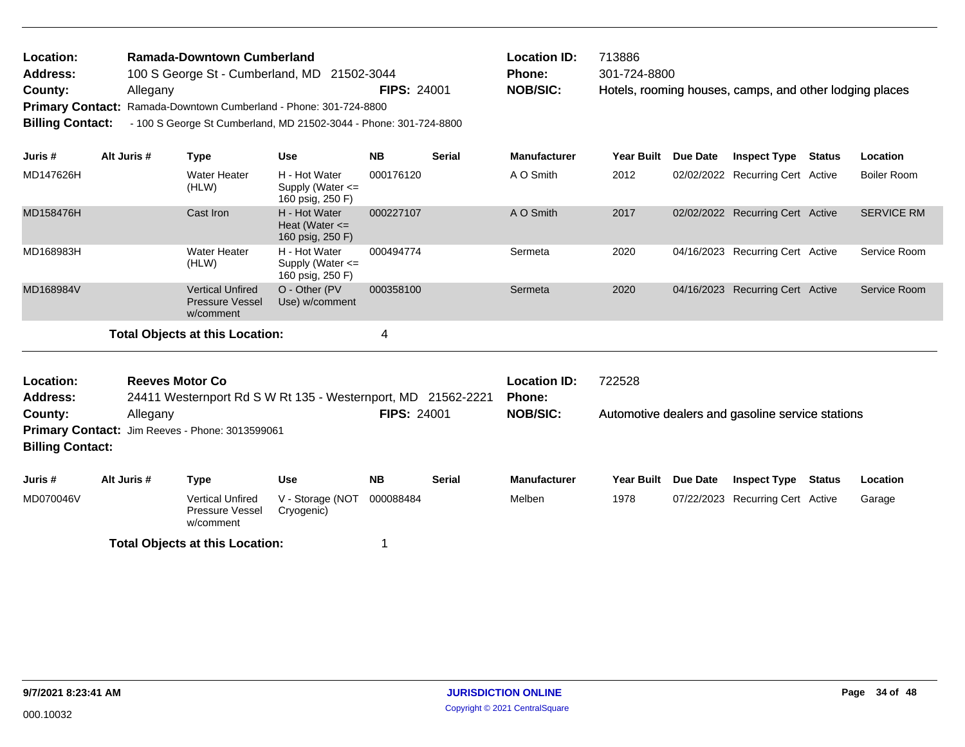| <b>Location:</b>        | <b>Ramada-Downtown Cumberland</b>                                 |                    | <b>Location ID:</b> | 713886      |
|-------------------------|-------------------------------------------------------------------|--------------------|---------------------|-------------|
| <b>Address:</b>         | 100 S George St - Cumberland, MD 21502-3044                       |                    | <b>Phone:</b>       | $301 - 724$ |
| County:                 | Allegany                                                          | <b>FIPS: 24001</b> | <b>NOB/SIC:</b>     | Hotels.     |
|                         | Primary Contact: Ramada-Downtown Cumberland - Phone: 301-724-8800 |                    |                     |             |
| <b>Billing Contact:</b> | - 100 S George St Cumberland, MD 21502-3044 - Phone: 301-724-8800 |                    |                     |             |

| <b>Location ID:</b> | 713886                                                  |
|---------------------|---------------------------------------------------------|
| <b>Phone:</b>       | 301-724-8800                                            |
| <b>NOB/SIC:</b>     | Hotels, rooming houses, camps, and other lodging places |

| Juris #   | Alt Juris # | Type                                                           | <b>Use</b>                                                | <b>NB</b> | <b>Serial</b> | <b>Manufacturer</b> | <b>Year Built</b> | Due Date | <b>Inspect Type</b>              | <b>Status</b> | <b>Location</b>    |
|-----------|-------------|----------------------------------------------------------------|-----------------------------------------------------------|-----------|---------------|---------------------|-------------------|----------|----------------------------------|---------------|--------------------|
| MD147626H |             | Water Heater<br>(HLW)                                          | H - Hot Water<br>Supply (Water $\leq$<br>160 psig, 250 F) | 000176120 |               | A O Smith           | 2012              |          | 02/02/2022 Recurring Cert Active |               | <b>Boiler Room</b> |
| MD158476H |             | Cast Iron                                                      | H - Hot Water<br>Heat (Water $\leq$<br>160 psig, 250 F)   | 000227107 |               | A O Smith           | 2017              |          | 02/02/2022 Recurring Cert Active |               | <b>SERVICE RM</b>  |
| MD168983H |             | Water Heater<br>(HLW)                                          | H - Hot Water<br>Supply (Water $\leq$<br>160 psig, 250 F) | 000494774 |               | Sermeta             | 2020              |          | 04/16/2023 Recurring Cert Active |               | Service Room       |
| MD168984V |             | <b>Vertical Unfired</b><br><b>Pressure Vessel</b><br>w/comment | O - Other (PV)<br>Use) w/comment                          | 000358100 |               | Sermeta             | 2020              |          | 04/16/2023 Recurring Cert Active |               | Service Room       |
|           |             | Total Objects at this Location:                                |                                                           | 4         |               |                     |                   |          |                                  |               |                    |

| Location:<br>Reeves Motor Co<br>Address:<br>24411 Westernport Rd S W Rt 135 - Westernport, MD 21562-2221<br><b>FIPS: 24001</b><br>County:<br>Allegany<br>Primary Contact: Jim Reeves - Phone: 3013599061<br><b>Billing Contact:</b> |             |                                                                        |                                       |                        | <b>Location ID:</b><br><b>Phone:</b><br><b>NOB/SIC:</b> | 722528<br>Automotive dealers and gasoline service stations |                           |                 |                                                         |        |                    |  |
|-------------------------------------------------------------------------------------------------------------------------------------------------------------------------------------------------------------------------------------|-------------|------------------------------------------------------------------------|---------------------------------------|------------------------|---------------------------------------------------------|------------------------------------------------------------|---------------------------|-----------------|---------------------------------------------------------|--------|--------------------|--|
| Juris #<br>MD070046V                                                                                                                                                                                                                | Alt Juris # | Type<br><b>Vertical Unfired</b><br><b>Pressure Vessel</b><br>w/comment | Use<br>V - Storage (NOT<br>Cryogenic) | <b>NB</b><br>000088484 | <b>Serial</b>                                           | <b>Manufacturer</b><br>Melben                              | <b>Year Built</b><br>1978 | <b>Due Date</b> | <b>Inspect Type</b><br>07/22/2023 Recurring Cert Active | Status | Location<br>Garage |  |
|                                                                                                                                                                                                                                     |             | <b>Total Objects at this Location:</b>                                 |                                       |                        |                                                         |                                                            |                           |                 |                                                         |        |                    |  |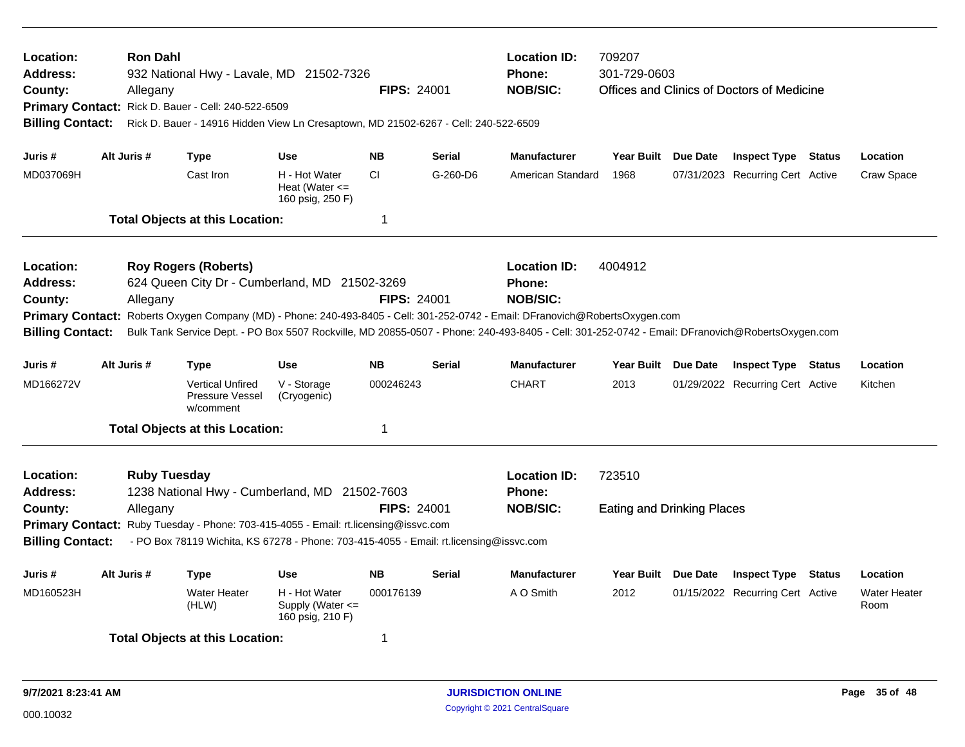| Location:<br>Address:<br>County:<br><b>Billing Contact:</b>        |             | <b>Ron Dahl</b><br>Allegany     | Primary Contact: Rick D. Bauer - Cell: 240-522-6509     | 932 National Hwy - Lavale, MD 21502-7326<br>Rick D. Bauer - 14916 Hidden View Ln Cresaptown, MD 21502-6267 - Cell: 240-522-6509                                                                                                | <b>FIPS: 24001</b> |               | <b>Location ID:</b><br><b>Phone:</b><br><b>NOB/SIC:</b>                                                                                                                                                                                                                                                                                     | 709207<br>301-729-0603<br>Offices and Clinics of Doctors of Medicine |  |                                  |  |                             |  |
|--------------------------------------------------------------------|-------------|---------------------------------|---------------------------------------------------------|--------------------------------------------------------------------------------------------------------------------------------------------------------------------------------------------------------------------------------|--------------------|---------------|---------------------------------------------------------------------------------------------------------------------------------------------------------------------------------------------------------------------------------------------------------------------------------------------------------------------------------------------|----------------------------------------------------------------------|--|----------------------------------|--|-----------------------------|--|
| Juris #                                                            | Alt Juris # |                                 | <b>Type</b>                                             | <b>Use</b>                                                                                                                                                                                                                     | <b>NB</b>          | <b>Serial</b> | <b>Manufacturer</b>                                                                                                                                                                                                                                                                                                                         | Year Built Due Date                                                  |  | <b>Inspect Type Status</b>       |  | Location                    |  |
| MD037069H                                                          |             |                                 | Cast Iron                                               | H - Hot Water<br>Heat (Water $\leq$<br>160 psig, 250 F)                                                                                                                                                                        | <b>CI</b>          | G-260-D6      | American Standard                                                                                                                                                                                                                                                                                                                           | 1968                                                                 |  | 07/31/2023 Recurring Cert Active |  | Craw Space                  |  |
|                                                                    |             |                                 | <b>Total Objects at this Location:</b>                  |                                                                                                                                                                                                                                | 1                  |               |                                                                                                                                                                                                                                                                                                                                             |                                                                      |  |                                  |  |                             |  |
| Location:<br>Address:<br>County:<br><b>Billing Contact:</b>        |             | Allegany                        | <b>Roy Rogers (Roberts)</b>                             | 624 Queen City Dr - Cumberland, MD 21502-3269                                                                                                                                                                                  | <b>FIPS: 24001</b> |               | <b>Location ID:</b><br><b>Phone:</b><br><b>NOB/SIC:</b><br>Primary Contact: Roberts Oxygen Company (MD) - Phone: 240-493-8405 - Cell: 301-252-0742 - Email: DFranovich@RobertsOxygen.com<br>Bulk Tank Service Dept. - PO Box 5507 Rockville, MD 20855-0507 - Phone: 240-493-8405 - Cell: 301-252-0742 - Email: DFranovich@RobertsOxygen.com | 4004912                                                              |  |                                  |  |                             |  |
| Juris #                                                            | Alt Juris # | <b>Type</b>                     |                                                         | <b>Use</b>                                                                                                                                                                                                                     | <b>NB</b>          | Serial        | <b>Manufacturer</b>                                                                                                                                                                                                                                                                                                                         | Year Built Due Date                                                  |  | <b>Inspect Type Status</b>       |  | Location                    |  |
| MD166272V                                                          |             |                                 | <b>Vertical Unfired</b><br>Pressure Vessel<br>w/comment | V - Storage<br>(Cryogenic)                                                                                                                                                                                                     | 000246243          |               | <b>CHART</b>                                                                                                                                                                                                                                                                                                                                | 2013                                                                 |  | 01/29/2022 Recurring Cert Active |  | Kitchen                     |  |
|                                                                    |             |                                 | <b>Total Objects at this Location:</b>                  |                                                                                                                                                                                                                                | 1                  |               |                                                                                                                                                                                                                                                                                                                                             |                                                                      |  |                                  |  |                             |  |
| Location:<br><b>Address:</b><br>County:<br><b>Billing Contact:</b> |             | <b>Ruby Tuesday</b><br>Allegany |                                                         | 1238 National Hwy - Cumberland, MD 21502-7603<br>Primary Contact: Ruby Tuesday - Phone: 703-415-4055 - Email: rt.licensing@issvc.com<br>- PO Box 78119 Wichita, KS 67278 - Phone: 703-415-4055 - Email: rt.licensing@issvc.com | <b>FIPS: 24001</b> |               | <b>Location ID:</b><br>Phone:<br><b>NOB/SIC:</b>                                                                                                                                                                                                                                                                                            | 723510<br><b>Eating and Drinking Places</b>                          |  |                                  |  |                             |  |
| Juris #                                                            | Alt Juris # |                                 | <b>Type</b>                                             | <b>Use</b>                                                                                                                                                                                                                     | <b>NB</b>          | Serial        | <b>Manufacturer</b>                                                                                                                                                                                                                                                                                                                         | Year Built Due Date                                                  |  | <b>Inspect Type Status</b>       |  | Location                    |  |
| MD160523H                                                          |             |                                 | <b>Water Heater</b><br>(HLW)                            | H - Hot Water<br>Supply (Water <=<br>160 psig, 210 F)                                                                                                                                                                          | 000176139          |               | A O Smith                                                                                                                                                                                                                                                                                                                                   | 2012                                                                 |  | 01/15/2022 Recurring Cert Active |  | <b>Water Heater</b><br>Room |  |
|                                                                    |             |                                 | <b>Total Objects at this Location:</b>                  |                                                                                                                                                                                                                                | 1                  |               |                                                                                                                                                                                                                                                                                                                                             |                                                                      |  |                                  |  |                             |  |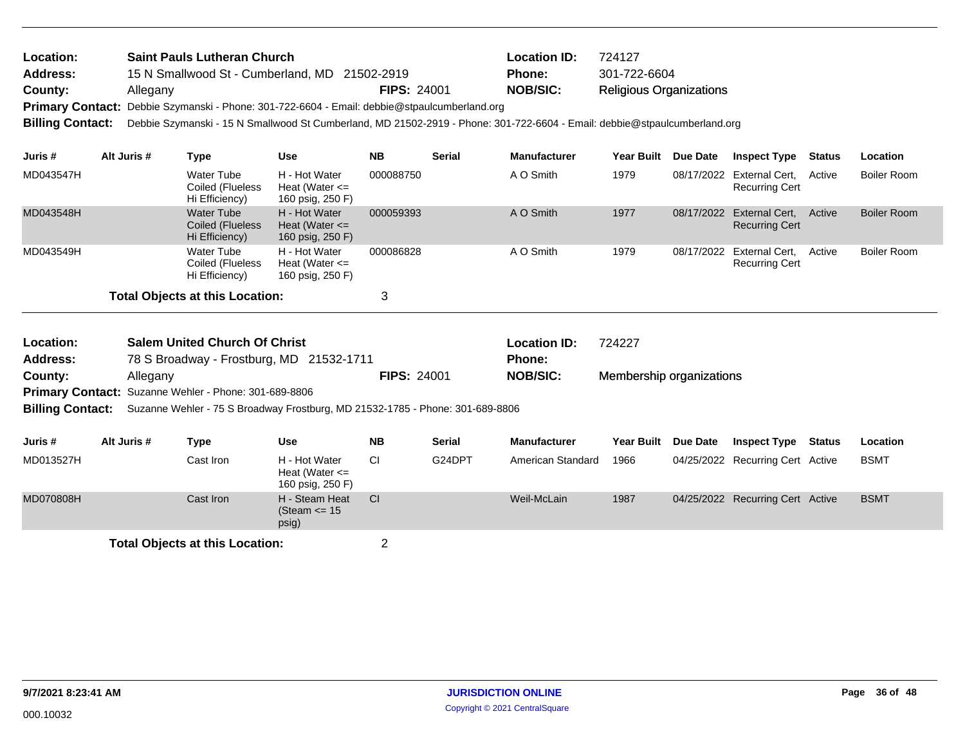| Location:<br>Address:<br>County:<br><b>Primary Contact:</b><br><b>Billing Contact:</b> |             | Allegany | <b>Saint Pauls Lutheran Church</b>                      | 15 N Smallwood St - Cumberland, MD 21502-2919<br>Debbie Szymanski - Phone: 301-722-6604 - Email: debbie@stpaulcumberland.org | <b>FIPS: 24001</b> |               | <b>Location ID:</b><br><b>Phone:</b><br><b>NOB/SIC:</b><br>Debbie Szymanski - 15 N Smallwood St Cumberland, MD 21502-2919 - Phone: 301-722-6604 - Email: debbie@stpaulcumberland.org | 724127<br>301-722-6604<br><b>Religious Organizations</b> |            |                                                    |               |                    |
|----------------------------------------------------------------------------------------|-------------|----------|---------------------------------------------------------|------------------------------------------------------------------------------------------------------------------------------|--------------------|---------------|--------------------------------------------------------------------------------------------------------------------------------------------------------------------------------------|----------------------------------------------------------|------------|----------------------------------------------------|---------------|--------------------|
| Juris #                                                                                | Alt Juris # |          | <b>Type</b>                                             | <b>Use</b>                                                                                                                   | <b>NB</b>          | <b>Serial</b> | <b>Manufacturer</b>                                                                                                                                                                  | Year Built Due Date                                      |            | <b>Inspect Type</b>                                | <b>Status</b> | Location           |
| MD043547H                                                                              |             |          | <b>Water Tube</b><br>Coiled (Flueless<br>Hi Efficiency) | H - Hot Water<br>Heat (Water $\leq$<br>160 psig, 250 F)                                                                      | 000088750          |               | A O Smith                                                                                                                                                                            | 1979                                                     |            | 08/17/2022 External Cert,<br><b>Recurring Cert</b> | Active        | <b>Boiler Room</b> |
| MD043548H                                                                              |             |          | <b>Water Tube</b><br>Coiled (Flueless<br>Hi Efficiency) | H - Hot Water<br>Heat (Water $\leq$<br>160 psig, 250 F)                                                                      | 000059393          |               | A O Smith                                                                                                                                                                            | 1977                                                     |            | 08/17/2022 External Cert,<br><b>Recurring Cert</b> | Active        | <b>Boiler Room</b> |
| MD043549H                                                                              |             |          | <b>Water Tube</b><br>Coiled (Flueless<br>Hi Efficiency) | H - Hot Water<br>Heat (Water $\leq$<br>160 psig, 250 F)                                                                      | 000086828          |               | A O Smith                                                                                                                                                                            | 1979                                                     | 08/17/2022 | External Cert.<br><b>Recurring Cert</b>            | Active        | <b>Boiler Room</b> |
|                                                                                        |             |          | <b>Total Objects at this Location:</b>                  |                                                                                                                              | 3                  |               |                                                                                                                                                                                      |                                                          |            |                                                    |               |                    |
| Location:<br>Address:                                                                  |             |          | <b>Salem United Church Of Christ</b>                    | 78 S Broadway - Frostburg, MD 21532-1711                                                                                     |                    |               | <b>Location ID:</b><br>Phone:                                                                                                                                                        | 724227                                                   |            |                                                    |               |                    |
| County:                                                                                |             | Allegany |                                                         |                                                                                                                              | <b>FIPS: 24001</b> |               | <b>NOB/SIC:</b>                                                                                                                                                                      | Membership organizations                                 |            |                                                    |               |                    |
| <b>Billing Contact:</b>                                                                |             |          | Primary Contact: Suzanne Wehler - Phone: 301-689-8806   | Suzanne Wehler - 75 S Broadway Frostburg, MD 21532-1785 - Phone: 301-689-8806                                                |                    |               |                                                                                                                                                                                      |                                                          |            |                                                    |               |                    |
| Juris #                                                                                | Alt Juris # |          | <b>Type</b>                                             | <b>Use</b>                                                                                                                   | <b>NB</b>          | <b>Serial</b> | <b>Manufacturer</b>                                                                                                                                                                  | <b>Year Built</b>                                        | Due Date   | <b>Inspect Type</b>                                | Status        | Location           |
| MD013527H                                                                              |             |          | Cast Iron                                               | H - Hot Water<br>Heat (Water $\leq$<br>160 psig, 250 F)                                                                      | <b>CI</b>          | G24DPT        | American Standard                                                                                                                                                                    | 1966                                                     |            | 04/25/2022 Recurring Cert Active                   |               | <b>BSMT</b>        |
| MD070808H                                                                              |             |          | Cast Iron                                               | H - Steam Heat<br>(Steam $\le$ 15<br>psig)                                                                                   | CI                 |               | Weil-McLain                                                                                                                                                                          | 1987                                                     |            | 04/25/2022 Recurring Cert Active                   |               | <b>BSMT</b>        |
|                                                                                        |             |          | <b>Total Objects at this Location:</b>                  |                                                                                                                              | $\overline{2}$     |               |                                                                                                                                                                                      |                                                          |            |                                                    |               |                    |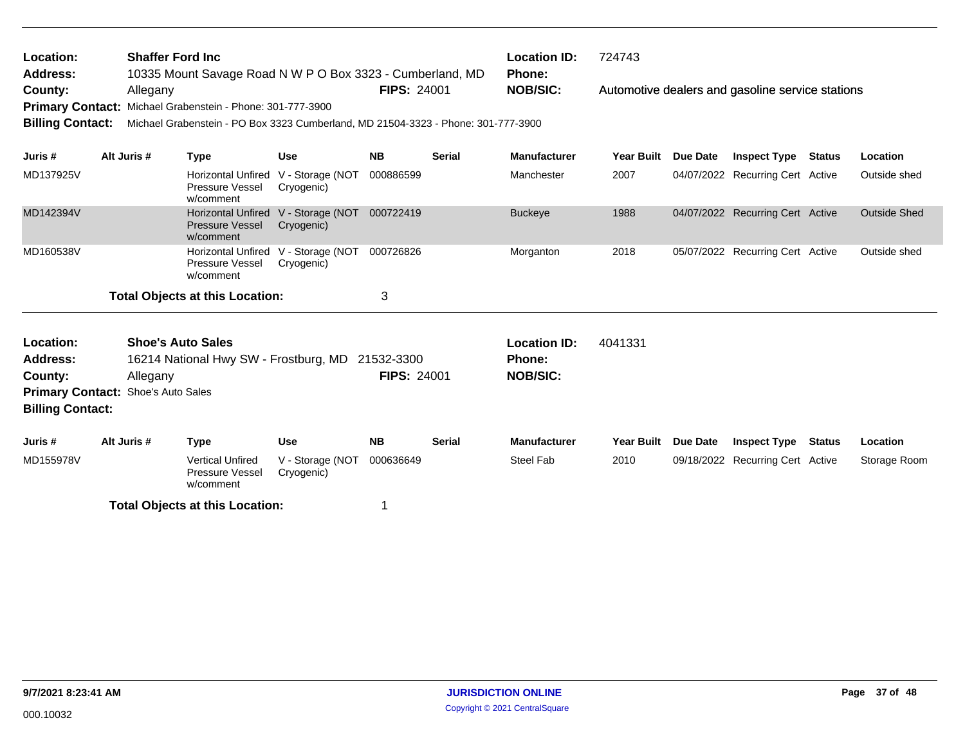| Location:<br><b>Address:</b>                                                                                                                                                              |  | <b>Shaffer Ford Inc</b> | 10335 Mount Savage Road N W P O Box 3323 - Cumberland, MD                                                                      |                                  |                    | <b>Location ID:</b><br>724743<br><b>Phone:</b>   |                     |                   |                 |                                                  |               |                     |
|-------------------------------------------------------------------------------------------------------------------------------------------------------------------------------------------|--|-------------------------|--------------------------------------------------------------------------------------------------------------------------------|----------------------------------|--------------------|--------------------------------------------------|---------------------|-------------------|-----------------|--------------------------------------------------|---------------|---------------------|
| County:<br><b>Primary Contact:</b><br><b>Billing Contact:</b>                                                                                                                             |  | Allegany                | Michael Grabenstein - Phone: 301-777-3900<br>Michael Grabenstein - PO Box 3323 Cumberland, MD 21504-3323 - Phone: 301-777-3900 |                                  | <b>FIPS: 24001</b> |                                                  | <b>NOB/SIC:</b>     |                   |                 | Automotive dealers and gasoline service stations |               |                     |
| Juris #                                                                                                                                                                                   |  | Alt Juris #             | <b>Type</b>                                                                                                                    | <b>Use</b>                       | <b>NB</b>          | <b>Serial</b>                                    | <b>Manufacturer</b> | <b>Year Built</b> | Due Date        | <b>Inspect Type</b>                              | <b>Status</b> | Location            |
| MD137925V                                                                                                                                                                                 |  |                         | <b>Horizontal Unfired</b><br>Pressure Vessel<br>w/comment                                                                      | V - Storage (NOT<br>Cryogenic)   | 000886599          |                                                  | Manchester          | 2007              |                 | 04/07/2022 Recurring Cert Active                 |               | Outside shed        |
| MD142394V                                                                                                                                                                                 |  |                         | <b>Horizontal Unfired</b><br><b>Pressure Vessel</b><br>w/comment                                                               | V - Storage (NOT<br>Cryogenic)   | 000722419          |                                                  | <b>Buckeye</b>      | 1988              |                 | 04/07/2022 Recurring Cert Active                 |               | <b>Outside Shed</b> |
| MD160538V                                                                                                                                                                                 |  |                         | <b>Horizontal Unfired</b><br><b>Pressure Vessel</b><br>w/comment                                                               | V - Storage (NOT<br>Cryogenic)   | 000726826          |                                                  | Morganton           | 2018              |                 | 05/07/2022 Recurring Cert Active                 |               | Outside shed        |
|                                                                                                                                                                                           |  |                         | <b>Total Objects at this Location:</b>                                                                                         |                                  | 3                  |                                                  |                     |                   |                 |                                                  |               |                     |
| <b>Shoe's Auto Sales</b><br>Location:<br>16214 National Hwy SW - Frostburg, MD<br><b>Address:</b><br>County:<br>Allegany<br>Primary Contact: Shoe's Auto Sales<br><b>Billing Contact:</b> |  |                         |                                                                                                                                | 21532-3300<br><b>FIPS: 24001</b> |                    | <b>Location ID:</b><br>Phone:<br><b>NOB/SIC:</b> | 4041331             |                   |                 |                                                  |               |                     |
| Juris #                                                                                                                                                                                   |  | Alt Juris #             | <b>Type</b>                                                                                                                    | <b>Use</b>                       | <b>NB</b>          | <b>Serial</b>                                    | <b>Manufacturer</b> | <b>Year Built</b> | <b>Due Date</b> | <b>Inspect Type</b>                              | Status        | Location            |
| MD155978V                                                                                                                                                                                 |  |                         | <b>Vertical Unfired</b><br>Pressure Vessel<br>w/comment                                                                        | V - Storage (NOT<br>Cryogenic)   | 000636649          |                                                  | Steel Fab           | 2010              |                 | 09/18/2022 Recurring Cert Active                 |               | Storage Room        |
|                                                                                                                                                                                           |  |                         | <b>Total Objects at this Location:</b>                                                                                         |                                  |                    |                                                  |                     |                   |                 |                                                  |               |                     |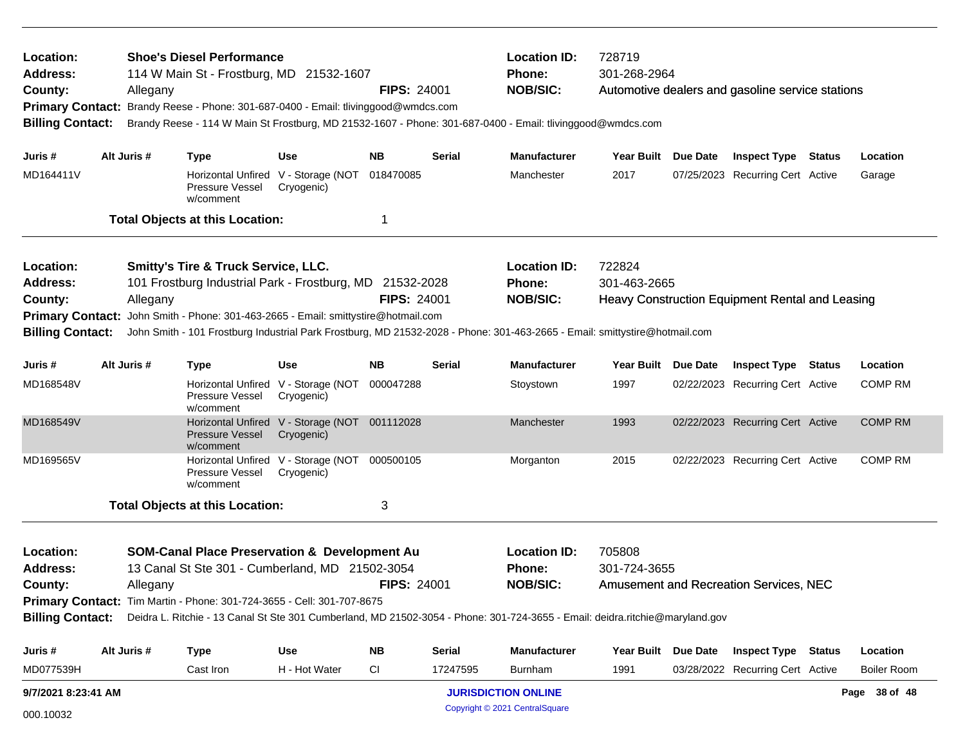| Location:<br>Address:<br>County:<br><b>Primary Contact:</b><br><b>Billing Contact:</b>       | <b>Shoe's Diesel Performance</b><br>114 W Main St - Frostburg, MD 21532-1607<br><b>FIPS: 24001</b><br>Allegany<br>Brandy Reese - Phone: 301-687-0400 - Email: tlivinggood@wmdcs.com<br>Brandy Reese - 114 W Main St Frostburg, MD 21532-1607 - Phone: 301-687-0400 - Email: tlivinggood@wmdcs.com |          |                                                                                                             |                                                   |                    |               | 728719<br><b>Location ID:</b><br>301-268-2964<br>Phone:<br><b>NOB/SIC:</b><br>Automotive dealers and gasoline service stations |                        |  |                                                 |  |                    |
|----------------------------------------------------------------------------------------------|---------------------------------------------------------------------------------------------------------------------------------------------------------------------------------------------------------------------------------------------------------------------------------------------------|----------|-------------------------------------------------------------------------------------------------------------|---------------------------------------------------|--------------------|---------------|--------------------------------------------------------------------------------------------------------------------------------|------------------------|--|-------------------------------------------------|--|--------------------|
| Juris #                                                                                      | Alt Juris #                                                                                                                                                                                                                                                                                       |          | <b>Type</b>                                                                                                 | Use                                               | NB.                | Serial        | <b>Manufacturer</b>                                                                                                            | Year Built Due Date    |  | <b>Inspect Type Status</b>                      |  | Location           |
| MD164411V                                                                                    |                                                                                                                                                                                                                                                                                                   |          | Pressure Vessel<br>w/comment                                                                                | Horizontal Unfired V - Storage (NOT<br>Cryogenic) | 018470085          |               | Manchester                                                                                                                     | 2017                   |  | 07/25/2023 Recurring Cert Active                |  | Garage             |
|                                                                                              |                                                                                                                                                                                                                                                                                                   |          | <b>Total Objects at this Location:</b>                                                                      |                                                   | -1                 |               |                                                                                                                                |                        |  |                                                 |  |                    |
| Location:                                                                                    |                                                                                                                                                                                                                                                                                                   |          | <b>Smitty's Tire &amp; Truck Service, LLC.</b>                                                              |                                                   |                    |               | <b>Location ID:</b>                                                                                                            | 722824                 |  |                                                 |  |                    |
| <b>Address:</b>                                                                              |                                                                                                                                                                                                                                                                                                   |          | 101 Frostburg Industrial Park - Frostburg, MD 21532-2028                                                    |                                                   |                    |               | Phone:                                                                                                                         | 301-463-2665           |  |                                                 |  |                    |
| <b>FIPS: 24001</b><br>County:<br>Allegany                                                    |                                                                                                                                                                                                                                                                                                   |          |                                                                                                             |                                                   |                    |               | <b>NOB/SIC:</b>                                                                                                                |                        |  | Heavy Construction Equipment Rental and Leasing |  |                    |
| John Smith - Phone: 301-463-2665 - Email: smittystire@hotmail.com<br><b>Primary Contact:</b> |                                                                                                                                                                                                                                                                                                   |          |                                                                                                             |                                                   |                    |               |                                                                                                                                |                        |  |                                                 |  |                    |
| <b>Billing Contact:</b>                                                                      |                                                                                                                                                                                                                                                                                                   |          |                                                                                                             |                                                   |                    |               | John Smith - 101 Frostburg Industrial Park Frostburg, MD 21532-2028 - Phone: 301-463-2665 - Email: smittystire@hotmail.com     |                        |  |                                                 |  |                    |
| Juris #                                                                                      | Alt Juris #                                                                                                                                                                                                                                                                                       |          | <b>Type</b>                                                                                                 | <b>Use</b>                                        | <b>NB</b>          | <b>Serial</b> | <b>Manufacturer</b>                                                                                                            | Year Built Due Date    |  | <b>Inspect Type Status</b>                      |  | Location           |
| MD168548V                                                                                    |                                                                                                                                                                                                                                                                                                   |          | Pressure Vessel<br>w/comment                                                                                | Horizontal Unfired V - Storage (NOT<br>Cryogenic) | 000047288          |               | Stoystown                                                                                                                      | 1997                   |  | 02/22/2023 Recurring Cert Active                |  | <b>COMP RM</b>     |
| MD168549V                                                                                    |                                                                                                                                                                                                                                                                                                   |          | <b>Pressure Vessel</b><br>w/comment                                                                         | Horizontal Unfired V - Storage (NOT<br>Cryogenic) | 001112028          |               | Manchester                                                                                                                     | 1993                   |  | 02/22/2023 Recurring Cert Active                |  | <b>COMP RM</b>     |
| MD169565V                                                                                    |                                                                                                                                                                                                                                                                                                   |          | Pressure Vessel<br>w/comment                                                                                | Horizontal Unfired V - Storage (NOT<br>Cryogenic) | 000500105          |               | Morganton                                                                                                                      | 2015                   |  | 02/22/2023 Recurring Cert Active                |  | <b>COMP RM</b>     |
|                                                                                              |                                                                                                                                                                                                                                                                                                   |          | <b>Total Objects at this Location:</b>                                                                      |                                                   | 3                  |               |                                                                                                                                |                        |  |                                                 |  |                    |
| Location:<br><b>Address:</b><br>Countv:                                                      |                                                                                                                                                                                                                                                                                                   | Allegany | <b>SOM-Canal Place Preservation &amp; Development Au</b><br>13 Canal St Ste 301 - Cumberland, MD 21502-3054 |                                                   | <b>FIPS: 24001</b> |               | <b>Location ID:</b><br><b>Phone:</b><br><b>NOB/SIC:</b>                                                                        | 705808<br>301-724-3655 |  | <b>Amusement and Recreation Services, NEC</b>   |  |                    |
|                                                                                              |                                                                                                                                                                                                                                                                                                   |          | Primary Contact: Tim Martin - Phone: 301-724-3655 - Cell: 301-707-8675                                      |                                                   |                    |               |                                                                                                                                |                        |  |                                                 |  |                    |
| <b>Billing Contact:</b>                                                                      |                                                                                                                                                                                                                                                                                                   |          |                                                                                                             |                                                   |                    |               | Deidra L. Ritchie - 13 Canal St Ste 301 Cumberland, MD 21502-3054 - Phone: 301-724-3655 - Email: deidra.ritchie@maryland.gov   |                        |  |                                                 |  |                    |
| Juris #                                                                                      | Alt Juris #                                                                                                                                                                                                                                                                                       |          | <b>Type</b>                                                                                                 | Use                                               | NB                 | <b>Serial</b> | Manufacturer                                                                                                                   | Year Built Due Date    |  | <b>Inspect Type Status</b>                      |  | Location           |
| MD077539H                                                                                    |                                                                                                                                                                                                                                                                                                   |          | Cast Iron                                                                                                   | H - Hot Water                                     | <b>CI</b>          | 17247595      | Burnham                                                                                                                        | 1991                   |  | 03/28/2022 Recurring Cert Active                |  | <b>Boiler Room</b> |
| 9/7/2021 8:23:41 AM                                                                          |                                                                                                                                                                                                                                                                                                   |          |                                                                                                             |                                                   |                    |               | <b>JURISDICTION ONLINE</b>                                                                                                     |                        |  |                                                 |  | Page 38 of 48      |

Copyright © 2021 CentralSquare 000.10032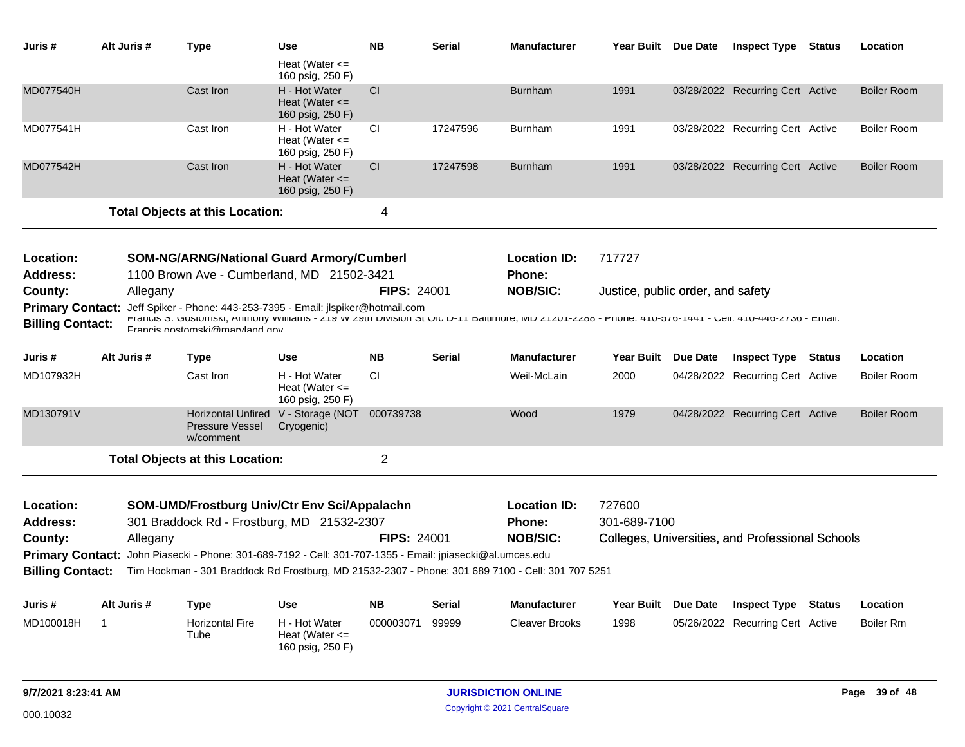| Juris #                    | Alt Juris # | <b>Type</b>                                                                                                                                                                              | <b>Use</b>                                              | <b>NB</b>          | Serial        | <b>Manufacturer</b>              | Year Built Due Date               | <b>Inspect Type Status</b>                       |               | Location           |
|----------------------------|-------------|------------------------------------------------------------------------------------------------------------------------------------------------------------------------------------------|---------------------------------------------------------|--------------------|---------------|----------------------------------|-----------------------------------|--------------------------------------------------|---------------|--------------------|
|                            |             |                                                                                                                                                                                          | Heat (Water $\leq$<br>160 psig, 250 F)                  |                    |               |                                  |                                   |                                                  |               |                    |
| <b>MD077540H</b>           |             | Cast Iron                                                                                                                                                                                | H - Hot Water<br>Heat (Water $\leq$<br>160 psig, 250 F) | CI                 |               | <b>Burnham</b>                   | 1991                              | 03/28/2022 Recurring Cert Active                 |               | <b>Boiler Room</b> |
| MD077541H                  |             | Cast Iron                                                                                                                                                                                | H - Hot Water<br>Heat (Water $\leq$<br>160 psig, 250 F) | <b>CI</b>          | 17247596      | <b>Burnham</b>                   | 1991                              | 03/28/2022 Recurring Cert Active                 |               | <b>Boiler Room</b> |
| MD077542H                  |             | Cast Iron                                                                                                                                                                                | H - Hot Water<br>Heat (Water $\leq$<br>160 psig, 250 F) | CI.                | 17247598      | <b>Burnham</b>                   | 1991                              | 03/28/2022 Recurring Cert Active                 |               | <b>Boiler Room</b> |
|                            |             | <b>Total Objects at this Location:</b>                                                                                                                                                   |                                                         | 4                  |               |                                  |                                   |                                                  |               |                    |
|                            |             |                                                                                                                                                                                          |                                                         |                    |               |                                  |                                   |                                                  |               |                    |
| Location:                  |             | <b>SOM-NG/ARNG/National Guard Armory/Cumberl</b>                                                                                                                                         |                                                         |                    |               | <b>Location ID:</b>              | 717727                            |                                                  |               |                    |
| <b>Address:</b><br>County: | Allegany    | 1100 Brown Ave - Cumberland, MD 21502-3421                                                                                                                                               |                                                         | <b>FIPS: 24001</b> |               | <b>Phone:</b><br><b>NOB/SIC:</b> | Justice, public order, and safety |                                                  |               |                    |
|                            |             | Primary Contact: Jeff Spiker - Phone: 443-253-7395 - Email: jlspiker@hotmail.com                                                                                                         |                                                         |                    |               |                                  |                                   |                                                  |               |                    |
| <b>Billing Contact:</b>    |             | FTRINGS OF GOSTOTISKI, ANTIONY WILLIAMS - ZIY WIZYLI DIVISION OF OUC D-TT BRITHMOR, MD ZTZOT-ZZ00 - PHONE: 410-070-1441 - GRII: 410-440-Z730 - ETHRII:<br>Francis gostomski@maryland.gov |                                                         |                    |               |                                  |                                   |                                                  |               |                    |
| Juris #                    | Alt Juris # | Type                                                                                                                                                                                     | <b>Use</b>                                              | <b>NB</b>          | <b>Serial</b> | <b>Manufacturer</b>              | Year Built Due Date               | <b>Inspect Type</b>                              | <b>Status</b> | Location           |
| MD107932H                  |             | Cast Iron                                                                                                                                                                                | H - Hot Water<br>Heat (Water $\leq$<br>160 psig, 250 F) | CI.                |               | Weil-McLain                      | 2000                              | 04/28/2022 Recurring Cert Active                 |               | <b>Boiler Room</b> |
| MD130791V                  |             | <b>Horizontal Unfired</b><br><b>Pressure Vessel</b><br>w/comment                                                                                                                         | V - Storage (NOT 000739738<br>Cryogenic)                |                    |               | Wood                             | 1979                              | 04/28/2022 Recurring Cert Active                 |               | <b>Boiler Room</b> |
|                            |             | <b>Total Objects at this Location:</b>                                                                                                                                                   |                                                         | $\overline{2}$     |               |                                  |                                   |                                                  |               |                    |
| Location:                  |             | <b>SOM-UMD/Frostburg Univ/Ctr Env Sci/Appalachn</b>                                                                                                                                      |                                                         |                    |               | <b>Location ID:</b>              | 727600                            |                                                  |               |                    |
| <b>Address:</b>            |             | 301 Braddock Rd - Frostburg, MD 21532-2307                                                                                                                                               |                                                         |                    |               | Phone:                           | 301-689-7100                      |                                                  |               |                    |
| County:                    | Allegany    |                                                                                                                                                                                          |                                                         | FIPS: 24001        |               | <b>NOB/SIC:</b>                  |                                   | Colleges, Universities, and Professional Schools |               |                    |
|                            |             | Primary Contact: John Piasecki - Phone: 301-689-7192 - Cell: 301-707-1355 - Email: jpiasecki@al.umces.edu                                                                                |                                                         |                    |               |                                  |                                   |                                                  |               |                    |
| <b>Billing Contact:</b>    |             | Tim Hockman - 301 Braddock Rd Frostburg, MD 21532-2307 - Phone: 301 689 7100 - Cell: 301 707 5251                                                                                        |                                                         |                    |               |                                  |                                   |                                                  |               |                    |
| Juris #                    | Alt Juris # | <b>Type</b>                                                                                                                                                                              | <b>Use</b>                                              | <b>NB</b>          | Serial        | <b>Manufacturer</b>              | Year Built Due Date               | <b>Inspect Type</b>                              | <b>Status</b> | Location           |
| MD100018H                  | -1          | <b>Horizontal Fire</b><br>Tube                                                                                                                                                           | H - Hot Water<br>Heat (Water $\leq$<br>160 psig, 250 F) | 000003071          | 99999         | <b>Cleaver Brooks</b>            | 1998                              | 05/26/2022 Recurring Cert Active                 |               | Boiler Rm          |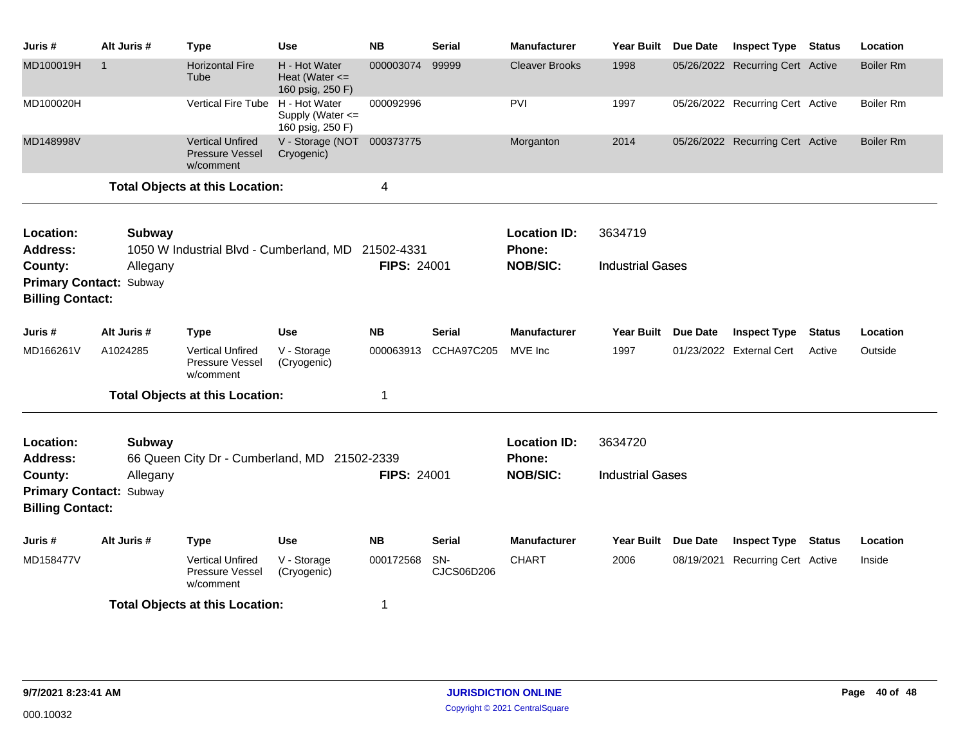| Juris #                                                   | Alt Juris # | <b>Type</b>                                             | <b>Use</b>                                              | <b>NB</b>          | <b>Serial</b>     | <b>Manufacturer</b>           | <b>Year Built</b>       | <b>Due Date</b> | <b>Inspect Type</b>              | <b>Status</b> | Location         |
|-----------------------------------------------------------|-------------|---------------------------------------------------------|---------------------------------------------------------|--------------------|-------------------|-------------------------------|-------------------------|-----------------|----------------------------------|---------------|------------------|
| MD100019H                                                 |             | <b>Horizontal Fire</b><br>Tube                          | H - Hot Water<br>Heat (Water $\leq$<br>160 psig, 250 F) | 000003074          | 99999             | <b>Cleaver Brooks</b>         | 1998                    |                 | 05/26/2022 Recurring Cert Active |               | <b>Boiler Rm</b> |
| MD100020H                                                 |             | <b>Vertical Fire Tube</b>                               | H - Hot Water<br>Supply (Water <=<br>160 psig, 250 F)   | 000092996          |                   | PVI                           | 1997                    |                 | 05/26/2022 Recurring Cert Active |               | Boiler Rm        |
| MD148998V                                                 |             | <b>Vertical Unfired</b><br>Pressure Vessel<br>w/comment | V - Storage (NOT 000373775<br>Cryogenic)                |                    |                   | Morganton                     | 2014                    |                 | 05/26/2022 Recurring Cert Active |               | <b>Boiler Rm</b> |
|                                                           |             | <b>Total Objects at this Location:</b>                  |                                                         | 4                  |                   |                               |                         |                 |                                  |               |                  |
| Location:<br><b>Address:</b>                              | Subway      | 1050 W Industrial Blvd - Cumberland, MD 21502-4331      |                                                         |                    |                   | <b>Location ID:</b><br>Phone: | 3634719                 |                 |                                  |               |                  |
| County:                                                   | Allegany    |                                                         |                                                         | <b>FIPS: 24001</b> |                   | <b>NOB/SIC:</b>               | <b>Industrial Gases</b> |                 |                                  |               |                  |
| <b>Primary Contact: Subway</b><br><b>Billing Contact:</b> |             |                                                         |                                                         |                    |                   |                               |                         |                 |                                  |               |                  |
| Juris #                                                   | Alt Juris # | <b>Type</b>                                             | <b>Use</b>                                              | <b>NB</b>          | <b>Serial</b>     | <b>Manufacturer</b>           | <b>Year Built</b>       | <b>Due Date</b> | <b>Inspect Type</b>              | <b>Status</b> | Location         |
| MD166261V                                                 | A1024285    | <b>Vertical Unfired</b><br>Pressure Vessel<br>w/comment | V - Storage<br>(Cryogenic)                              | 000063913          | <b>CCHA97C205</b> | MVE Inc                       | 1997                    |                 | 01/23/2022 External Cert         | Active        | Outside          |
|                                                           |             | <b>Total Objects at this Location:</b>                  |                                                         | $\mathbf 1$        |                   |                               |                         |                 |                                  |               |                  |
| Location:<br><b>Address:</b>                              | Subway      | 66 Queen City Dr - Cumberland, MD 21502-2339            |                                                         |                    |                   | <b>Location ID:</b><br>Phone: | 3634720                 |                 |                                  |               |                  |
| County:                                                   | Allegany    |                                                         |                                                         | <b>FIPS: 24001</b> |                   | <b>NOB/SIC:</b>               | <b>Industrial Gases</b> |                 |                                  |               |                  |
| <b>Primary Contact: Subway</b><br><b>Billing Contact:</b> |             |                                                         |                                                         |                    |                   |                               |                         |                 |                                  |               |                  |
| Juris #                                                   | Alt Juris # | <b>Type</b>                                             | <b>Use</b>                                              | <b>NB</b>          | <b>Serial</b>     | <b>Manufacturer</b>           | Year Built              | <b>Due Date</b> | <b>Inspect Type</b>              | <b>Status</b> | Location         |
| MD158477V                                                 |             | <b>Vertical Unfired</b><br>Pressure Vessel<br>w/comment | V - Storage<br>(Cryogenic)                              | 000172568          | SN-<br>CJCS06D206 | <b>CHART</b>                  | 2006                    |                 | 08/19/2021 Recurring Cert Active |               | Inside           |
| <b>Total Objects at this Location:</b><br>1               |             |                                                         |                                                         |                    |                   |                               |                         |                 |                                  |               |                  |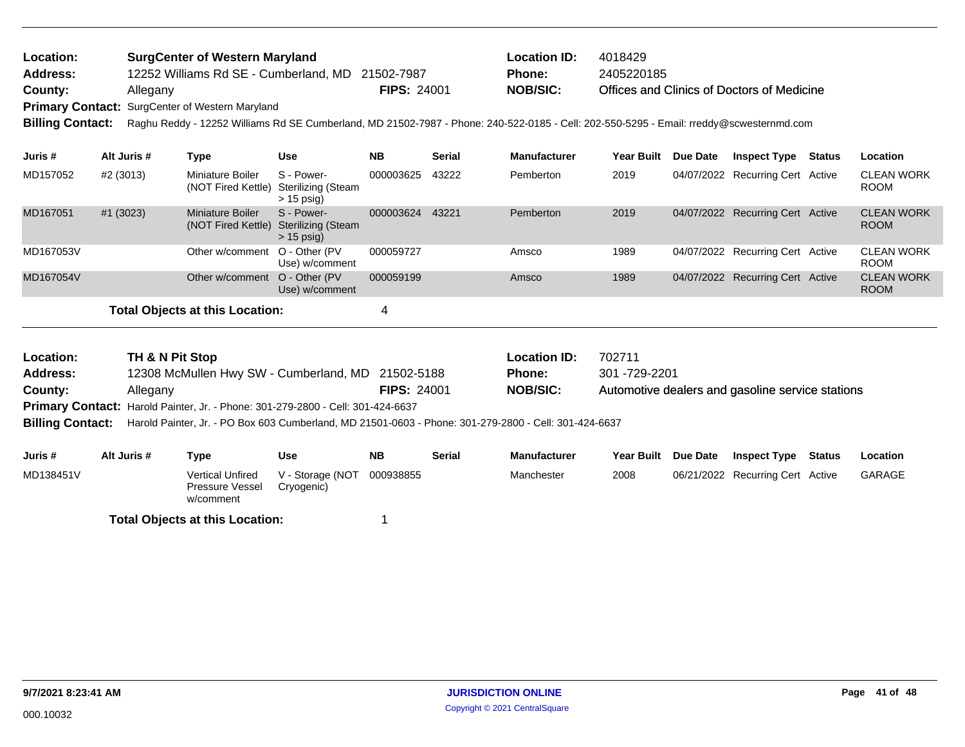| <b>Location:</b> | <b>SurgCenter of Western Maryland</b>                  |                    | <b>Location ID:</b> | 4018429                                    |
|------------------|--------------------------------------------------------|--------------------|---------------------|--------------------------------------------|
| <b>Address:</b>  | 12252 Williams Rd SE - Cumberland, MD 21502-7987       |                    | <b>Phone:</b>       | 2405220185                                 |
| County:          | Allegany                                               | <b>FIPS: 24001</b> | NOB/SIC:            | Offices and Clinics of Doctors of Medicine |
|                  | <b>Primary Contact:</b> SurgCenter of Western Maryland |                    |                     |                                            |
|                  |                                                        |                    |                     |                                            |

**Billing Contact:** Raghu Reddy - 12252 Williams Rd SE Cumberland, MD 21502-7987 - Phone: 240-522-0185 - Cell: 202-550-5295 - Email: rreddy@scwesternmd.com

| Juris #   | Alt Juris # | Type                                   | Use                                              | <b>NB</b> | <b>Serial</b> | <b>Manufacturer</b> | <b>Year Built</b> | Due Date | <b>Inspect Type</b>              | <b>Status</b> | <b>Location</b>                  |
|-----------|-------------|----------------------------------------|--------------------------------------------------|-----------|---------------|---------------------|-------------------|----------|----------------------------------|---------------|----------------------------------|
| MD157052  | #2 (3013)   | Miniature Boiler<br>(NOT Fired Kettle) | S - Power-<br>Sterilizing (Steam<br>$> 15$ psig) | 000003625 | 43222         | Pemberton           | 2019              |          | 04/07/2022 Recurring Cert Active |               | <b>CLEAN WORK</b><br><b>ROOM</b> |
| MD167051  | #1 (3023)   | Miniature Boiler<br>(NOT Fired Kettle) | S - Power-<br>Sterilizing (Steam<br>$> 15$ psig) | 000003624 | 43221         | Pemberton           | 2019              |          | 04/07/2022 Recurring Cert Active |               | <b>CLEAN WORK</b><br><b>ROOM</b> |
| MD167053V |             | Other w/comment O - Other (PV)         | Use) w/comment                                   | 000059727 |               | Amsco               | 1989              |          | 04/07/2022 Recurring Cert Active |               | <b>CLEAN WORK</b><br><b>ROOM</b> |
| MD167054V |             | Other w/comment                        | O - Other (PV<br>Use) w/comment                  | 000059199 |               | Amsco               | 1989              |          | 04/07/2022 Recurring Cert Active |               | <b>CLEAN WORK</b><br><b>ROOM</b> |
|           |             | Total Objects at this Location:        |                                                  |           |               |                     |                   |          |                                  |               |                                  |

| Location:       | TH & N Pit Stop                                                                                                               |                    | <b>Location ID:</b> | 702711                                           |
|-----------------|-------------------------------------------------------------------------------------------------------------------------------|--------------------|---------------------|--------------------------------------------------|
| <b>Address:</b> | 12308 McMullen Hwy SW - Cumberland, MD 21502-5188                                                                             |                    | <b>Phone:</b>       | 301 -729-2201                                    |
| County:         | Allegany                                                                                                                      | <b>FIPS: 24001</b> | <b>NOB/SIC:</b>     | Automotive dealers and gasoline service stations |
|                 | <b>Primary Contact: Harold Painter, Jr. - Phone: 301-279-2800 - Cell: 301-424-6637</b>                                        |                    |                     |                                                  |
|                 | <b>Billing Contact:</b> Harold Painter, Jr. - PO Box 603 Cumberland, MD 21501-0603 - Phone: 301-279-2800 - Cell: 301-424-6637 |                    |                     |                                                  |

| Juris #   | Alt Juris # | Type                                                    | Use                            | <b>NB</b> | <b>Serial</b> | <b>Manufacturer</b> | <b>Year Built</b> | <b>Due Date</b> | Inspect Type                     | Status | Location      |
|-----------|-------------|---------------------------------------------------------|--------------------------------|-----------|---------------|---------------------|-------------------|-----------------|----------------------------------|--------|---------------|
| MD138451V |             | <b>Vertical Unfired</b><br>Pressure Vessel<br>w/comment | V - Storage (NOT<br>Cryogenic) | 000938855 |               | Manchester          | 2008              |                 | 06/21/2022 Recurring Cert Active |        | <b>GARAGE</b> |
|           |             |                                                         |                                |           |               |                     |                   |                 |                                  |        |               |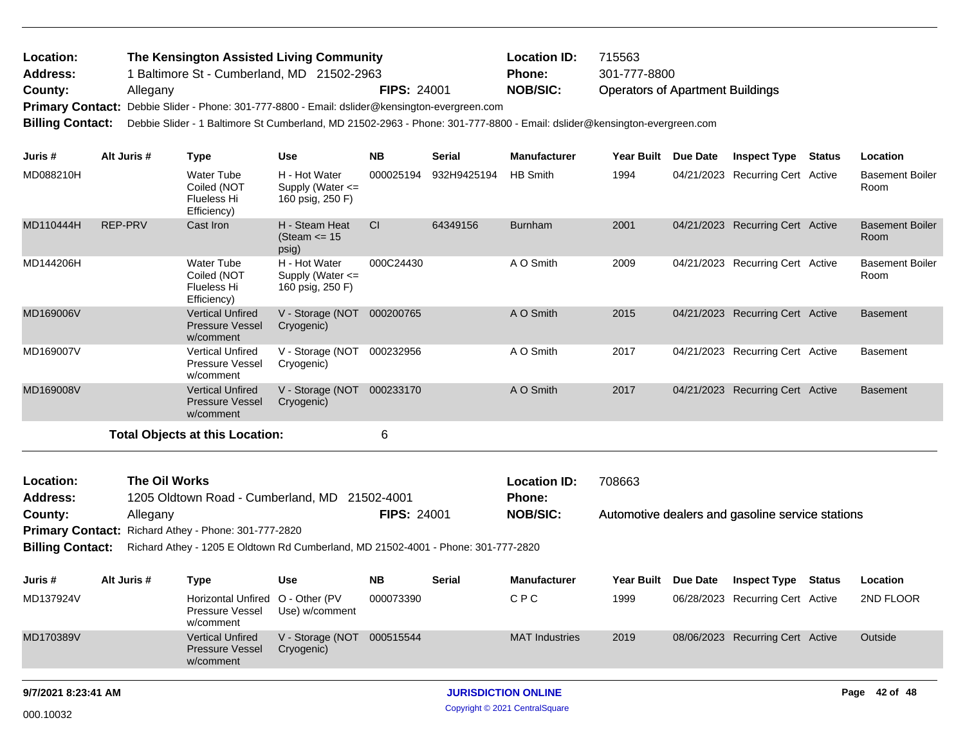## Operators of Apartment Buildings 1 Baltimore St - Cumberland, MD 21502-2963 **County:** Allegany **Nobel Allegany Nobel Allegany NOB/SIC: NOB/SIC:** Primary Contact: Debbie Slider - Phone: 301-777-8800 - Email: dslider@kensington-evergreen.com **Billing Contact:** Debbie Slider - 1 Baltimore St Cumberland, MD 21502-2963 - Phone: 301-777-8800 - Email: dslider@kensington-evergreen.com **The Kensington Assisted Living Community Location ID:** 715563 **Address: Location: Phone:** 301-777-8800

| Juris #                                                                                                                                                                                                                     | Alt Juris #          | <b>Type</b>                                                    | <b>Use</b>                                                | <b>NB</b> | <b>Serial</b> | <b>Manufacturer</b>                  | <b>Year Built</b> | Due Date   | <b>Inspect Type</b>                              | <b>Status</b> | Location                       |
|-----------------------------------------------------------------------------------------------------------------------------------------------------------------------------------------------------------------------------|----------------------|----------------------------------------------------------------|-----------------------------------------------------------|-----------|---------------|--------------------------------------|-------------------|------------|--------------------------------------------------|---------------|--------------------------------|
| MD088210H                                                                                                                                                                                                                   |                      | Water Tube<br>Coiled (NOT<br>Flueless Hi<br>Efficiency)        | H - Hot Water<br>Supply (Water <=<br>160 psig, 250 F)     | 000025194 | 932H9425194   | <b>HB Smith</b>                      | 1994              |            | 04/21/2023 Recurring Cert Active                 |               | <b>Basement Boiler</b><br>Room |
| MD110444H                                                                                                                                                                                                                   | <b>REP-PRV</b>       | Cast Iron                                                      | H - Steam Heat<br>(Steam $\le$ 15<br>psig)                | <b>CI</b> | 64349156      | <b>Burnham</b>                       | 2001              |            | 04/21/2023 Recurring Cert Active                 |               | <b>Basement Boiler</b><br>Room |
| MD144206H                                                                                                                                                                                                                   |                      | <b>Water Tube</b><br>Coiled (NOT<br>Flueless Hi<br>Efficiency) | H - Hot Water<br>Supply (Water $\leq$<br>160 psig, 250 F) | 000C24430 |               | A O Smith                            | 2009              |            | 04/21/2023 Recurring Cert Active                 |               | <b>Basement Boiler</b><br>Room |
| MD169006V                                                                                                                                                                                                                   |                      | <b>Vertical Unfired</b><br><b>Pressure Vessel</b><br>w/comment | V - Storage (NOT<br>Cryogenic)                            | 000200765 |               | A O Smith                            | 2015              | 04/21/2023 | <b>Recurring Cert Active</b>                     |               | <b>Basement</b>                |
| MD169007V                                                                                                                                                                                                                   |                      | <b>Vertical Unfired</b><br><b>Pressure Vessel</b><br>w/comment | V - Storage (NOT<br>Cryogenic)                            | 000232956 |               | A O Smith                            | 2017              |            | 04/21/2023 Recurring Cert Active                 |               | <b>Basement</b>                |
| MD169008V                                                                                                                                                                                                                   |                      | <b>Vertical Unfired</b><br><b>Pressure Vessel</b><br>w/comment | V - Storage (NOT<br>Cryogenic)                            | 000233170 |               | A O Smith                            | 2017              |            | 04/21/2023 Recurring Cert Active                 |               | <b>Basement</b>                |
|                                                                                                                                                                                                                             |                      | <b>Total Objects at this Location:</b>                         |                                                           | 6         |               |                                      |                   |            |                                                  |               |                                |
| Location:<br><b>Address:</b>                                                                                                                                                                                                | <b>The Oil Works</b> |                                                                | 1205 Oldtown Road - Cumberland, MD 21502-4001             |           |               | <b>Location ID:</b><br><b>Phone:</b> | 708663            |            |                                                  |               |                                |
| <b>FIPS: 24001</b><br>County:<br>Allegany<br>Richard Athey - Phone: 301-777-2820<br><b>Primary Contact:</b><br>Richard Athey - 1205 E Oldtown Rd Cumberland, MD 21502-4001 - Phone: 301-777-2820<br><b>Billing Contact:</b> |                      |                                                                |                                                           |           |               | <b>NOB/SIC:</b>                      |                   |            | Automotive dealers and gasoline service stations |               |                                |

| Juris #   | Alt Juris # | Type                                                             | Use                            | NΒ        | <b>Serial</b> | <b>Manufacturer</b>   | Year Built Due Date | <b>Inspect Type</b>              | Status | Location  |
|-----------|-------------|------------------------------------------------------------------|--------------------------------|-----------|---------------|-----------------------|---------------------|----------------------------------|--------|-----------|
| MD137924V |             | Horizontal Unfired O - Other (PV<br>Pressure Vessel<br>w/comment | Use) w/comment                 | 000073390 |               | CPC                   | 1999                | 06/28/2023 Recurring Cert Active |        | 2ND FLOOR |
| MD170389V |             | <b>Vertical Unfired</b><br><b>Pressure Vessel</b><br>w/comment   | V - Storage (NOT<br>Cryogenic) | 000515544 |               | <b>MAT Industries</b> | 2019                | 08/06/2023 Recurring Cert Active |        | Outside   |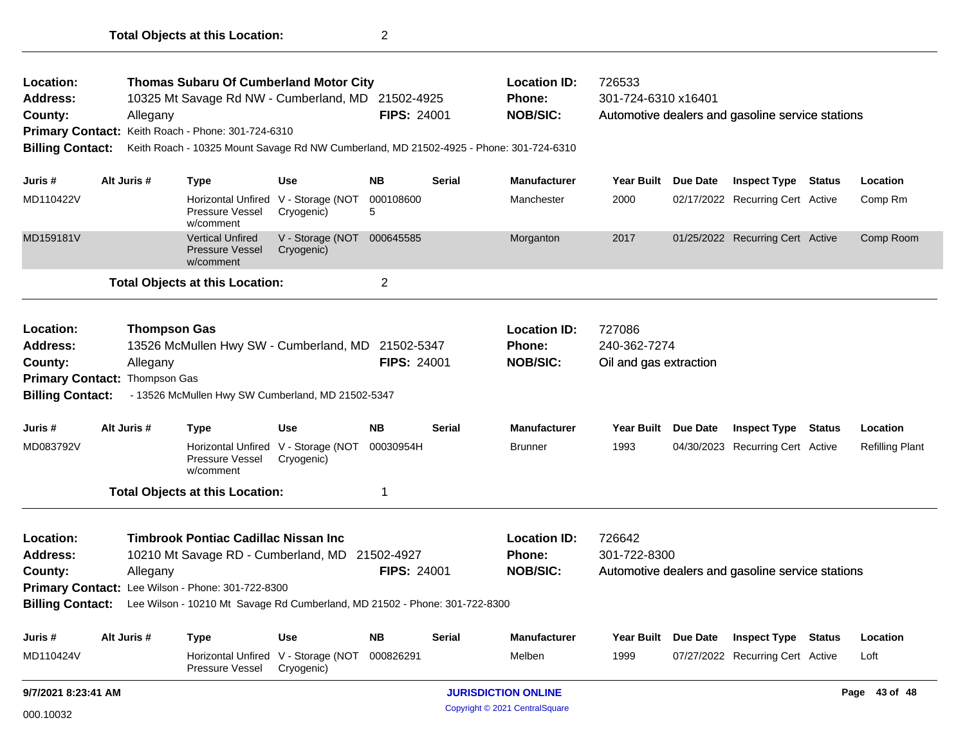| Location:<br><b>Address:</b><br>County:<br><b>Billing Contact:</b> | Allegany                                  | <b>Thomas Subaru Of Cumberland Motor City</b><br>10325 Mt Savage Rd NW - Cumberland, MD 21502-4925<br>Primary Contact: Keith Roach - Phone: 301-724-6310<br>Keith Roach - 10325 Mount Savage Rd NW Cumberland, MD 21502-4925 - Phone: 301-724-6310 |                                                   | <b>FIPS: 24001</b> |               | <b>Location ID:</b><br><b>Phone:</b><br><b>NOB/SIC:</b> | 726533<br>301-724-6310 x16401<br>Automotive dealers and gasoline service stations |                 |                                                  |               |                        |
|--------------------------------------------------------------------|-------------------------------------------|----------------------------------------------------------------------------------------------------------------------------------------------------------------------------------------------------------------------------------------------------|---------------------------------------------------|--------------------|---------------|---------------------------------------------------------|-----------------------------------------------------------------------------------|-----------------|--------------------------------------------------|---------------|------------------------|
| Juris #                                                            | Alt Juris #                               | <b>Type</b>                                                                                                                                                                                                                                        | <b>Use</b>                                        | <b>NB</b>          | <b>Serial</b> | <b>Manufacturer</b>                                     | <b>Year Built</b>                                                                 | <b>Due Date</b> | <b>Inspect Type Status</b>                       |               | Location               |
| MD110422V                                                          |                                           | <b>Horizontal Unfired</b><br>Pressure Vessel<br>w/comment                                                                                                                                                                                          | V - Storage (NOT<br>Cryogenic)                    | 000108600<br>5     |               | Manchester                                              | 2000                                                                              |                 | 02/17/2022 Recurring Cert Active                 |               | Comp Rm                |
| MD159181V                                                          |                                           | <b>Vertical Unfired</b><br><b>Pressure Vessel</b><br>w/comment                                                                                                                                                                                     | V - Storage (NOT<br>Cryogenic)                    | 000645585          |               | Morganton                                               | 2017                                                                              |                 | 01/25/2022 Recurring Cert Active                 |               | Comp Room              |
|                                                                    |                                           | <b>Total Objects at this Location:</b>                                                                                                                                                                                                             |                                                   | $\overline{c}$     |               |                                                         |                                                                                   |                 |                                                  |               |                        |
| Location:<br><b>Address:</b><br>County:<br><b>Billing Contact:</b> | Allegany<br>Primary Contact: Thompson Gas | <b>Thompson Gas</b><br>13526 McMullen Hwy SW - Cumberland, MD 21502-5347<br>- 13526 McMullen Hwy SW Cumberland, MD 21502-5347                                                                                                                      |                                                   | <b>FIPS: 24001</b> |               | <b>Location ID:</b><br><b>Phone:</b><br><b>NOB/SIC:</b> | 727086<br>240-362-7274<br>Oil and gas extraction                                  |                 |                                                  |               |                        |
| Juris#                                                             | Alt Juris #                               | Type                                                                                                                                                                                                                                               | <b>Use</b>                                        | <b>NB</b>          | <b>Serial</b> | <b>Manufacturer</b>                                     | <b>Year Built</b>                                                                 | <b>Due Date</b> | <b>Inspect Type</b>                              | <b>Status</b> | Location               |
| MD083792V                                                          |                                           | Pressure Vessel<br>w/comment                                                                                                                                                                                                                       | Horizontal Unfired V - Storage (NOT<br>Cryogenic) | 00030954H          |               | <b>Brunner</b>                                          | 1993                                                                              |                 | 04/30/2023 Recurring Cert Active                 |               | <b>Refilling Plant</b> |
|                                                                    |                                           | <b>Total Objects at this Location:</b>                                                                                                                                                                                                             |                                                   | 1                  |               |                                                         |                                                                                   |                 |                                                  |               |                        |
| Location:<br><b>Address:</b><br>County:<br><b>Billing Contact:</b> | Allegany                                  | <b>Timbrook Pontiac Cadillac Nissan Inc.</b><br>10210 Mt Savage RD - Cumberland, MD 21502-4927<br>Primary Contact: Lee Wilson - Phone: 301-722-8300<br>Lee Wilson - 10210 Mt Savage Rd Cumberland, MD 21502 - Phone: 301-722-8300                  |                                                   | <b>FIPS: 24001</b> |               | <b>Location ID:</b><br>Phone:<br><b>NOB/SIC:</b>        | 726642<br>301-722-8300                                                            |                 | Automotive dealers and gasoline service stations |               |                        |
| Juris #                                                            | Alt Juris #                               | Type                                                                                                                                                                                                                                               | <b>Use</b>                                        | <b>NB</b>          | <b>Serial</b> | <b>Manufacturer</b>                                     | <b>Year Built</b>                                                                 | <b>Due Date</b> | <b>Inspect Type</b>                              | Status        | Location               |
| MD110424V                                                          |                                           | <b>Horizontal Unfired</b><br>Pressure Vessel                                                                                                                                                                                                       | V - Storage (NOT<br>Cryogenic)                    | 000826291          |               | Melben                                                  | 1999                                                                              |                 | 07/27/2022 Recurring Cert Active                 |               | Loft                   |
| 9/7/2021 8:23:41 AM                                                |                                           |                                                                                                                                                                                                                                                    |                                                   |                    |               | <b>JURISDICTION ONLINE</b>                              |                                                                                   |                 |                                                  |               | Page 43 of 48          |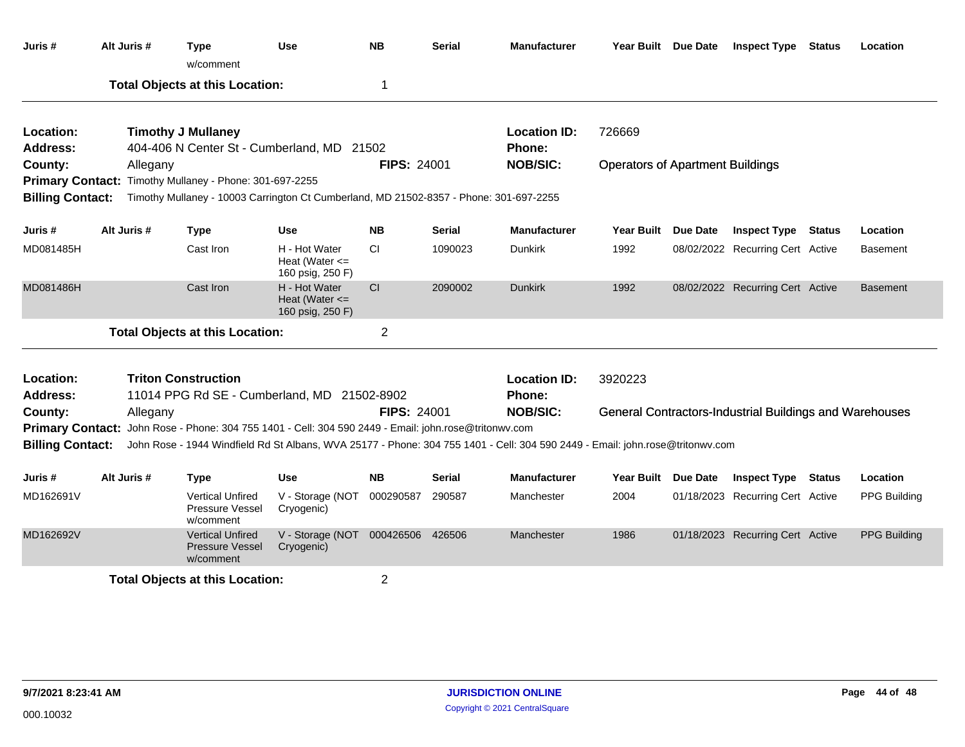| Juris #                 | Alt Juris # | Type<br>w/comment                                                                      | Use                                                     | <b>NB</b>          | <b>Serial</b> | <b>Manufacturer</b>                                                                                                           | Year Built Due Date                     |          | <b>Inspect Type</b>                                            | Status | Location            |
|-------------------------|-------------|----------------------------------------------------------------------------------------|---------------------------------------------------------|--------------------|---------------|-------------------------------------------------------------------------------------------------------------------------------|-----------------------------------------|----------|----------------------------------------------------------------|--------|---------------------|
|                         |             | <b>Total Objects at this Location:</b>                                                 |                                                         | $\mathbf 1$        |               |                                                                                                                               |                                         |          |                                                                |        |                     |
| Location:               |             | <b>Timothy J Mullaney</b>                                                              |                                                         |                    |               | <b>Location ID:</b>                                                                                                           | 726669                                  |          |                                                                |        |                     |
| Address:                |             | 404-406 N Center St - Cumberland, MD 21502                                             |                                                         |                    |               | Phone:                                                                                                                        |                                         |          |                                                                |        |                     |
| County:                 | Allegany    |                                                                                        |                                                         | <b>FIPS: 24001</b> |               | <b>NOB/SIC:</b>                                                                                                               | <b>Operators of Apartment Buildings</b> |          |                                                                |        |                     |
|                         |             | Primary Contact: Timothy Mullaney - Phone: 301-697-2255                                |                                                         |                    |               |                                                                                                                               |                                         |          |                                                                |        |                     |
| <b>Billing Contact:</b> |             | Timothy Mullaney - 10003 Carrington Ct Cumberland, MD 21502-8357 - Phone: 301-697-2255 |                                                         |                    |               |                                                                                                                               |                                         |          |                                                                |        |                     |
| Juris #                 | Alt Juris # | <b>Type</b>                                                                            | <b>Use</b>                                              | <b>NB</b>          | <b>Serial</b> | <b>Manufacturer</b>                                                                                                           | <b>Year Built</b>                       | Due Date | <b>Inspect Type Status</b>                                     |        | Location            |
| MD081485H               |             | Cast Iron                                                                              | H - Hot Water<br>Heat (Water $\leq$<br>160 psig, 250 F) | CI.                | 1090023       | <b>Dunkirk</b>                                                                                                                | 1992                                    |          | 08/02/2022 Recurring Cert Active                               |        | <b>Basement</b>     |
| MD081486H               |             | Cast Iron                                                                              | H - Hot Water<br>Heat (Water $\leq$<br>160 psig, 250 F) | CI                 | 2090002       | <b>Dunkirk</b>                                                                                                                | 1992                                    |          | 08/02/2022 Recurring Cert Active                               |        | <b>Basement</b>     |
|                         |             | <b>Total Objects at this Location:</b>                                                 |                                                         | $\overline{2}$     |               |                                                                                                                               |                                         |          |                                                                |        |                     |
| Location:               |             | <b>Triton Construction</b>                                                             |                                                         |                    |               | <b>Location ID:</b>                                                                                                           | 3920223                                 |          |                                                                |        |                     |
| Address:<br>County:     | Allegany    | 11014 PPG Rd SE - Cumberland, MD 21502-8902                                            |                                                         | <b>FIPS: 24001</b> |               | Phone:<br><b>NOB/SIC:</b>                                                                                                     |                                         |          | <b>General Contractors-Industrial Buildings and Warehouses</b> |        |                     |
| <b>Primary Contact:</b> |             | John Rose - Phone: 304 755 1401 - Cell: 304 590 2449 - Email: john.rose@tritonwv.com   |                                                         |                    |               |                                                                                                                               |                                         |          |                                                                |        |                     |
| <b>Billing Contact:</b> |             |                                                                                        |                                                         |                    |               | John Rose - 1944 Windfield Rd St Albans, WVA 25177 - Phone: 304 755 1401 - Cell: 304 590 2449 - Email: john.rose@tritonwv.com |                                         |          |                                                                |        |                     |
| Juris #                 | Alt Juris # | Type                                                                                   | <b>Use</b>                                              | <b>NB</b>          | <b>Serial</b> | <b>Manufacturer</b>                                                                                                           | Year Built Due Date                     |          | <b>Inspect Type Status</b>                                     |        | Location            |
| MD162691V               |             | <b>Vertical Unfired</b><br>Pressure Vessel<br>w/comment                                | V - Storage (NOT<br>Cryogenic)                          | 000290587          | 290587        | Manchester                                                                                                                    | 2004                                    |          | 01/18/2023 Recurring Cert Active                               |        | <b>PPG Building</b> |
| MD162692V               |             | <b>Vertical Unfired</b><br><b>Pressure Vessel</b><br>w/comment                         | V - Storage (NOT<br>Cryogenic)                          | 000426506 426506   |               | Manchester                                                                                                                    | 1986                                    |          | 01/18/2023 Recurring Cert Active                               |        | <b>PPG Building</b> |
|                         |             | <b>Total Objects at this Location:</b>                                                 |                                                         | $\overline{2}$     |               |                                                                                                                               |                                         |          |                                                                |        |                     |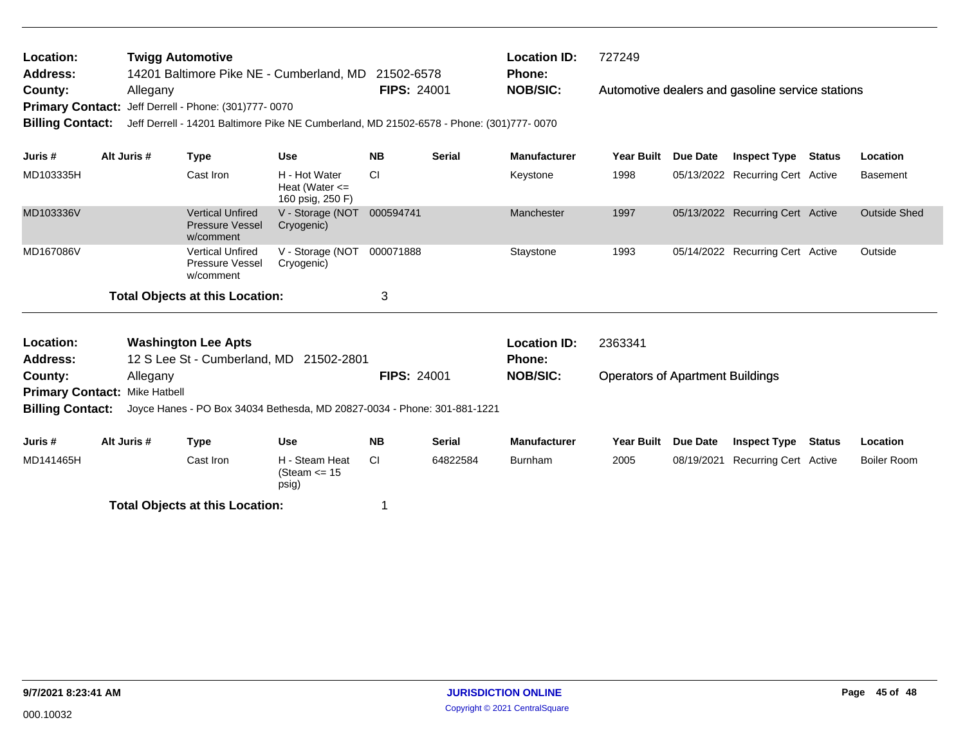| Location:<br><b>Twigg Automotive</b><br>14201 Baltimore Pike NE - Cumberland, MD<br><b>Address:</b> |             |                                                                |                                                                                          | 21502-6578         |               | <b>Location ID:</b><br>Phone: | 727249                                  |                 |                                                  |               |                     |
|-----------------------------------------------------------------------------------------------------|-------------|----------------------------------------------------------------|------------------------------------------------------------------------------------------|--------------------|---------------|-------------------------------|-----------------------------------------|-----------------|--------------------------------------------------|---------------|---------------------|
| County:                                                                                             | Allegany    |                                                                |                                                                                          | <b>FIPS: 24001</b> |               | <b>NOB/SIC:</b>               |                                         |                 | Automotive dealers and gasoline service stations |               |                     |
| <b>Primary Contact:</b><br><b>Billing Contact:</b>                                                  |             | Jeff Derrell - Phone: (301)777-0070                            | Jeff Derrell - 14201 Baltimore Pike NE Cumberland, MD 21502-6578 - Phone: (301)777- 0070 |                    |               |                               |                                         |                 |                                                  |               |                     |
|                                                                                                     |             |                                                                |                                                                                          |                    |               |                               |                                         |                 |                                                  |               |                     |
| Juris #                                                                                             | Alt Juris # | <b>Type</b>                                                    | <b>Use</b>                                                                               | <b>NB</b>          | <b>Serial</b> | <b>Manufacturer</b>           | <b>Year Built</b>                       | <b>Due Date</b> | <b>Inspect Type</b>                              | <b>Status</b> | Location            |
| MD103335H                                                                                           |             | Cast Iron                                                      | H - Hot Water<br>Heat (Water $\leq$<br>160 psig, 250 F)                                  | <b>CI</b>          |               | Keystone                      | 1998                                    |                 | 05/13/2022 Recurring Cert Active                 |               | <b>Basement</b>     |
| MD103336V                                                                                           |             | <b>Vertical Unfired</b><br><b>Pressure Vessel</b><br>w/comment | V - Storage (NOT<br>Cryogenic)                                                           | 000594741          |               | Manchester                    | 1997                                    |                 | 05/13/2022 Recurring Cert Active                 |               | <b>Outside Shed</b> |
| MD167086V                                                                                           |             | <b>Vertical Unfired</b><br>Pressure Vessel<br>w/comment        | V - Storage (NOT<br>Cryogenic)                                                           | 000071888          |               | Staystone                     | 1993                                    |                 | 05/14/2022 Recurring Cert Active                 |               | Outside             |
|                                                                                                     |             | <b>Total Objects at this Location:</b>                         |                                                                                          | 3                  |               |                               |                                         |                 |                                                  |               |                     |
| Location:                                                                                           |             | <b>Washington Lee Apts</b>                                     |                                                                                          |                    |               | <b>Location ID:</b>           | 2363341                                 |                 |                                                  |               |                     |
| <b>Address:</b>                                                                                     |             | 12 S Lee St - Cumberland, MD                                   | 21502-2801                                                                               |                    |               | Phone:                        |                                         |                 |                                                  |               |                     |
| County:                                                                                             | Allegany    |                                                                |                                                                                          | <b>FIPS: 24001</b> |               | <b>NOB/SIC:</b>               | <b>Operators of Apartment Buildings</b> |                 |                                                  |               |                     |
| <b>Primary Contact: Mike Hatbell</b>                                                                |             |                                                                |                                                                                          |                    |               |                               |                                         |                 |                                                  |               |                     |
| <b>Billing Contact:</b>                                                                             |             |                                                                | Joyce Hanes - PO Box 34034 Bethesda, MD 20827-0034 - Phone: 301-881-1221                 |                    |               |                               |                                         |                 |                                                  |               |                     |
| Juris #                                                                                             | Alt Juris # | <b>Type</b>                                                    | <b>Use</b>                                                                               | <b>NB</b>          | <b>Serial</b> | <b>Manufacturer</b>           | <b>Year Built</b>                       | <b>Due Date</b> | <b>Inspect Type</b>                              | <b>Status</b> | Location            |
| MD141465H                                                                                           |             | Cast Iron                                                      | H - Steam Heat<br>(Steam $\le$ 15<br>psig)                                               | <b>CI</b>          | 64822584      | <b>Burnham</b>                | 2005                                    | 08/19/2021      | Recurring Cert Active                            |               | <b>Boiler Room</b>  |
|                                                                                                     |             | <b>Total Objects at this Location:</b>                         |                                                                                          | 1                  |               |                               |                                         |                 |                                                  |               |                     |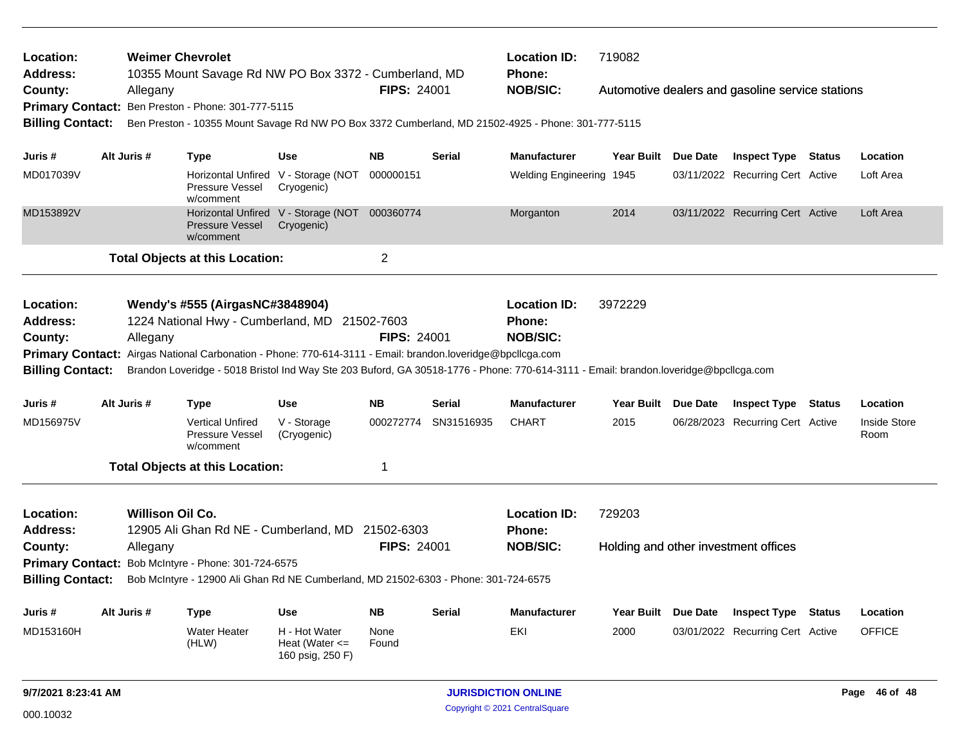| Location:<br><b>Address:</b><br>County:                                                | <b>Weimer Chevrolet</b><br>10355 Mount Savage Rd NW PO Box 3372 - Cumberland, MD<br><b>FIPS: 24001</b><br>Allegany<br>Primary Contact: Ben Preston - Phone: 301-777-5115<br><b>Billing Contact:</b><br>Ben Preston - 10355 Mount Savage Rd NW PO Box 3372 Cumberland, MD 21502-4925 - Phone: 301-777-5115 |                                     |                                                                                                                                                                                                |                                                         |                    |               | <b>Location ID:</b><br>719082<br><b>Phone:</b><br><b>NOB/SIC:</b><br>Automotive dealers and gasoline service stations                                                                           |                                                |                 |                                  |               |                             |
|----------------------------------------------------------------------------------------|-----------------------------------------------------------------------------------------------------------------------------------------------------------------------------------------------------------------------------------------------------------------------------------------------------------|-------------------------------------|------------------------------------------------------------------------------------------------------------------------------------------------------------------------------------------------|---------------------------------------------------------|--------------------|---------------|-------------------------------------------------------------------------------------------------------------------------------------------------------------------------------------------------|------------------------------------------------|-----------------|----------------------------------|---------------|-----------------------------|
|                                                                                        |                                                                                                                                                                                                                                                                                                           |                                     |                                                                                                                                                                                                |                                                         |                    |               |                                                                                                                                                                                                 |                                                |                 |                                  |               |                             |
| Juris #                                                                                | Alt Juris #                                                                                                                                                                                                                                                                                               |                                     | Type                                                                                                                                                                                           | Use                                                     | <b>NB</b>          | <b>Serial</b> | <b>Manufacturer</b>                                                                                                                                                                             | <b>Year Built</b>                              | Due Date        | <b>Inspect Type Status</b>       |               | Location                    |
| MD017039V                                                                              |                                                                                                                                                                                                                                                                                                           |                                     | <b>Pressure Vessel</b><br>w/comment                                                                                                                                                            | Horizontal Unfired V - Storage (NOT<br>Cryogenic)       | 000000151          |               | Welding Engineering 1945                                                                                                                                                                        |                                                |                 | 03/11/2022 Recurring Cert Active |               | Loft Area                   |
| MD153892V                                                                              |                                                                                                                                                                                                                                                                                                           |                                     | <b>Pressure Vessel</b><br>w/comment                                                                                                                                                            | Horizontal Unfired V - Storage (NOT<br>Cryogenic)       | 000360774          |               | Morganton                                                                                                                                                                                       | 2014                                           |                 | 03/11/2022 Recurring Cert Active |               | Loft Area                   |
|                                                                                        |                                                                                                                                                                                                                                                                                                           |                                     | <b>Total Objects at this Location:</b>                                                                                                                                                         |                                                         | $\overline{c}$     |               |                                                                                                                                                                                                 |                                                |                 |                                  |               |                             |
| Location:<br>Address:<br>County:<br><b>Primary Contact:</b><br><b>Billing Contact:</b> |                                                                                                                                                                                                                                                                                                           | Allegany                            | Wendy's #555 (AirgasNC#3848904)<br>1224 National Hwy - Cumberland, MD 21502-7603<br>Airgas National Carbonation - Phone: 770-614-3111 - Email: brandon.loveridge@bpcllcga.com                  |                                                         | <b>FIPS: 24001</b> |               | <b>Location ID:</b><br><b>Phone:</b><br><b>NOB/SIC:</b><br>Brandon Loveridge - 5018 Bristol Ind Way Ste 203 Buford, GA 30518-1776 - Phone: 770-614-3111 - Email: brandon.loveridge@bpcllcga.com | 3972229                                        |                 |                                  |               |                             |
| Juris #                                                                                | Alt Juris #                                                                                                                                                                                                                                                                                               |                                     | <b>Type</b>                                                                                                                                                                                    | <b>Use</b>                                              | <b>NB</b>          | Serial        | <b>Manufacturer</b>                                                                                                                                                                             | <b>Year Built</b>                              | Due Date        | <b>Inspect Type</b>              | <b>Status</b> | Location                    |
| MD156975V                                                                              |                                                                                                                                                                                                                                                                                                           |                                     | <b>Vertical Unfired</b><br>Pressure Vessel<br>w/comment                                                                                                                                        | V - Storage<br>(Cryogenic)                              | 000272774          | SN31516935    | <b>CHART</b>                                                                                                                                                                                    | 2015                                           |                 | 06/28/2023 Recurring Cert Active |               | <b>Inside Store</b><br>Room |
|                                                                                        |                                                                                                                                                                                                                                                                                                           |                                     | <b>Total Objects at this Location:</b>                                                                                                                                                         |                                                         | 1                  |               |                                                                                                                                                                                                 |                                                |                 |                                  |               |                             |
| Location:<br><b>Address:</b><br>County:<br><b>Billing Contact:</b>                     |                                                                                                                                                                                                                                                                                                           | <b>Willison Oil Co.</b><br>Allegany | 12905 Ali Ghan Rd NE - Cumberland, MD 21502-6303<br>Primary Contact: Bob McIntyre - Phone: 301-724-6575<br>Bob McIntyre - 12900 Ali Ghan Rd NE Cumberland, MD 21502-6303 - Phone: 301-724-6575 |                                                         | <b>FIPS: 24001</b> |               | <b>Location ID:</b><br><b>Phone:</b><br><b>NOB/SIC:</b>                                                                                                                                         | 729203<br>Holding and other investment offices |                 |                                  |               |                             |
| Juris #                                                                                | Alt Juris #                                                                                                                                                                                                                                                                                               |                                     | Type                                                                                                                                                                                           | <b>Use</b>                                              | <b>NB</b>          | Serial        | <b>Manufacturer</b>                                                                                                                                                                             | <b>Year Built</b>                              | <b>Due Date</b> | <b>Inspect Type</b>              | Status        | Location                    |
| MD153160H                                                                              |                                                                                                                                                                                                                                                                                                           |                                     | <b>Water Heater</b><br>(HLW)                                                                                                                                                                   | H - Hot Water<br>Heat (Water $\leq$<br>160 psig, 250 F) | None<br>Found      |               | EKI                                                                                                                                                                                             | 2000                                           |                 | 03/01/2022 Recurring Cert Active |               | <b>OFFICE</b>               |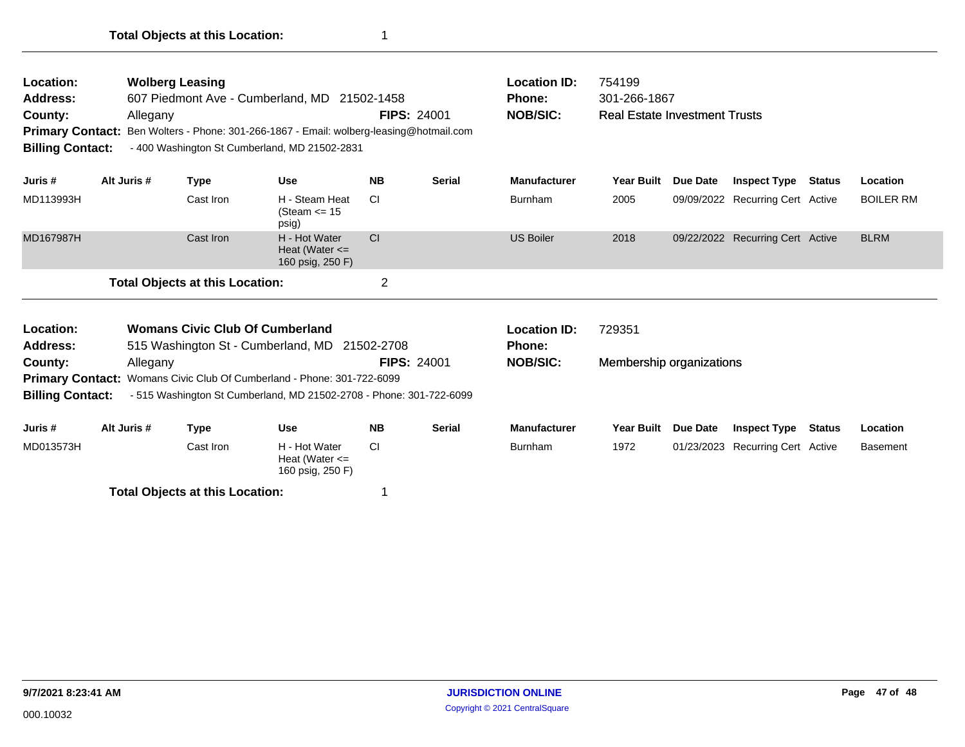| Location:<br>Address:<br>County:<br><b>Primary Contact:</b><br><b>Billing Contact:</b> | Allegany    | <b>Wolberg Leasing</b><br>607 Piedmont Ave - Cumberland, MD 21502-1458<br>Ben Wolters - Phone: 301-266-1867 - Email: wolberg-leasing@hotmail.com<br>- 400 Washington St Cumberland, MD 21502-2831 | <b>FIPS: 24001</b>                                                                                                                            | <b>Location ID:</b><br>Phone:<br><b>NOB/SIC:</b> | 754199<br>301-266-1867<br><b>Real Estate Investment Trusts</b> |                                      |                          |            |                                  |               |                  |
|----------------------------------------------------------------------------------------|-------------|---------------------------------------------------------------------------------------------------------------------------------------------------------------------------------------------------|-----------------------------------------------------------------------------------------------------------------------------------------------|--------------------------------------------------|----------------------------------------------------------------|--------------------------------------|--------------------------|------------|----------------------------------|---------------|------------------|
| Juris #                                                                                | Alt Juris # | <b>Type</b>                                                                                                                                                                                       | <b>Use</b>                                                                                                                                    | <b>NB</b>                                        | <b>Serial</b>                                                  | <b>Manufacturer</b>                  | <b>Year Built</b>        | Due Date   | <b>Inspect Type</b>              | Status        | Location         |
| MD113993H                                                                              |             | Cast Iron                                                                                                                                                                                         | H - Steam Heat<br>(Steam $\le$ 15<br>psig)                                                                                                    | <b>CI</b>                                        |                                                                | <b>Burnham</b>                       | 2005                     |            | 09/09/2022 Recurring Cert Active |               | <b>BOILER RM</b> |
| MD167987H                                                                              |             | Cast Iron                                                                                                                                                                                         | H - Hot Water<br>Heat (Water $\leq$<br>160 psig, 250 F)                                                                                       | CI                                               |                                                                | <b>US Boiler</b>                     | 2018                     |            | 09/22/2022 Recurring Cert Active |               | <b>BLRM</b>      |
|                                                                                        |             | <b>Total Objects at this Location:</b>                                                                                                                                                            |                                                                                                                                               | $\overline{2}$                                   |                                                                |                                      |                          |            |                                  |               |                  |
| Location:<br><b>Address:</b>                                                           |             | <b>Womans Civic Club Of Cumberland</b>                                                                                                                                                            | 515 Washington St - Cumberland, MD 21502-2708                                                                                                 |                                                  |                                                                | <b>Location ID:</b><br><b>Phone:</b> | 729351                   |            |                                  |               |                  |
| County:<br><b>Billing Contact:</b>                                                     | Allegany    |                                                                                                                                                                                                   | Primary Contact: Womans Civic Club Of Cumberland - Phone: 301-722-6099<br>- 515 Washington St Cumberland, MD 21502-2708 - Phone: 301-722-6099 | <b>FIPS: 24001</b>                               |                                                                | <b>NOB/SIC:</b>                      | Membership organizations |            |                                  |               |                  |
| Juris #                                                                                | Alt Juris # | <b>Type</b>                                                                                                                                                                                       | <b>Use</b>                                                                                                                                    | <b>NB</b>                                        | <b>Serial</b>                                                  | <b>Manufacturer</b>                  | <b>Year Built</b>        | Due Date   | <b>Inspect Type</b>              | <b>Status</b> | Location         |
| MD013573H                                                                              |             | Cast Iron                                                                                                                                                                                         | H - Hot Water<br>Heat (Water $\leq$<br>160 psig, 250 F)                                                                                       | <b>CI</b>                                        |                                                                | <b>Burnham</b>                       | 1972                     | 01/23/2023 | <b>Recurring Cert Active</b>     |               | <b>Basement</b>  |